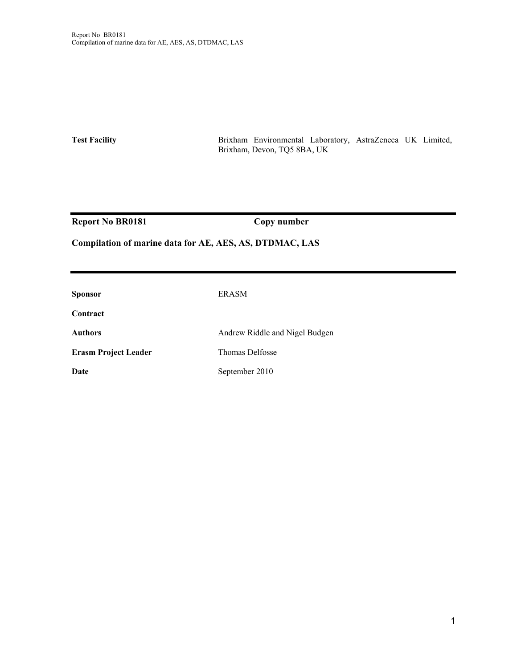**Test Facility** Brixham Environmental Laboratory, AstraZeneca UK Limited, Brixham, Devon, TQ5 8BA, UK

Report No BR0181 Copy number

#### **Compilation of marine data for AE, AES, AS, DTDMAC, LAS**

| <b>Sponsor</b>              | <b>ERASM</b>                   |
|-----------------------------|--------------------------------|
| Contract                    |                                |
| <b>Authors</b>              | Andrew Riddle and Nigel Budgen |
| <b>Erasm Project Leader</b> | Thomas Delfosse                |
| Date                        | September 2010                 |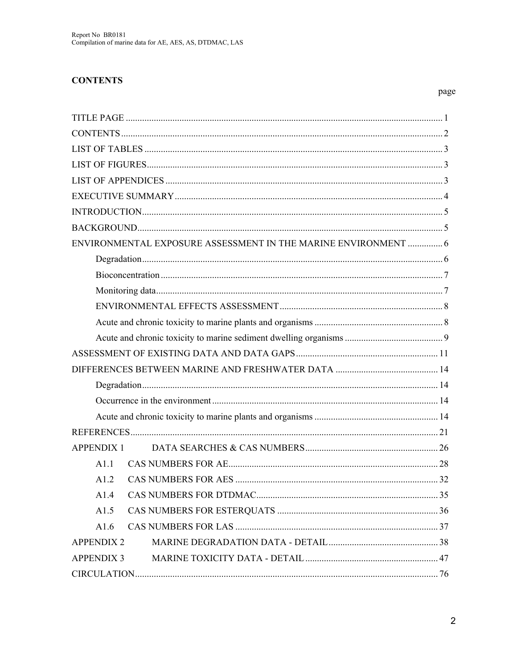#### **CONTENTS**

| ENVIRONMENTAL EXPOSURE ASSESSMENT IN THE MARINE ENVIRONMENT  6 |  |
|----------------------------------------------------------------|--|
|                                                                |  |
|                                                                |  |
|                                                                |  |
|                                                                |  |
|                                                                |  |
|                                                                |  |
|                                                                |  |
|                                                                |  |
|                                                                |  |
|                                                                |  |
|                                                                |  |
|                                                                |  |
| APPENDIX 1                                                     |  |
| A1.1                                                           |  |
| A1.2                                                           |  |
| A1.4                                                           |  |
| A1.5                                                           |  |
| A1.6                                                           |  |
| <b>APPENDIX 2</b>                                              |  |
| <b>APPENDIX 3</b>                                              |  |
|                                                                |  |

page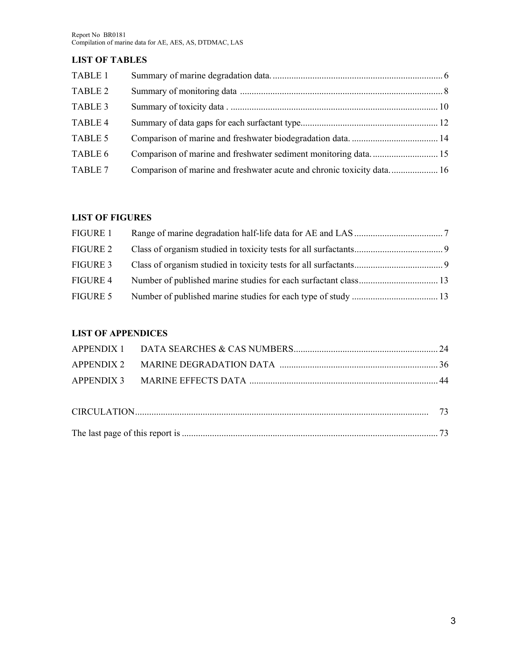#### **LIST OF TABLES**

| TABLE 1        |  |
|----------------|--|
| <b>TABLE 2</b> |  |
| TABLE 3        |  |
| TABLE 4        |  |
| TABLE 5        |  |
| TABLE 6        |  |
| TABLE 7        |  |

#### **LIST OF FIGURES**

| FIGURE 1 |  |
|----------|--|
| FIGURE 2 |  |
| FIGURE 3 |  |
| FIGURE 4 |  |
| FIGURE 5 |  |

#### **LIST OF APPENDICES**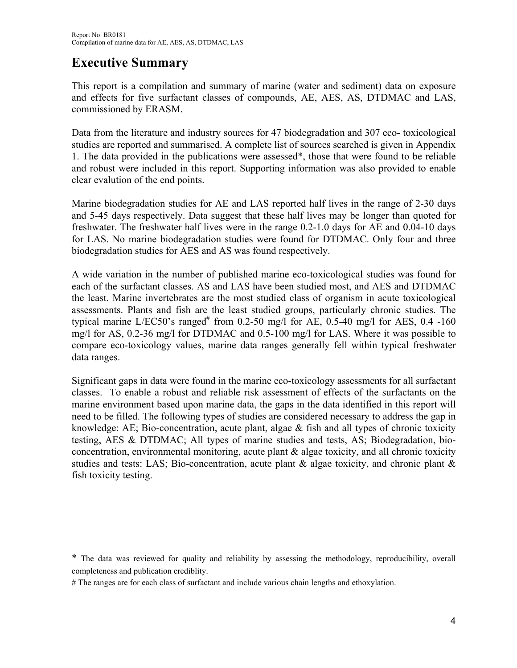# **Executive Summary**

This report is a compilation and summary of marine (water and sediment) data on exposure and effects for five surfactant classes of compounds, AE, AES, AS, DTDMAC and LAS, commissioned by ERASM.

Data from the literature and industry sources for 47 biodegradation and 307 eco- toxicological studies are reported and summarised. A complete list of sources searched is given in Appendix 1. The data provided in the publications were assessed\*, those that were found to be reliable and robust were included in this report. Supporting information was also provided to enable clear evalution of the end points.

Marine biodegradation studies for AE and LAS reported half lives in the range of 2-30 days and 5-45 days respectively. Data suggest that these half lives may be longer than quoted for freshwater. The freshwater half lives were in the range 0.2-1.0 days for AE and 0.04-10 days for LAS. No marine biodegradation studies were found for DTDMAC. Only four and three biodegradation studies for AES and AS was found respectively.

A wide variation in the number of published marine eco-toxicological studies was found for each of the surfactant classes. AS and LAS have been studied most, and AES and DTDMAC the least. Marine invertebrates are the most studied class of organism in acute toxicological assessments. Plants and fish are the least studied groups, particularly chronic studies. The typical marine L/EC50's ranged<sup>#</sup> from 0.2-50 mg/l for AE, 0.5-40 mg/l for AES, 0.4 -160 mg/l for AS, 0.2-36 mg/l for DTDMAC and 0.5-100 mg/l for LAS. Where it was possible to compare eco-toxicology values, marine data ranges generally fell within typical freshwater data ranges.

Significant gaps in data were found in the marine eco-toxicology assessments for all surfactant classes. To enable a robust and reliable risk assessment of effects of the surfactants on the marine environment based upon marine data, the gaps in the data identified in this report will need to be filled. The following types of studies are considered necessary to address the gap in knowledge: AE; Bio-concentration, acute plant, algae  $\&$  fish and all types of chronic toxicity testing, AES & DTDMAC; All types of marine studies and tests, AS; Biodegradation, bioconcentration, environmental monitoring, acute plant & algae toxicity, and all chronic toxicity studies and tests: LAS; Bio-concentration, acute plant  $\&$  algae toxicity, and chronic plant  $\&$ fish toxicity testing.

\* The data was reviewed for quality and reliability by assessing the methodology, reproducibility, overall completeness and publication crediblity.

# The ranges are for each class of surfactant and include various chain lengths and ethoxylation.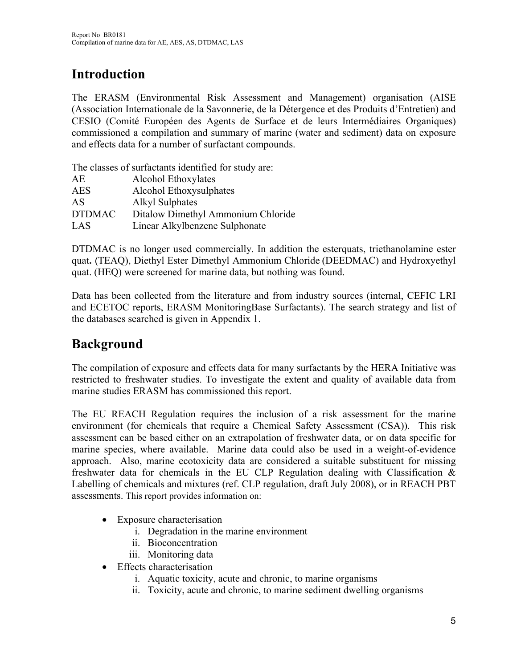# **Introduction**

The ERASM (Environmental Risk Assessment and Management) organisation (AISE (Association Internationale de la Savonnerie, de la Détergence et des Produits d'Entretien) and CESIO (Comité Européen des Agents de Surface et de leurs Intermédiaires Organiques) commissioned a compilation and summary of marine (water and sediment) data on exposure and effects data for a number of surfactant compounds.

The classes of surfactants identified for study are:

| AE            | Alcohol Ethoxylates                |
|---------------|------------------------------------|
| <b>AES</b>    | Alcohol Ethoxysulphates            |
| AS            | <b>Alkyl Sulphates</b>             |
| <b>DTDMAC</b> | Ditalow Dimethyl Ammonium Chloride |
| LAS           | Linear Alkylbenzene Sulphonate     |

DTDMAC is no longer used commercially. In addition the esterquats, triethanolamine ester quat**.** (TEAQ), Diethyl Ester Dimethyl Ammonium Chloride (DEEDMAC) and Hydroxyethyl quat. (HEQ) were screened for marine data, but nothing was found.

Data has been collected from the literature and from industry sources (internal, CEFIC LRI and ECETOC reports, ERASM MonitoringBase Surfactants). The search strategy and list of the databases searched is given in Appendix 1.

# **Background**

The compilation of exposure and effects data for many surfactants by the HERA Initiative was restricted to freshwater studies. To investigate the extent and quality of available data from marine studies ERASM has commissioned this report.

The EU REACH Regulation requires the inclusion of a risk assessment for the marine environment (for chemicals that require a Chemical Safety Assessment (CSA)). This risk assessment can be based either on an extrapolation of freshwater data, or on data specific for marine species, where available. Marine data could also be used in a weight-of-evidence approach. Also, marine ecotoxicity data are considered a suitable substituent for missing freshwater data for chemicals in the EU CLP Regulation dealing with Classification & Labelling of chemicals and mixtures (ref. CLP regulation, draft July 2008), or in REACH PBT assessments. This report provides information on:

- Exposure characterisation
	- i. Degradation in the marine environment
	- ii. Bioconcentration
	- iii. Monitoring data
- Effects characterisation
	- i. Aquatic toxicity, acute and chronic, to marine organisms
	- ii. Toxicity, acute and chronic, to marine sediment dwelling organisms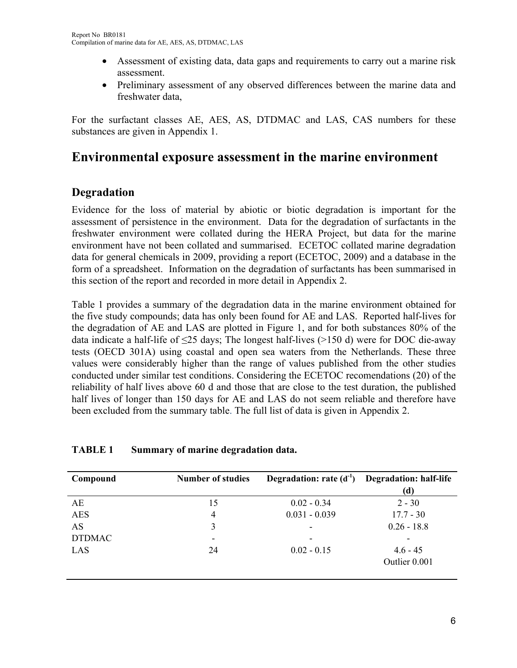- Assessment of existing data, data gaps and requirements to carry out a marine risk assessment.
- Preliminary assessment of any observed differences between the marine data and freshwater data,

For the surfactant classes AE, AES, AS, DTDMAC and LAS, CAS numbers for these substances are given in Appendix 1.

# **Environmental exposure assessment in the marine environment**

## **Degradation**

Evidence for the loss of material by abiotic or biotic degradation is important for the assessment of persistence in the environment. Data for the degradation of surfactants in the freshwater environment were collated during the HERA Project, but data for the marine environment have not been collated and summarised. ECETOC collated marine degradation data for general chemicals in 2009, providing a report (ECETOC, 2009) and a database in the form of a spreadsheet. Information on the degradation of surfactants has been summarised in this section of the report and recorded in more detail in Appendix 2.

Table 1 provides a summary of the degradation data in the marine environment obtained for the five study compounds; data has only been found for AE and LAS. Reported half-lives for the degradation of AE and LAS are plotted in Figure 1, and for both substances 80% of the data indicate a half-life of ≤25 days; The longest half-lives (>150 d) were for DOC die-away tests (OECD 301A) using coastal and open sea waters from the Netherlands. These three values were considerably higher than the range of values published from the other studies conducted under similar test conditions. Considering the ECETOC recomendations (20) of the reliability of half lives above 60 d and those that are close to the test duration, the published half lives of longer than 150 days for AE and LAS do not seem reliable and therefore have been excluded from the summary table. The full list of data is given in Appendix 2.

#### **TABLE 1 Summary of marine degradation data.**

| <b>Number of studies</b> | Degradation: rate $(d-1)$ | <b>Degradation: half-life</b><br>(d) |
|--------------------------|---------------------------|--------------------------------------|
| 15                       | $0.02 - 0.34$             | $2 - 30$                             |
| $\overline{4}$           | $0.031 - 0.039$           | $17.7 - 30$                          |
| 3                        | ۰                         | $0.26 - 18.8$                        |
|                          | ۰                         |                                      |
| 24                       | $0.02 - 0.15$             | $4.6 - 45$<br>Outlier 0.001          |
|                          |                           |                                      |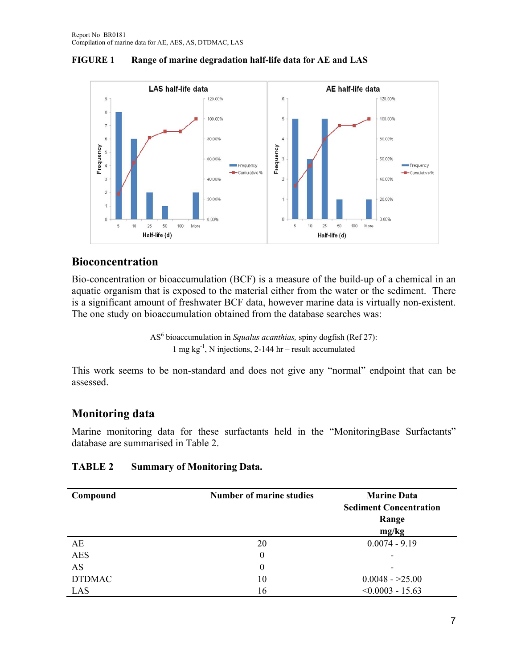



## **Bioconcentration**

Bio-concentration or bioaccumulation (BCF) is a measure of the build-up of a chemical in an aquatic organism that is exposed to the material either from the water or the sediment. There is a significant amount of freshwater BCF data, however marine data is virtually non-existent. The one study on bioaccumulation obtained from the database searches was:

> AS<sup>6</sup> bioaccumulation in *Squalus acanthias*, spiny dogfish (Ref 27): 1 mg  $kg^{-1}$ , N injections, 2-144 hr – result accumulated

This work seems to be non-standard and does not give any "normal" endpoint that can be assessed.

## **Monitoring data**

Marine monitoring data for these surfactants held in the "MonitoringBase Surfactants" database are summarised in Table 2.

#### **TABLE 2 Summary of Monitoring Data.**

| Compound      | <b>Number of marine studies</b> | <b>Marine Data</b><br><b>Sediment Concentration</b><br>Range<br>mg/kg |
|---------------|---------------------------------|-----------------------------------------------------------------------|
| AE            | 20                              | $0.0074 - 9.19$                                                       |
| <b>AES</b>    | 0                               | -                                                                     |
| AS            | 0                               | -                                                                     |
| <b>DTDMAC</b> | 10                              | $0.0048 - 25.00$                                                      |
| LAS           | 16                              | $< 0.0003 - 15.63$                                                    |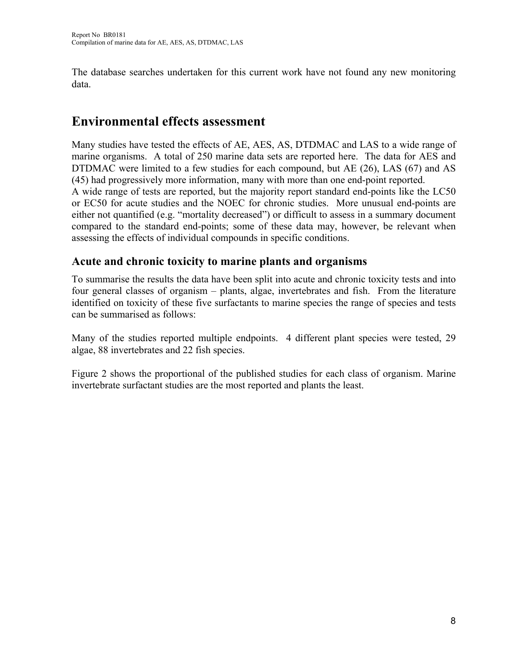The database searches undertaken for this current work have not found any new monitoring data.

# **Environmental effects assessment**

Many studies have tested the effects of AE, AES, AS, DTDMAC and LAS to a wide range of marine organisms. A total of 250 marine data sets are reported here. The data for AES and DTDMAC were limited to a few studies for each compound, but AE (26), LAS (67) and AS (45) had progressively more information, many with more than one end-point reported.

A wide range of tests are reported, but the majority report standard end-points like the LC50 or EC50 for acute studies and the NOEC for chronic studies. More unusual end-points are either not quantified (e.g. "mortality decreased") or difficult to assess in a summary document compared to the standard end-points; some of these data may, however, be relevant when assessing the effects of individual compounds in specific conditions.

## **Acute and chronic toxicity to marine plants and organisms**

To summarise the results the data have been split into acute and chronic toxicity tests and into four general classes of organism – plants, algae, invertebrates and fish. From the literature identified on toxicity of these five surfactants to marine species the range of species and tests can be summarised as follows:

Many of the studies reported multiple endpoints. 4 different plant species were tested, 29 algae, 88 invertebrates and 22 fish species.

Figure 2 shows the proportional of the published studies for each class of organism. Marine invertebrate surfactant studies are the most reported and plants the least.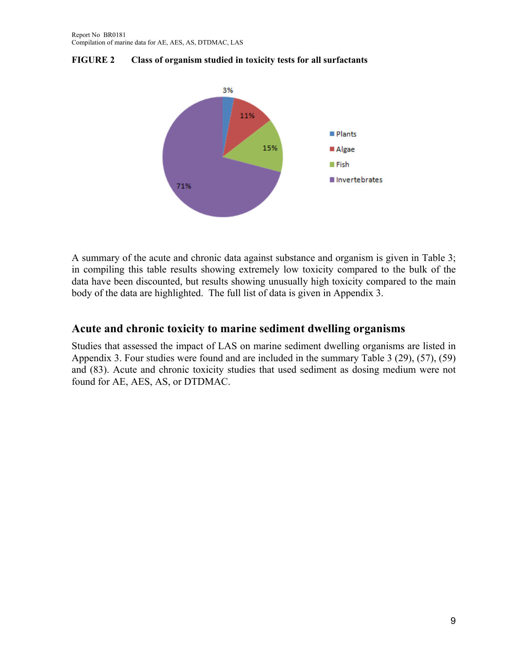

**FIGURE 2 Class of organism studied in toxicity tests for all surfactants** 

A summary of the acute and chronic data against substance and organism is given in Table 3; in compiling this table results showing extremely low toxicity compared to the bulk of the data have been discounted, but results showing unusually high toxicity compared to the main body of the data are highlighted. The full list of data is given in Appendix 3.

#### **Acute and chronic toxicity to marine sediment dwelling organisms**

Studies that assessed the impact of LAS on marine sediment dwelling organisms are listed in Appendix 3. Four studies were found and are included in the summary Table 3 (29), (57), (59) and (83). Acute and chronic toxicity studies that used sediment as dosing medium were not found for AE, AES, AS, or DTDMAC.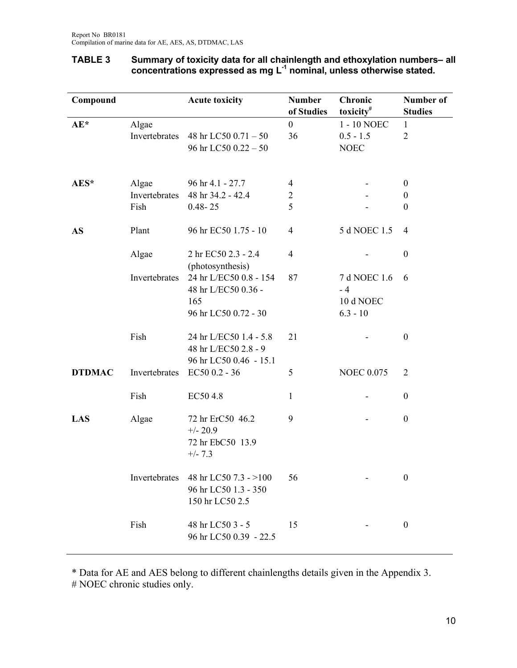| Compound      |               | <b>Acute toxicity</b>                                                    | <b>Number</b><br>of Studies | Chronic<br>toxicity <sup>#</sup>  | Number of<br><b>Studies</b> |
|---------------|---------------|--------------------------------------------------------------------------|-----------------------------|-----------------------------------|-----------------------------|
| $AE^*$        | Algae         |                                                                          | $\boldsymbol{0}$            | 1 - 10 NOEC                       | $\mathbf{1}$                |
|               | Invertebrates | 48 hr LC50 0.71 - 50                                                     | 36                          | $0.5 - 1.5$                       | $\overline{2}$              |
|               |               | 96 hr LC50 0.22 - 50                                                     |                             | <b>NOEC</b>                       |                             |
|               |               |                                                                          |                             |                                   |                             |
| AES*          | Algae         | 96 hr 4.1 - 27.7                                                         | $\overline{4}$              |                                   | $\boldsymbol{0}$            |
|               | Invertebrates | 48 hr 34.2 - 42.4                                                        | $\overline{2}$              |                                   | $\boldsymbol{0}$            |
|               | Fish          | $0.48 - 25$                                                              | 5                           |                                   | $\boldsymbol{0}$            |
|               |               |                                                                          |                             |                                   |                             |
| <b>AS</b>     | Plant         | 96 hr EC50 1.75 - 10                                                     | $\overline{4}$              | 5 d NOEC 1.5                      | 4                           |
|               | Algae         | 2 hr EC50 2.3 - 2.4<br>(photosynthesis)                                  | $\overline{4}$              |                                   | $\boldsymbol{0}$            |
|               | Invertebrates | 24 hr L/EC50 0.8 - 154<br>48 hr L/EC50 0.36 -<br>165                     | 87                          | 7 d NOEC 1.6<br>$-4$<br>10 d NOEC | 6                           |
|               |               | 96 hr LC50 0.72 - 30                                                     |                             | $6.3 - 10$                        |                             |
|               | Fish          | 24 hr L/EC50 1.4 - 5.8<br>48 hr L/EC50 2.8 - 9<br>96 hr LC50 0.46 - 15.1 | 21                          |                                   | $\boldsymbol{0}$            |
| <b>DTDMAC</b> | Invertebrates | EC50 0.2 - 36                                                            | 5                           | <b>NOEC 0.075</b>                 | $\overline{2}$              |
|               | Fish          | EC50 4.8                                                                 | 1                           |                                   | $\boldsymbol{0}$            |
| LAS           | Algae         | 72 hr ErC50 46.2<br>$+/- 20.9$<br>72 hr EbC50 13.9<br>$+/- 7.3$          | 9                           |                                   | $\boldsymbol{0}$            |
|               | Invertebrates | 48 hr LC50 7.3 - >100<br>96 hr LC50 1.3 - 350<br>150 hr LC50 2.5         | 56                          |                                   | $\boldsymbol{0}$            |
|               | Fish          | 48 hr LC50 3 - 5<br>96 hr LC50 0.39 - 22.5                               | 15                          |                                   | $\boldsymbol{0}$            |

#### **TABLE 3 Summary of toxicity data for all chainlength and ethoxylation numbers– all concentrations expressed as mg L-1 nominal, unless otherwise stated.**

\* Data for AE and AES belong to different chainlengths details given in the Appendix 3. # NOEC chronic studies only.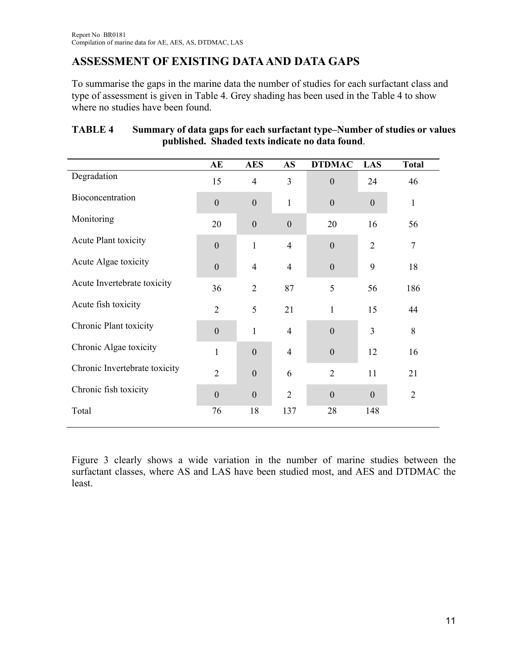# **ASSESSMENT OF EXISTING DATA AND DATA GAPS**

To summarise the gaps in the marine data the number of studies for each surfactant class and type of assessment is given in Table 4. Grey shading has been used in the Table 4 to show where no studies have been found.

|                               | AE               | <b>AES</b>       | <b>AS</b>        | <b>DTDMAC</b>  | LAS            | <b>Total</b>   |
|-------------------------------|------------------|------------------|------------------|----------------|----------------|----------------|
| Degradation                   | 15               | $\overline{4}$   | 3                | $\theta$       | 24             | 46             |
| Bioconcentration              | $\boldsymbol{0}$ | $\overline{0}$   | $\mathbf{1}$     | $\mathbf{0}$   | $\mathbf{0}$   | $\mathbf{1}$   |
| Monitoring                    | 20               | $\boldsymbol{0}$ | $\boldsymbol{0}$ | 20             | 16             | 56             |
| Acute Plant toxicity          | $\overline{0}$   | $\mathbf{1}$     | $\overline{4}$   | $\Omega$       | $\overline{2}$ | $\tau$         |
| Acute Algae toxicity          | $\boldsymbol{0}$ | $\overline{4}$   | $\overline{4}$   | $\mathbf{0}$   | 9              | 18             |
| Acute Invertebrate toxicity   | 36               | $\overline{2}$   | 87               | 5              | 56             | 186            |
| Acute fish toxicity           | $\overline{2}$   | 5                | 21               | $\mathbf{1}$   | 15             | 44             |
| Chronic Plant toxicity        | $\overline{0}$   | $\mathbf{1}$     | $\overline{4}$   | $\theta$       | 3              | 8              |
| Chronic Algae toxicity        | $\mathbf{1}$     | $\overline{0}$   | $\overline{4}$   | $\mathbf{0}$   | 12             | 16             |
| Chronic Invertebrate toxicity | $\overline{2}$   | $\overline{0}$   | 6                | $\overline{2}$ | 11             | 21             |
| Chronic fish toxicity         | $\theta$         | $\overline{0}$   | $\overline{2}$   | $\theta$       | $\theta$       | $\overline{2}$ |
| Total                         | 76               | 18               | 137              | 28             | 148            |                |

#### **TABLE 4 Summary of data gaps for each surfactant type–Number of studies or values published. Shaded texts indicate no data found**.

Figure 3 clearly shows a wide variation in the number of marine studies between the surfactant classes, where AS and LAS have been studied most, and AES and DTDMAC the least.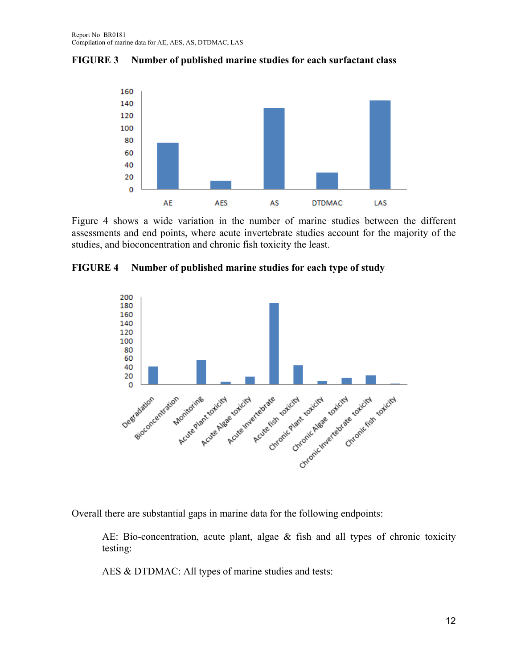**FIGURE 3 Number of published marine studies for each surfactant class** 



Figure 4 shows a wide variation in the number of marine studies between the different assessments and end points, where acute invertebrate studies account for the majority of the studies, and bioconcentration and chronic fish toxicity the least.

**FIGURE 4 Number of published marine studies for each type of study**



Overall there are substantial gaps in marine data for the following endpoints:

AE: Bio-concentration, acute plant, algae & fish and all types of chronic toxicity testing:

AES & DTDMAC: All types of marine studies and tests: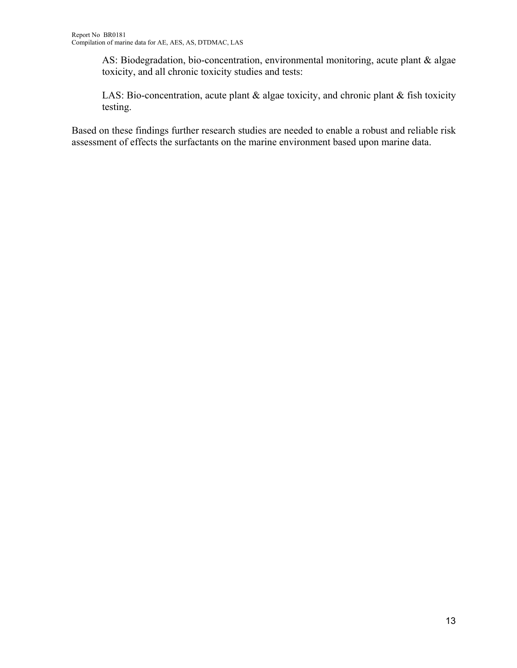AS: Biodegradation, bio-concentration, environmental monitoring, acute plant & algae toxicity, and all chronic toxicity studies and tests:

LAS: Bio-concentration, acute plant & algae toxicity, and chronic plant & fish toxicity testing.

Based on these findings further research studies are needed to enable a robust and reliable risk assessment of effects the surfactants on the marine environment based upon marine data.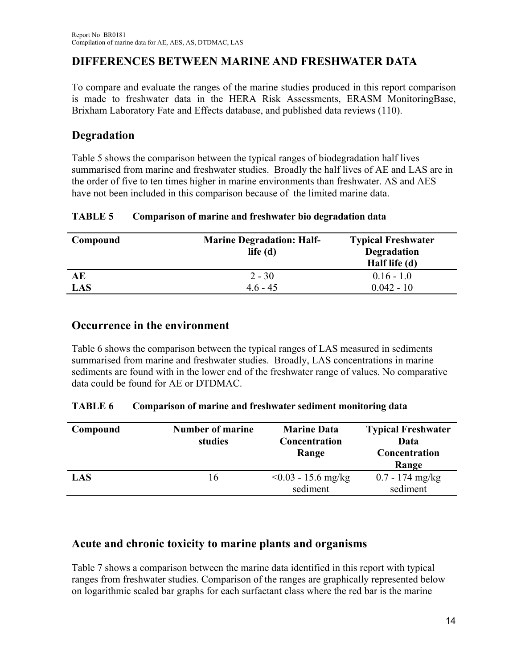## **DIFFERENCES BETWEEN MARINE AND FRESHWATER DATA**

To compare and evaluate the ranges of the marine studies produced in this report comparison is made to freshwater data in the HERA Risk Assessments, ERASM MonitoringBase, Brixham Laboratory Fate and Effects database, and published data reviews (110).

## **Degradation**

Table 5 shows the comparison between the typical ranges of biodegradation half lives summarised from marine and freshwater studies. Broadly the half lives of AE and LAS are in the order of five to ten times higher in marine environments than freshwater. AS and AES have not been included in this comparison because of the limited marine data.

| <b>TABLE 5</b> | Comparison of marine and freshwater bio degradation data |  |
|----------------|----------------------------------------------------------|--|
|                |                                                          |  |

| Compound | <b>Marine Degradation: Half-</b><br>life $(d)$ | <b>Typical Freshwater</b><br><b>Degradation</b><br>Half life (d) |
|----------|------------------------------------------------|------------------------------------------------------------------|
| АE       | $2 - 30$                                       | $0.16 - 1.0$                                                     |
| LAS      | $46 - 45$                                      | $0.042 - 10$                                                     |

## **Occurrence in the environment**

Table 6 shows the comparison between the typical ranges of LAS measured in sediments summarised from marine and freshwater studies. Broadly, LAS concentrations in marine sediments are found with in the lower end of the freshwater range of values. No comparative data could be found for AE or DTDMAC.

#### **TABLE 6 Comparison of marine and freshwater sediment monitoring data**

| Compound | Number of marine<br>studies | <b>Marine Data</b><br>Concentration<br>Range | <b>Typical Freshwater</b><br>Data<br>Concentration<br>Range |
|----------|-----------------------------|----------------------------------------------|-------------------------------------------------------------|
| LAS      | 16                          | $< 0.03 - 15.6$ mg/kg<br>sediment            | $0.7 - 174$ mg/kg<br>sediment                               |

## **Acute and chronic toxicity to marine plants and organisms**

Table 7 shows a comparison between the marine data identified in this report with typical ranges from freshwater studies. Comparison of the ranges are graphically represented below on logarithmic scaled bar graphs for each surfactant class where the red bar is the marine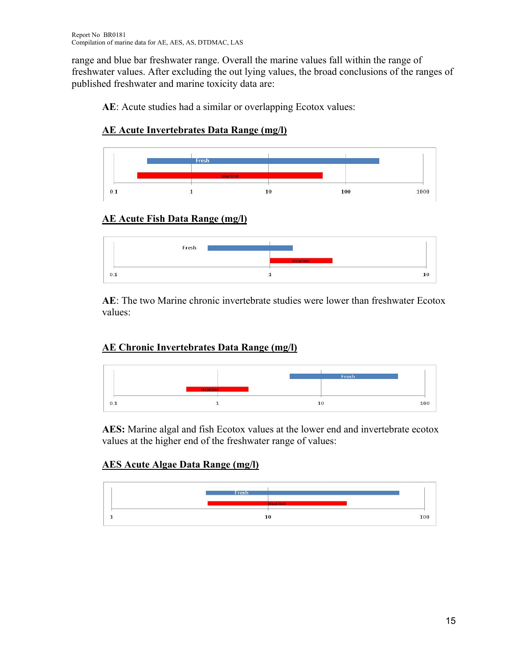range and blue bar freshwater range. Overall the marine values fall within the range of freshwater values. After excluding the out lying values, the broad conclusions of the ranges of published freshwater and marine toxicity data are:

**AE**: Acute studies had a similar or overlapping Ecotox values:

## **AE Acute Invertebrates Data Range (mg/l)**



# **AE Acute Fish Data Range (mg/l)**



**AE**: The two Marine chronic invertebrate studies were lower than freshwater Ecotox values:

## **AE Chronic Invertebrates Data Range (mg/l)**



**AES:** Marine algal and fish Ecotox values at the lower end and invertebrate ecotox values at the higher end of the freshwater range of values:

## **AES Acute Algae Data Range (mg/l)**

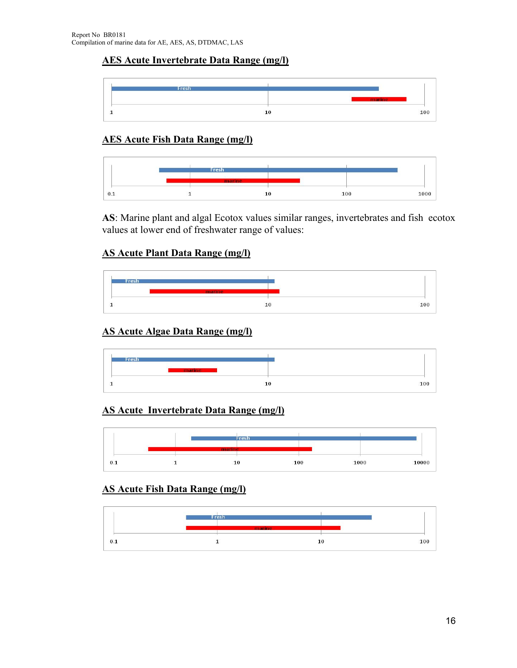#### **AES Acute Invertebrate Data Range (mg/l)**



#### **AES Acute Fish Data Range (mg/l)**



**AS**: Marine plant and algal Ecotox values similar ranges, invertebrates and fish ecotox values at lower end of freshwater range of values:

#### **AS Acute Plant Data Range (mg/l)**



## **AS Acute Algae Data Range (mg/l)**



#### **AS Acute Invertebrate Data Range (mg/l)**



### **AS Acute Fish Data Range (mg/l)**

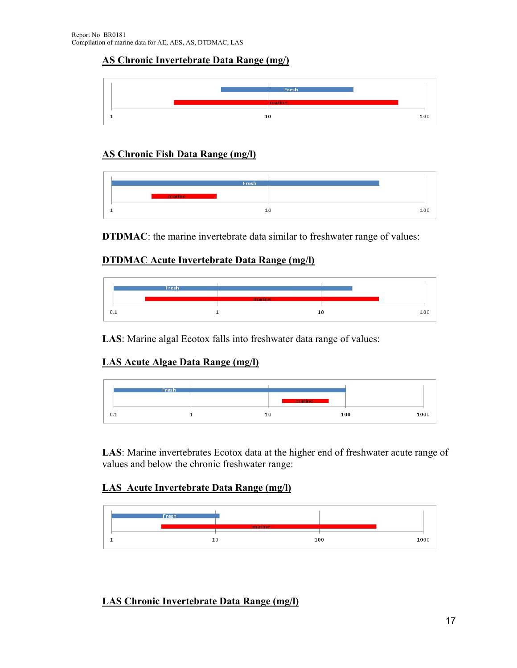### **AS Chronic Invertebrate Data Range (mg/)**



#### **AS Chronic Fish Data Range (mg/l)**



**DTDMAC**: the marine invertebrate data similar to freshwater range of values:

#### **DTDMAC Acute Invertebrate Data Range (mg/l)**



**LAS**: Marine algal Ecotox falls into freshwater data range of values:

## **LAS Acute Algae Data Range (mg/l)**

|            | Fresh |                                                  |     |      |
|------------|-------|--------------------------------------------------|-----|------|
|            |       | the company's product of the company's company's |     |      |
| - 2<br>0.1 |       | - 2<br>10                                        | 100 | 1000 |

**LAS**: Marine invertebrates Ecotox data at the higher end of freshwater acute range of values and below the chronic freshwater range:

#### **LAS Acute Invertebrate Data Range (mg/l)**



## **LAS Chronic Invertebrate Data Range (mg/l)**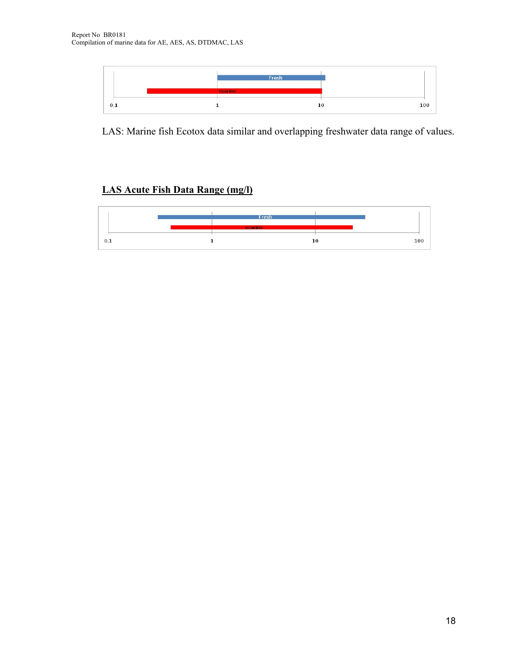

LAS: Marine fish Ecotox data similar and overlapping freshwater data range of values.

### **LAS Acute Fish Data Range (mg/l)**

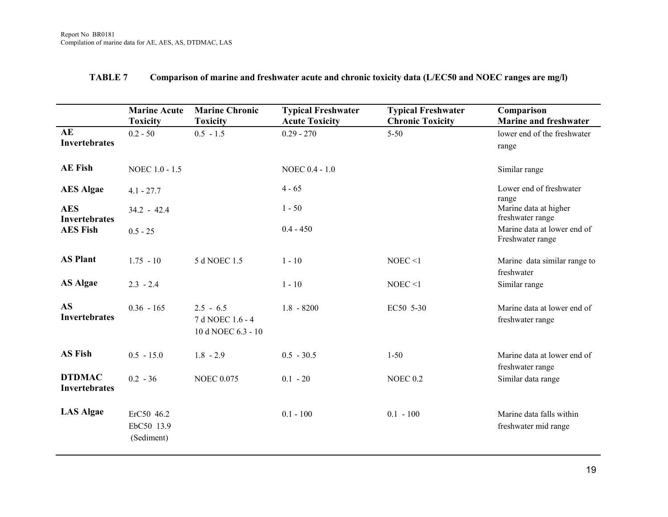|                                       | <b>Marine Acute</b><br><b>Toxicity</b> | <b>Marine Chronic</b><br><b>Toxicity</b>              | <b>Typical Freshwater</b><br><b>Acute Toxicity</b> | <b>Typical Freshwater</b><br><b>Chronic Toxicity</b> | Comparison<br><b>Marine and freshwater</b>       |
|---------------------------------------|----------------------------------------|-------------------------------------------------------|----------------------------------------------------|------------------------------------------------------|--------------------------------------------------|
| AE<br><b>Invertebrates</b>            | $0.2 - 50$                             | $0.5 - 1.5$                                           | $0.29 - 270$                                       | $5 - 50$                                             | lower end of the freshwater<br>range             |
| <b>AE Fish</b>                        | NOEC 1.0 - 1.5                         |                                                       | NOEC 0.4 - 1.0                                     |                                                      | Similar range                                    |
| <b>AES</b> Algae                      | $4.1 - 27.7$                           |                                                       | $4 - 65$                                           |                                                      | Lower end of freshwater<br>range                 |
| <b>AES</b><br><b>Invertebrates</b>    | $34.2 - 42.4$                          |                                                       | $1 - 50$                                           |                                                      | Marine data at higher<br>freshwater range        |
| <b>AES Fish</b>                       | $0.5 - 25$                             |                                                       | $0.4 - 450$                                        |                                                      | Marine data at lower end of<br>Freshwater range  |
| <b>AS Plant</b>                       | $1.75 - 10$                            | 5 d NOEC 1.5                                          | $1 - 10$                                           | NOEC <1                                              | Marine data similar range to<br>freshwater       |
| <b>AS Algae</b>                       | $2.3 - 2.4$                            |                                                       | $1 - 10$                                           | NOEC <1                                              | Similar range                                    |
| <b>AS</b><br><b>Invertebrates</b>     | $0.36 - 165$                           | $2.5 - 6.5$<br>7 d NOEC 1.6 - 4<br>10 d NOEC 6.3 - 10 | $1.8 - 8200$                                       | EC50 5-30                                            | Marine data at lower end of<br>freshwater range  |
| <b>AS Fish</b>                        | $0.5 - 15.0$                           | $1.8 - 2.9$                                           | $0.5 - 30.5$                                       | $1 - 50$                                             | Marine data at lower end of<br>freshwater range  |
| <b>DTDMAC</b><br><b>Invertebrates</b> | $0.2 - 36$                             | <b>NOEC 0.075</b>                                     | $0.1 - 20$                                         | <b>NOEC 0.2</b>                                      | Similar data range                               |
| <b>LAS Algae</b>                      | ErC50 46.2<br>EbC50 13.9<br>(Sediment) |                                                       | $0.1 - 100$                                        | $0.1 - 100$                                          | Marine data falls within<br>freshwater mid range |

#### **TABLE 7 Comparison of marine and freshwater acute and chronic toxicity data (L/EC50 and NOEC ranges are mg/l)**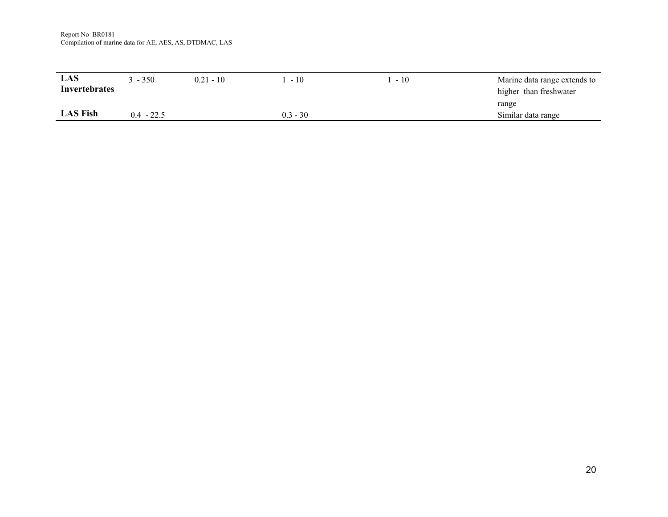Report No BR0181 Compilation of marine data for AE, AES, AS, DTDMAC, LAS

| LAS<br><b>Invertebrates</b> | $3 - 350$    | $0.21 - 10$ | $-10$      | $-10$ | Marine data range extends to<br>higher than freshwater |
|-----------------------------|--------------|-------------|------------|-------|--------------------------------------------------------|
|                             |              |             |            |       | range                                                  |
| <b>LAS Fish</b>             | $0.4 - 22.5$ |             | $0.3 - 30$ |       | Similar data range                                     |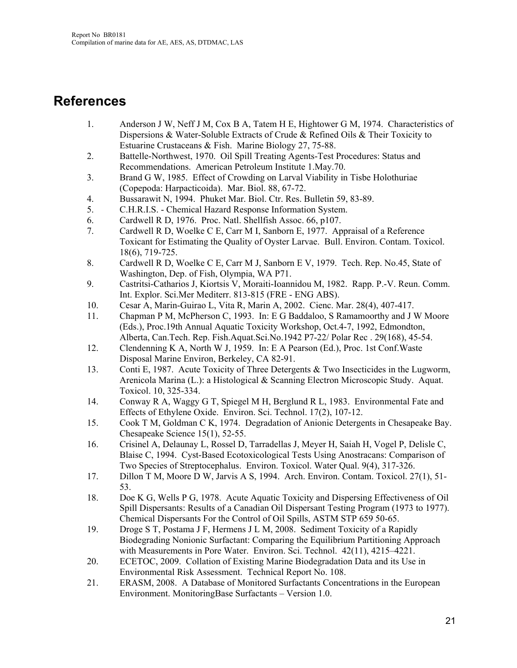# **References**

- 1. Anderson J W, Neff J M, Cox B A, Tatem H E, Hightower G M, 1974. Characteristics of Dispersions & Water-Soluble Extracts of Crude & Refined Oils & Their Toxicity to Estuarine Crustaceans & Fish. Marine Biology 27, 75-88.
- 2. Battelle-Northwest, 1970. Oil Spill Treating Agents-Test Procedures: Status and Recommendations. American Petroleum Institute 1.May.70.
- 3. Brand G W, 1985. Effect of Crowding on Larval Viability in Tisbe Holothuriae (Copepoda: Harpacticoida). Mar. Biol. 88, 67-72.
- 4. Bussarawit N, 1994. Phuket Mar. Biol. Ctr. Res. Bulletin 59, 83-89.
- 5. C.H.R.I.S. Chemical Hazard Response Information System.
- 6. Cardwell R D, 1976. Proc. Natl. Shellfish Assoc. 66, p107.
- 7. Cardwell R D, Woelke C E, Carr M I, Sanborn E, 1977. Appraisal of a Reference Toxicant for Estimating the Quality of Oyster Larvae. Bull. Environ. Contam. Toxicol. 18(6), 719-725.
- 8. Cardwell R D, Woelke C E, Carr M J, Sanborn E V, 1979. Tech. Rep. No.45, State of Washington, Dep. of Fish, Olympia, WA P71.
- 9. Castritsi-Catharios J, Kiortsis V, Moraiti-Ioannidou M, 1982. Rapp. P.-V. Reun. Comm. Int. Explor. Sci.Mer Mediterr. 813-815 (FRE - ENG ABS).
- 10. Cesar A, Marin-Guirao L, Vita R, Marin A, 2002. Cienc. Mar. 28(4), 407-417.
- 11. Chapman P M, McPherson C, 1993. In: E G Baddaloo, S Ramamoorthy and J W Moore (Eds.), Proc.19th Annual Aquatic Toxicity Workshop, Oct.4-7, 1992, Edmondton, Alberta, Can.Tech. Rep. Fish.Aquat.Sci.No.1942 P7-22/ Polar Rec . 29(168), 45-54.
- 12. Clendenning K A, North W J, 1959. In: E A Pearson (Ed.), Proc. 1st Conf.Waste Disposal Marine Environ, Berkeley, CA 82-91.
- 13. Conti E, 1987. Acute Toxicity of Three Detergents & Two Insecticides in the Lugworm, Arenicola Marina (L.): a Histological & Scanning Electron Microscopic Study. Aquat. Toxicol. 10, 325-334.
- 14. Conway R A, Waggy G T, Spiegel M H, Berglund R L, 1983. Environmental Fate and Effects of Ethylene Oxide. Environ. Sci. Technol. 17(2), 107-12.
- 15. Cook T M, Goldman C K, 1974. Degradation of Anionic Detergents in Chesapeake Bay. Chesapeake Science 15(1), 52-55.
- 16. Crisinel A, Delaunay L, Rossel D, Tarradellas J, Meyer H, Saiah H, Vogel P, Delisle C, Blaise C, 1994. Cyst-Based Ecotoxicological Tests Using Anostracans: Comparison of Two Species of Streptocephalus. Environ. Toxicol. Water Qual. 9(4), 317-326.
- 17. Dillon T M, Moore D W, Jarvis A S, 1994. Arch. Environ. Contam. Toxicol. 27(1), 51- 53.
- 18. Doe K G, Wells P G, 1978. Acute Aquatic Toxicity and Dispersing Effectiveness of Oil Spill Dispersants: Results of a Canadian Oil Dispersant Testing Program (1973 to 1977). Chemical Dispersants For the Control of Oil Spills, ASTM STP 659 50-65.
- 19. Droge S T, Postama J F, Hermens J L M, 2008. Sediment Toxicity of a Rapidly Biodegrading Nonionic Surfactant: Comparing the Equilibrium Partitioning Approach with Measurements in Pore Water. Environ. Sci. Technol. 42(11), 4215–4221.
- 20. ECETOC, 2009. Collation of Existing Marine Biodegradation Data and its Use in Environmental Risk Assessment. Technical Report No. 108.
- 21. ERASM, 2008. A Database of Monitored Surfactants Concentrations in the European Environment. MonitoringBase Surfactants – Version 1.0.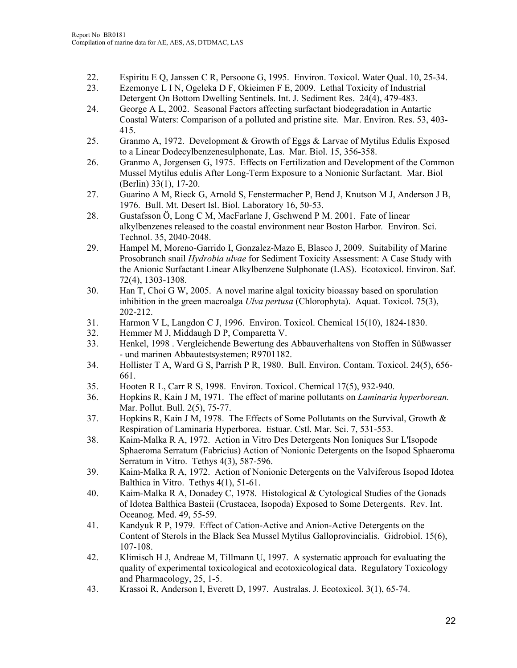- 22. Espiritu E Q, Janssen C R, Persoone G, 1995. Environ. Toxicol. Water Qual. 10, 25-34.
- 23. Ezemonye L I N, Ogeleka D F, Okieimen F E, 2009. Lethal Toxicity of Industrial Detergent On Bottom Dwelling Sentinels. Int. J. Sediment Res. 24(4), 479-483.
- 24. George A L, 2002. Seasonal Factors affecting surfactant biodegradation in Antartic Coastal Waters: Comparison of a polluted and pristine site. Mar. Environ. Res. 53, 403- 415.
- 25. Granmo A, 1972. Development & Growth of Eggs & Larvae of Mytilus Edulis Exposed to a Linear Dodecylbenzenesulphonate, Las. Mar. Biol. 15, 356-358.
- 26. Granmo A, Jorgensen G, 1975. Effects on Fertilization and Development of the Common Mussel Mytilus edulis After Long-Term Exposure to a Nonionic Surfactant. Mar. Biol (Berlin) 33(1), 17-20.
- 27. Guarino A M, Rieck G, Arnold S, Fenstermacher P, Bend J, Knutson M J, Anderson J B, 1976. Bull. Mt. Desert Isl. Biol. Laboratory 16, 50-53.
- 28. Gustafsson Ö, Long C M, MacFarlane J, Gschwend P M. 2001. Fate of linear alkylbenzenes released to the coastal environment near Boston Harbor*.* Environ. Sci. Technol. 35, 2040-2048.
- 29. Hampel M, Moreno-Garrido I, Gonzalez-Mazo E, Blasco J, 2009. Suitability of Marine Prosobranch snail *Hydrobia ulvae* for Sediment Toxicity Assessment: A Case Study with the Anionic Surfactant Linear Alkylbenzene Sulphonate (LAS). Ecotoxicol. Environ. Saf. 72(4), 1303-1308.
- 30. Han T, Choi G W, 2005. A novel marine algal toxicity bioassay based on sporulation inhibition in the green macroalga *Ulva pertusa* (Chlorophyta). Aquat. Toxicol. 75(3), 202-212.
- 31. Harmon V L, Langdon C J, 1996. Environ. Toxicol. Chemical 15(10), 1824-1830.
- 32. Hemmer M J, Middaugh D P, Comparetta V.
- 33. Henkel, 1998 . Vergleichende Bewertung des Abbauverhaltens von Stoffen in Süßwasser - und marinen Abbautestsystemen; R9701182.
- 34. Hollister T A, Ward G S, Parrish P R, 1980. Bull. Environ. Contam. Toxicol. 24(5), 656- 661.
- 35. Hooten R L, Carr R S, 1998. Environ. Toxicol. Chemical 17(5), 932-940.
- 36. Hopkins R, Kain J M, 1971. The effect of marine pollutants on *Laminaria hyperborean.* Mar. Pollut. Bull. 2(5), 75-77.
- 37. Hopkins R, Kain J M, 1978. The Effects of Some Pollutants on the Survival, Growth & Respiration of Laminaria Hyperborea. Estuar. Cstl. Mar. Sci. 7, 531-553.
- 38. Kaim-Malka R A, 1972. Action in Vitro Des Detergents Non Ioniques Sur L'Isopode Sphaeroma Serratum (Fabricius) Action of Nonionic Detergents on the Isopod Sphaeroma Serratum in Vitro. Tethys 4(3), 587-596.
- 39. Kaim-Malka R A, 1972. Action of Nonionic Detergents on the Valviferous Isopod Idotea Balthica in Vitro. Tethys 4(1), 51-61.
- 40. Kaim-Malka R A, Donadey C, 1978. Histological & Cytological Studies of the Gonads of Idotea Balthica Basteii (Crustacea, Isopoda) Exposed to Some Detergents. Rev. Int. Oceanog. Med. 49, 55-59.
- 41. Kandyuk R P, 1979. Effect of Cation-Active and Anion-Active Detergents on the Content of Sterols in the Black Sea Mussel Mytilus Galloprovincialis. Gidrobiol. 15(6), 107-108.
- 42. Klimisch H J, Andreae M, Tillmann U, 1997. A systematic approach for evaluating the quality of experimental toxicological and ecotoxicological data. Regulatory Toxicology and Pharmacology, 25, 1-5.
- 43. Krassoi R, Anderson I, Everett D, 1997. Australas. J. Ecotoxicol. 3(1), 65-74.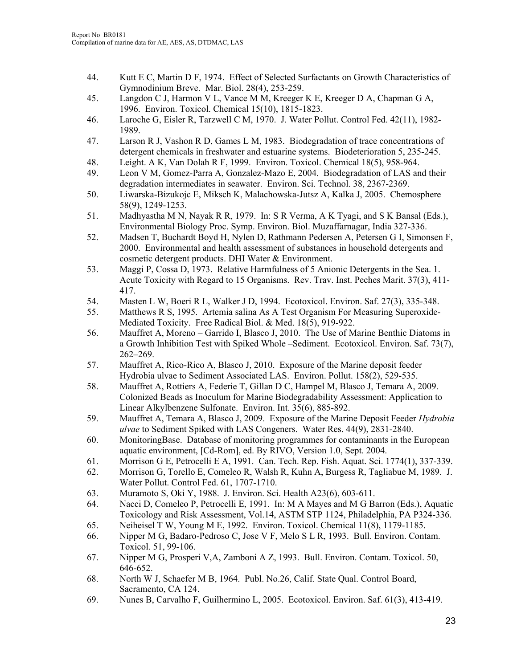- 44. Kutt E C, Martin D F, 1974. Effect of Selected Surfactants on Growth Characteristics of Gymnodinium Breve. Mar. Biol. 28(4), 253-259.
- 45. Langdon C J, Harmon V L, Vance M M, Kreeger K E, Kreeger D A, Chapman G A, 1996. Environ. Toxicol. Chemical 15(10), 1815-1823.
- 46. Laroche G, Eisler R, Tarzwell C M, 1970. J. Water Pollut. Control Fed. 42(11), 1982- 1989.
- 47. Larson R J, Vashon R D, Games L M, 1983. Biodegradation of trace concentrations of detergent chemicals in freshwater and estuarine systems. Biodeterioration 5, 235-245.
- 48. Leight. A K, Van Dolah R F, 1999. Environ. Toxicol. Chemical 18(5), 958-964.
- 49. Leon V M, Gomez-Parra A, Gonzalez-Mazo E, 2004. Biodegradation of LAS and their degradation intermediates in seawater. Environ. Sci. Technol. 38, 2367-2369.
- 50. Liwarska-Bizukojc E, Miksch K, Malachowska-Jutsz A, Kalka J, 2005. Chemosphere 58(9), 1249-1253.
- 51. Madhyastha M N, Nayak R R, 1979. In: S R Verma, A K Tyagi, and S K Bansal (Eds.), Environmental Biology Proc. Symp. Environ. Biol. Muzaffarnagar, India 327-336.
- 52. Madsen T, Buchardt Boyd H, Nylen D, Rathmann Pedersen A, Petersen G I, Simonsen F, 2000. Environmental and health assessment of substances in household detergents and cosmetic detergent products. DHI Water & Environment.
- 53. Maggi P, Cossa D, 1973. Relative Harmfulness of 5 Anionic Detergents in the Sea. 1. Acute Toxicity with Regard to 15 Organisms. Rev. Trav. Inst. Peches Marit. 37(3), 411- 417.
- 54. Masten L W, Boeri R L, Walker J D, 1994. Ecotoxicol. Environ. Saf. 27(3), 335-348.
- 55. Matthews R S, 1995. Artemia salina As A Test Organism For Measuring Superoxide-Mediated Toxicity. Free Radical Biol. & Med. 18(5), 919-922.
- 56. Mauffret A, Moreno Garrido I, Blasco J, 2010. The Use of Marine Benthic Diatoms in a Growth Inhibition Test with Spiked Whole –Sediment. Ecotoxicol. Environ. Saf. 73(7), 262–269.
- 57. Mauffret A, Rico-Rico A, Blasco J, 2010. Exposure of the Marine deposit feeder Hydrobia ulvae to Sediment Associated LAS. Environ. Pollut. 158(2), 529-535.
- 58. Mauffret A, Rottiers A, Federie T, Gillan D C, Hampel M, Blasco J, Temara A, 2009. Colonized Beads as Inoculum for Marine Biodegradability Assessment: Application to Linear Alkylbenzene Sulfonate. Environ. Int. 35(6), 885-892.
- 59. Mauffret A, Temara A, Blasco J, 2009. Exposure of the Marine Deposit Feeder *Hydrobia ulvae* to Sediment Spiked with LAS Congeners. Water Res. 44(9), 2831-2840.
- 60. MonitoringBase. Database of monitoring programmes for contaminants in the European aquatic environment, [Cd-Rom], ed. By RIVO, Version 1.0, Sept. 2004.
- 61. Morrison G E, Petrocelli E A, 1991. Can. Tech. Rep. Fish. Aquat. Sci. 1774(1), 337-339.
- 62. Morrison G, Torello E, Comeleo R, Walsh R, Kuhn A, Burgess R, Tagliabue M, 1989. J. Water Pollut. Control Fed. 61, 1707-1710.
- 63. Muramoto S, Oki Y, 1988. J. Environ. Sci. Health A23(6), 603-611.
- 64. Nacci D, Comeleo P, Petrocelli E, 1991. In: M A Mayes and M G Barron (Eds.), Aquatic Toxicology and Risk Assessment, Vol.14, ASTM STP 1124, Philadelphia, PA P324-336.
- 65. Neiheisel T W, Young M E, 1992. Environ. Toxicol. Chemical 11(8), 1179-1185.
- 66. Nipper M G, Badaro-Pedroso C, Jose V F, Melo S L R, 1993. Bull. Environ. Contam. Toxicol. 51, 99-106.
- 67. Nipper M G, Prosperi V,A, Zamboni A Z, 1993. Bull. Environ. Contam. Toxicol. 50, 646-652.
- 68. North W J, Schaefer M B, 1964. Publ. No.26, Calif. State Qual. Control Board, Sacramento, CA 124.
- 69. Nunes B, Carvalho F, Guilhermino L, 2005. Ecotoxicol. Environ. Saf. 61(3), 413-419.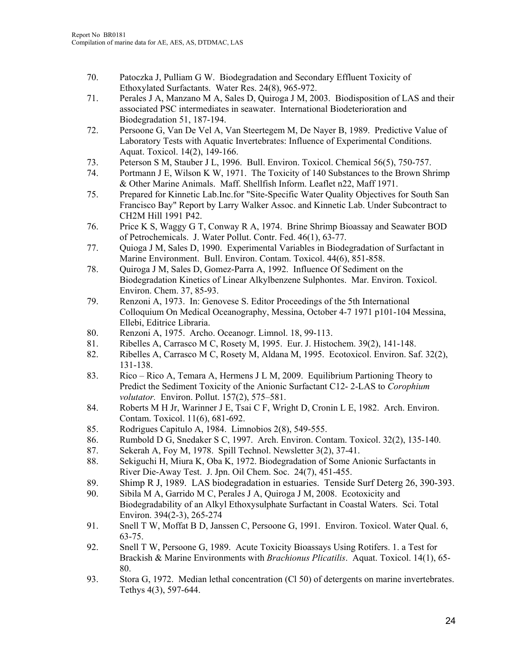- 70. Patoczka J, Pulliam G W. Biodegradation and Secondary Effluent Toxicity of Ethoxylated Surfactants. Water Res. 24(8), 965-972.
- 71. Perales J A, Manzano M A, Sales D, Quiroga J M, 2003. Biodisposition of LAS and their associated PSC intermediates in seawater. International Biodeterioration and Biodegradation 51, 187-194.
- 72. Persoone G, Van De Vel A, Van Steertegem M, De Nayer B, 1989. Predictive Value of Laboratory Tests with Aquatic Invertebrates: Influence of Experimental Conditions. Aquat. Toxicol. 14(2), 149-166.
- 73. Peterson S M, Stauber J L, 1996. Bull. Environ. Toxicol. Chemical 56(5), 750-757.
- 74. Portmann J E, Wilson K W, 1971. The Toxicity of 140 Substances to the Brown Shrimp & Other Marine Animals. Maff. Shellfish Inform. Leaflet n22, Maff 1971.
- 75. Prepared for Kinnetic Lab.Inc.for "Site-Specific Water Quality Objectives for South San Francisco Bay" Report by Larry Walker Assoc. and Kinnetic Lab. Under Subcontract to CH2M Hill 1991 P42.
- 76. Price K S, Waggy G T, Conway R A, 1974. Brine Shrimp Bioassay and Seawater BOD of Petrochemicals. J. Water Pollut. Contr. Fed. 46(1), 63-77.
- 77. Quioga J M, Sales D, 1990. Experimental Variables in Biodegradation of Surfactant in Marine Environment. Bull. Environ. Contam. Toxicol. 44(6), 851-858.
- 78. Quiroga J M, Sales D, Gomez-Parra A, 1992. Influence Of Sediment on the Biodegradation Kinetics of Linear Alkylbenzene Sulphontes. Mar. Environ. Toxicol. Environ. Chem. 37, 85-93.
- 79. Renzoni A, 1973. In: Genovese S. Editor Proceedings of the 5th International Colloquium On Medical Oceanography, Messina, October 4-7 1971 p101-104 Messina, Ellebi, Editrice Libraria.
- 80. Renzoni A, 1975. Archo. Oceanogr. Limnol. 18, 99-113.
- 81. Ribelles A, Carrasco M C, Rosety M, 1995. Eur. J. Histochem. 39(2), 141-148.
- 82. Ribelles A, Carrasco M C, Rosety M, Aldana M, 1995. Ecotoxicol. Environ. Saf. 32(2), 131-138.
- 83. Rico Rico A, Temara A, Hermens J L M, 2009. Equilibrium Partioning Theory to Predict the Sediment Toxicity of the Anionic Surfactant C12- 2-LAS to *Corophium volutator.* Environ. Pollut. 157(2), 575–581.
- 84. Roberts M H Jr, Warinner J E, Tsai C F, Wright D, Cronin L E, 1982. Arch. Environ. Contam. Toxicol. 11(6), 681-692.
- 85. Rodrigues Capitulo A, 1984. Limnobios 2(8), 549-555.
- 86. Rumbold D G, Snedaker S C, 1997. Arch. Environ. Contam. Toxicol. 32(2), 135-140.
- 87. Sekerah A, Foy M, 1978. Spill Technol. Newsletter 3(2), 37-41.
- 88. Sekiguchi H, Miura K, Oba K, 1972. Biodegradation of Some Anionic Surfactants in River Die-Away Test. J. Jpn. Oil Chem. Soc. 24(7), 451-455.
- 89. Shimp R J, 1989. LAS biodegradation in estuaries. Tenside Surf Deterg 26, 390-393.
- 90. Sibila M A, Garrido M C, Perales J A, Quiroga J M, 2008. Ecotoxicity and Biodegradability of an Alkyl Ethoxysulphate Surfactant in Coastal Waters. Sci. Total Environ. 394(2-3), 265-274
- 91. Snell T W, Moffat B D, Janssen C, Persoone G, 1991. Environ. Toxicol. Water Qual. 6, 63-75.
- 92. Snell T W, Persoone G, 1989. Acute Toxicity Bioassays Using Rotifers. 1. a Test for Brackish & Marine Environments with *Brachionus Plicatilis*. Aquat. Toxicol. 14(1), 65- 80.
- 93. Stora G, 1972. Median lethal concentration (Cl 50) of detergents on marine invertebrates. Tethys 4(3), 597-644.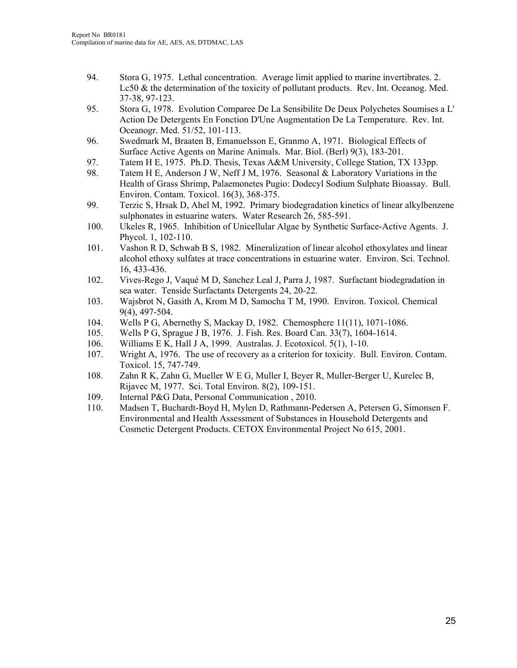- 94. Stora G, 1975. Lethal concentration. Average limit applied to marine invertibrates. 2. Lc50 & the determination of the toxicity of pollutant products. Rev. Int. Oceanog. Med. 37-38, 97-123.
- 95. Stora G, 1978. Evolution Comparee De La Sensibilite De Deux Polychetes Soumises a L' Action De Detergents En Fonction D'Une Augmentation De La Temperature. Rev. Int. Oceanogr. Med. 51/52, 101-113.
- 96. Swedmark M, Braaten B, Emanuelsson E, Granmo A, 1971. Biological Effects of Surface Active Agents on Marine Animals. Mar. Biol. (Berl) 9(3), 183-201.
- 97. Tatem H E, 1975. Ph.D. Thesis, Texas A&M University, College Station, TX 133pp.
- 98. Tatem H E, Anderson J W, Neff J M, 1976. Seasonal & Laboratory Variations in the Health of Grass Shrimp, Palaemonetes Pugio: Dodecyl Sodium Sulphate Bioassay. Bull. Environ. Contam. Toxicol. 16(3), 368-375.
- 99. Terzic S, Hrsak D, Ahel M, 1992. Primary biodegradation kinetics of linear alkylbenzene sulphonates in estuarine waters. Water Research 26, 585-591.
- 100. Ukeles R, 1965. Inhibition of Unicellular Algae by Synthetic Surface-Active Agents. J. Phycol. 1, 102-110.
- 101. Vashon R D, Schwab B S, 1982. Mineralization of linear alcohol ethoxylates and linear alcohol ethoxy sulfates at trace concentrations in estuarine water. Environ. Sci. Technol. 16, 433-436.
- 102. Vives-Rego J, Vaqué M D, Sanchez Leal J, Parra J, 1987. Surfactant biodegradation in sea water. Tenside Surfactants Detergents 24, 20-22.
- 103. Wajsbrot N, Gasith A, Krom M D, Samocha T M, 1990. Environ. Toxicol. Chemical 9(4), 497-504.
- 104. Wells P G, Abernethy S, Mackay D, 1982. Chemosphere 11(11), 1071-1086.
- 105. Wells P G, Sprague J B, 1976. J. Fish. Res. Board Can. 33(7), 1604-1614.
- 106. Williams E K, Hall J A, 1999. Australas. J. Ecotoxicol. 5(1), 1-10.
- 107. Wright A, 1976. The use of recovery as a criterion for toxicity. Bull. Environ. Contam. Toxicol. 15, 747-749.
- 108. Zahn R K, Zahn G, Mueller W E G, Muller I, Beyer R, Muller-Berger U, Kurelec B, Rijavec M, 1977. Sci. Total Environ. 8(2), 109-151.
- 109. Internal P&G Data, Personal Communication , 2010.
- 110. Madsen T, Buchardt-Boyd H, Mylen D, Rathmann-Pedersen A, Petersen G, Simonsen F. Environmental and Health Assessment of Substances in Household Detergents and Cosmetic Detergent Products. CETOX Environmental Project No 615, 2001.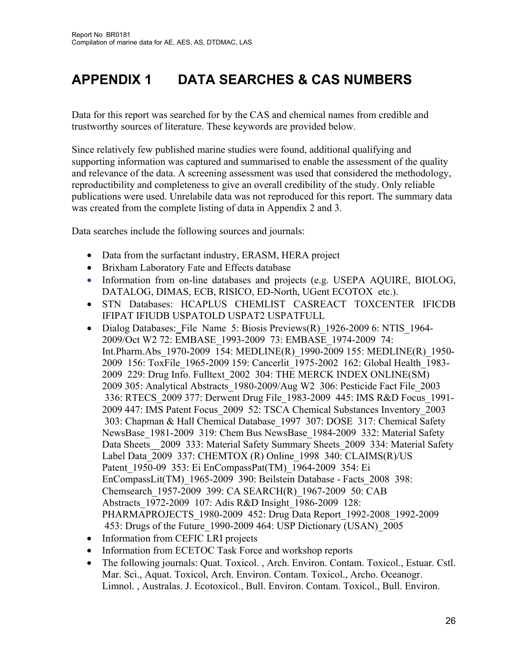# **APPENDIX 1 DATA SEARCHES & CAS NUMBERS**

Data for this report was searched for by the CAS and chemical names from credible and trustworthy sources of literature. These keywords are provided below.

Since relatively few published marine studies were found, additional qualifying and supporting information was captured and summarised to enable the assessment of the quality and relevance of the data. A screening assessment was used that considered the methodology, reproductibility and completeness to give an overall credibility of the study. Only reliable publications were used. Unrelabile data was not reproduced for this report. The summary data was created from the complete listing of data in Appendix 2 and 3.

Data searches include the following sources and journals:

- Data from the surfactant industry, ERASM, HERA project
- Brixham Laboratory Fate and Effects database
- Information from on-line databases and projects (e.g. USEPA AQUIRE, BIOLOG, DATALOG, DIMAS, ECB, RISICO, ED-North, UGent ECOTOX etc.).
- STN Databases: HCAPLUS CHEMLIST CASREACT TOXCENTER IFICDB IFIPAT IFIUDB USPATOLD USPAT2 USPATFULL
- Dialog Databases:File Name 5: Biosis Previews(R)\_1926-2009 6: NTIS\_1964- 2009/Oct W2 72: EMBASE\_1993-2009 73: EMBASE\_1974-2009 74: Int.Pharm.Abs\_1970-2009 154: MEDLINE(R)\_1990-2009 155: MEDLINE(R)\_1950- 2009 156: ToxFile\_1965-2009 159: Cancerlit\_1975-2002 162: Global Health\_1983- 2009 229: Drug Info. Fulltext\_2002 304: THE MERCK INDEX ONLINE(SM) 2009 305: Analytical Abstracts\_1980-2009/Aug W2 306: Pesticide Fact File\_2003 336: RTECS\_2009 377: Derwent Drug File\_1983-2009 445: IMS R&D Focus\_1991- 2009 447: IMS Patent Focus\_2009 52: TSCA Chemical Substances Inventory\_2003 303: Chapman & Hall Chemical Database\_1997 307: DOSE 317: Chemical Safety NewsBase\_1981-2009 319: Chem Bus NewsBase\_1984-2009 332: Material Safety Data Sheets\_\_2009 333: Material Safety Summary Sheets\_2009 334: Material Safety Label Data 2009 337: CHEMTOX (R) Online 1998 340: CLAIMS(R)/US Patent\_1950-09 353: Ei EnCompassPat(TM)\_1964-2009 354: Ei EnCompassLit(TM)\_1965-2009 390: Beilstein Database - Facts\_2008 398: Chemsearch\_1957-2009 399: CA SEARCH(R)\_1967-2009 50: CAB Abstracts\_1972-2009 107: Adis R&D Insight\_1986-2009 128: PHARMAPROJECTS\_1980-2009 452: Drug Data Report\_1992-2008\_1992-2009 453: Drugs of the Future\_1990-2009 464: USP Dictionary (USAN)\_2005
- Information from CEFIC LRI projects
- Information from ECETOC Task Force and workshop reports
- The following journals: Quat. Toxicol. , Arch. Environ. Contam. Toxicol., Estuar. Cstl. Mar. Sci., Aquat. Toxicol, Arch. Environ. Contam. Toxicol., Archo. Oceanogr. Limnol. , Australas. J. Ecotoxicol., Bull. Environ. Contam. Toxicol., Bull. Environ.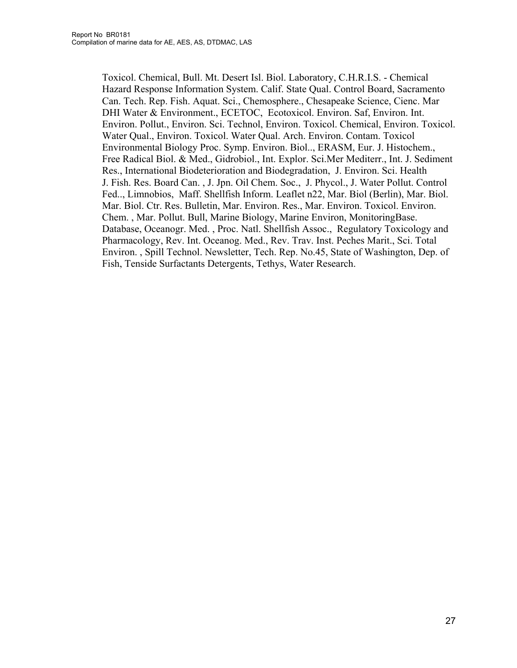Toxicol. Chemical, Bull. Mt. Desert Isl. Biol. Laboratory, C.H.R.I.S. - Chemical Hazard Response Information System. Calif. State Qual. Control Board, Sacramento Can. Tech. Rep. Fish. Aquat. Sci., Chemosphere., Chesapeake Science, Cienc. Mar DHI Water & Environment., ECETOC, Ecotoxicol. Environ. Saf, Environ. Int. Environ. Pollut., Environ. Sci. Technol, Environ. Toxicol. Chemical, Environ. Toxicol. Water Qual., Environ. Toxicol. Water Qual. Arch. Environ. Contam. Toxicol Environmental Biology Proc. Symp. Environ. Biol.., ERASM, Eur. J. Histochem., Free Radical Biol. & Med., Gidrobiol., Int. Explor. Sci.Mer Mediterr., Int. J. Sediment Res., International Biodeterioration and Biodegradation, J. Environ. Sci. Health J. Fish. Res. Board Can. , J. Jpn. Oil Chem. Soc., J. Phycol., J. Water Pollut. Control Fed.., Limnobios, Maff. Shellfish Inform. Leaflet n22, Mar. Biol (Berlin), Mar. Biol. Mar. Biol. Ctr. Res. Bulletin, Mar. Environ. Res., Mar. Environ. Toxicol. Environ. Chem. , Mar. Pollut. Bull, Marine Biology, Marine Environ, MonitoringBase. Database, Oceanogr. Med. , Proc. Natl. Shellfish Assoc., Regulatory Toxicology and Pharmacology, Rev. Int. Oceanog. Med., Rev. Trav. Inst. Peches Marit., Sci. Total Environ. , Spill Technol. Newsletter, Tech. Rep. No.45, State of Washington, Dep. of Fish, Tenside Surfactants Detergents, Tethys, Water Research.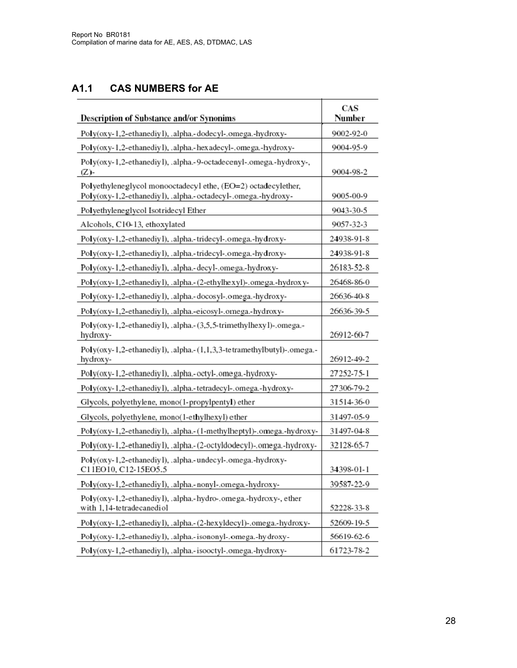#### **A1.1 CAS NUMBERS for AE**

| <b>Description of Substance and/or Synonims</b>                                                                               | CAS<br>Number |
|-------------------------------------------------------------------------------------------------------------------------------|---------------|
| Poly(oxy-1,2-ethanediy1), .alpha.-dodecyl-.omega.-hydroxy-                                                                    | 9002-92-0     |
| Poly(oxy-1,2-ethanediy1), .alpha.-hexadecyl-.omega.-hydroxy-                                                                  | 9004-95-9     |
| Poly(oxy-1,2-ethanediy1), .alpha.-9-octadecenyl-.omega.-hydroxy-,<br>$(Z)$ -                                                  | 9004-98-2     |
| Polyethyleneglycol monooctadecyl ethe, (EO=2) octadecylether,<br>Poly(oxy-1,2-ethanediy1), .alpha.-octadecyl-.omega.-hydroxy- | 9005-00-9     |
| Polyethyleneglycol Isotridecyl Ether                                                                                          | 9043-30-5     |
| Alcohols, C10-13, ethoxylated                                                                                                 | 9057-32-3     |
| Poly(oxy-1,2-ethanediy1), .alpha.-tridecyl-.omega.-hydroxy-                                                                   | 24938-91-8    |
| Poly(oxy-1,2-ethanediy1), .alpha.-tridecyl-.omega.-hydroxy-                                                                   | 24938-91-8    |
| Poly(oxy-1,2-ethanediy1), .alpha.-decyl-.omega.-hydroxy-                                                                      | 26183-52-8    |
| Poly(oxy-1,2-ethanediy1), .alpha.-(2-ethylhexyl)-.omega.-hydroxy-                                                             | 26468-86-0    |
| Poly(oxy-1,2-ethanediy1), .alpha.-docosyl-.omega.-hydroxy-                                                                    | 26636-40-8    |
| Poly(oxy-1,2-ethanediy1), .alpha.-eicosyl-.omega.-hydroxy-                                                                    | 26636-39-5    |
| Poly(oxy-1,2-ethanediy1), .alpha.-(3,5,5-trimethylhexy1)-.omega.-<br>hydroxy-                                                 | 26912-60-7    |
| Poly(oxy-1,2-ethanediy1), .alpha.-(1,1,3,3-tetramethylbutyl)-.omega.-<br>hydroxy-                                             | 26912-49-2    |
| Poly(oxy-1,2-ethanediy1), .alpha.-octyl-.omega.-hydroxy-                                                                      | 27252-75-1    |
| Poly(oxy-1,2-ethanediy1), .alpha.-tetradecyl-.omega.-hydroxy-                                                                 | 27306-79-2    |
| Glycols, polyethylene, mono(1-propylpentyl) ether                                                                             | 31514-36-0    |
| Glycols, polyethylene, mono(1-ethylhexyl) ether                                                                               | 31497-05-9    |
| Poly(oxy-1,2-ethanediy1), .alpha.-(1-methylheptyl)-.omega.-hydroxy-                                                           | 31497-04-8    |
| Poly(oxy-1,2-ethanediy1), .alpha.-(2-octyldodecyl)-.omega.-hydroxy-                                                           | 32128-65-7    |
| Poly(oxy-1,2-ethanediy1), .alpha.-undecyl-.omega.-hydroxy-<br>C11EO10, C12-15EO5.5                                            | 34398-01-1    |
| Poly(oxy-1,2-ethanediy1), .alpha.-nonyl-.omega.-hydroxy-                                                                      | 39587-22-9    |
| Poly(oxy-1,2-ethanediy1), .alpha.-hydro-.omega.-hydroxy-, ether<br>with 1,14-tetradecanediol                                  | 52228-33-8    |
| Poly(oxy-1,2-ethanediy1), .alpha.-(2-hexyldecyl)-.omega.-hydroxy-                                                             | 52609-19-5    |
| Poly(oxy-1,2-ethanediy1), .alpha.-isononyl-.omega.-hydroxy-                                                                   | 56619-62-6    |
| Poly(oxy-1,2-ethanediy1), .alpha,-isooctyl-.omega.-hydroxy-                                                                   | 61723-78-2    |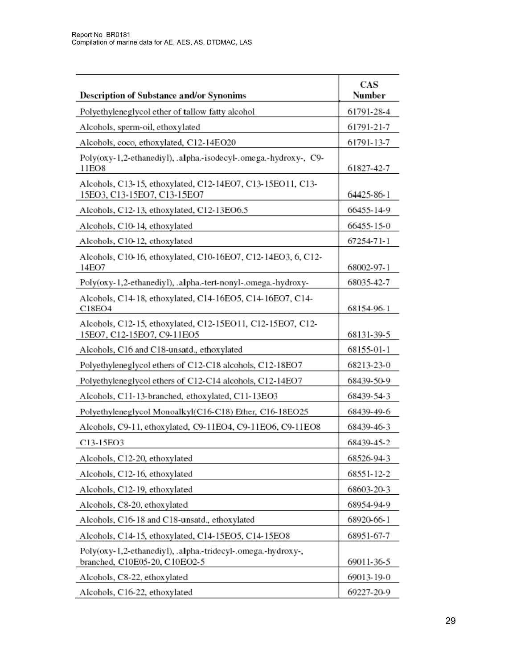| <b>Description of Substance and/or Synonims</b>                                               | CAS<br>Number |
|-----------------------------------------------------------------------------------------------|---------------|
| Polyethyleneglycol ether of tallow fatty alcohol                                              | 61791-28-4    |
| Alcohols, sperm-oil, ethoxylated                                                              | 61791-21-7    |
| Alcohols, coco, ethoxylated, C12-14EO20                                                       | 61791-13-7    |
| Poly(oxy-1,2-ethanediyl), .alpha.-isodecyl-.omega.-hydroxy-, C9-<br>11EO8                     | 61827-42-7    |
| Alcohols, C13-15, ethoxylated, C12-14EO7, C13-15EO11, C13-<br>15EO3, C13-15EO7, C13-15EO7     | 64425-86-1    |
| Alcohols, C12-13, ethoxylated, C12-13EO6.5                                                    | 66455-14-9    |
| Alcohols, C10-14, ethoxylated                                                                 | 66455-15-0    |
| Alcohols, C10-12, ethoxylated                                                                 | 67254-71-1    |
| Alcohols, C10-16, ethoxylated, C10-16EO7, C12-14EO3, 6, C12-<br>14EO7                         | 68002-97-1    |
| Poly(oxy-1,2-ethanediyl), .alpha.-tert-nonyl-.omega.-hydroxy-                                 | 68035-42-7    |
| Alcohols, C14-18, ethoxylated, C14-16EO5, C14-16EO7, C14-<br>C18EO4                           | 68154-96-1    |
| Alcohols, C12-15, ethoxylated, C12-15EO11, C12-15EO7, C12-<br>15EO7, C12-15EO7, C9-11EO5      | 68131-39-5    |
| Alcohols, C16 and C18-unsatd., ethoxylated                                                    | 68155-01-1    |
| Polyethyleneglycol ethers of C12-C18 alcohols, C12-18EO7                                      | 68213-23-0    |
| Polyethyleneglycol ethers of C12-C14 alcohols, C12-14EO7                                      | 68439-50-9    |
| Alcohols, C11-13-branched, ethoxylated, C11-13EO3                                             | 68439-54-3    |
| Polyethyleneglycol Monoalkyl(C16-C18) Ether, C16-18EO25                                       | 68439-49-6    |
| Alcohols, C9-11, ethoxylated, C9-11EO4, C9-11EO6, C9-11EO8                                    | 68439-46-3    |
| C13-15EO3                                                                                     | 68439-45-2    |
| Alcohols, C12-20, ethoxylated                                                                 | 68526-94-3    |
| Alcohols, C12-16, ethoxylated                                                                 | 68551-12-2    |
| Alcohols, C12-19, ethoxylated                                                                 | 68603-20-3    |
| Alcohols, C8-20, ethoxylated                                                                  | 68954-94-9    |
| Alcohols, C16-18 and C18-unsatd., ethoxylated                                                 | 68920-66-1    |
| Alcohols, C14-15, ethoxylated, C14-15EO5, C14-15EO8                                           | 68951-67-7    |
| Poly(oxy-1,2-ethanediyl), .alpha.-tridecyl-.omega.-hydroxy-,<br>branched, C10E05-20, C10EO2-5 | 69011-36-5    |
| Alcohols, C8-22, ethoxylated                                                                  | 69013-19-0    |
| Alcohols, C16-22, ethoxylated                                                                 | 69227-20-9    |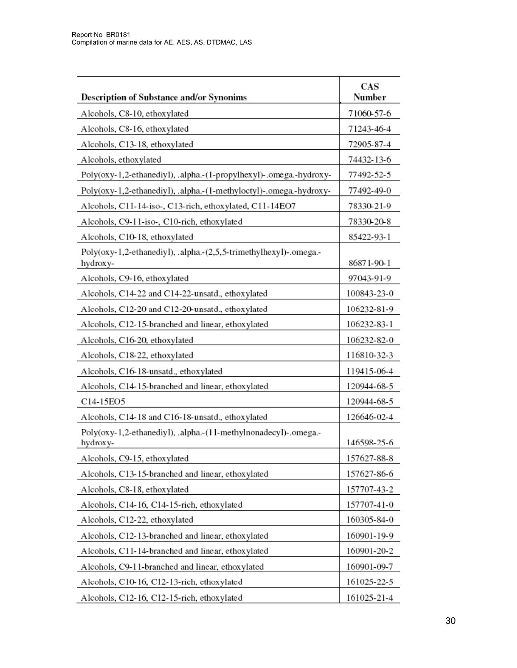| <b>Description of Substance and/or Synonims</b>                               | CAS<br>Number |
|-------------------------------------------------------------------------------|---------------|
| Alcohols, C8-10, ethoxylated                                                  | 71060-57-6    |
| Alcohols, C8-16, ethoxylated                                                  | 71243-46-4    |
| Alcohols, C13-18, ethoxylated                                                 | 72905-87-4    |
| Alcohols, ethoxylated                                                         | 74432-13-6    |
| Poly(oxy-1,2-ethanediyl), .alpha.-(1-propylhexyl)-.omega.-hydroxy-            | 77492-52-5    |
| Poly(oxy-1,2-ethanediyl), .alpha.-(1-methyloctyl)-.omega.-hydroxy-            | 77492-49-0    |
| Alcohols, C11-14-iso-, C13-rich, ethoxylated, C11-14EO7                       | 78330-21-9    |
| Alcohols, C9-11-iso-, C10-rich, ethoxylated                                   | 78330-20-8    |
| Alcohols, C10-18, ethoxylated                                                 | 85422-93-1    |
| Poly(oxy-1,2-ethanediyl), .alpha.-(2,5,5-trimethylhexyl)-.omega.-<br>hydroxy- | 86871-90-1    |
| Alcohols, C9-16, ethoxylated                                                  | 97043-91-9    |
| Alcohols, C14-22 and C14-22-unsatd., ethoxylated                              | 100843-23-0   |
| Alcohols, C12-20 and C12-20-unsatd., ethoxylated                              | 106232-81-9   |
| Alcohols, C12-15-branched and linear, ethoxylated                             | 106232-83-1   |
| Alcohols, C16-20, ethoxylated                                                 | 106232-82-0   |
| Alcohols, C18-22, ethoxylated                                                 | 116810-32-3   |
| Alcohols, C16-18-unsatd., ethoxylated                                         | 119415-06-4   |
| Alcohols, C14-15-branched and linear, ethoxylated                             | 120944-68-5   |
| C14-15EO5                                                                     | 120944-68-5   |
| Alcohols, C14-18 and C16-18-unsatd., ethoxylated                              | 126646-02-4   |
| Poly(oxy-1,2-ethanediyl), .alpha.-(11-methylnonadecyl)-.omega.-<br>hydrox y-  | 146598-25-6   |
| Alcohols, C9-15, ethoxylated                                                  | 157627-88-8   |
| Alcohols, C13-15-branched and linear, ethoxylated                             | 157627-86-6   |
| Alcohols, C8-18, ethoxylated                                                  | 157707-43-2   |
| Alcohols, C14-16, C14-15-rich, ethoxylated                                    | 157707-41-0   |
| Alcohols, C12-22, ethoxylated                                                 | 160305-84-0   |
| Alcohols, C12-13-branched and linear, ethoxylated                             | 160901-19-9   |
| Alcohols, C11-14-branched and linear, ethoxylated                             | 160901-20-2   |
| Alcohols, C9-11-branched and linear, ethoxylated                              | 160901-09-7   |
| Alcohols, C10-16, C12-13-rich, ethoxylated                                    | 161025-22-5   |
| Alcohols, C12-16, C12-15-rich, ethoxylated                                    | 161025-21-4   |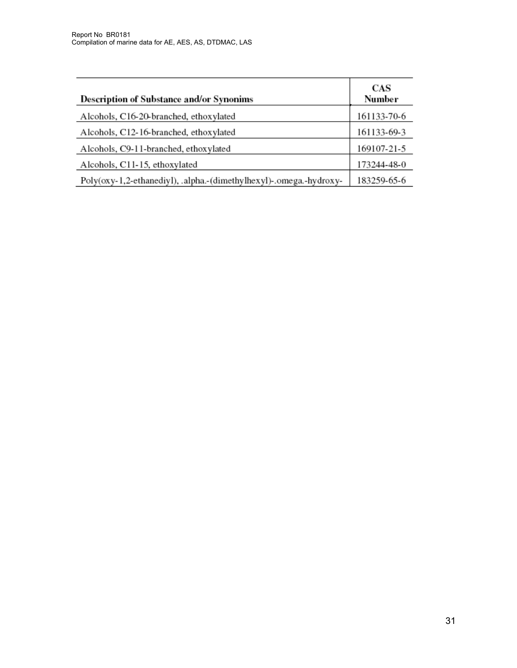| <b>Description of Substance and/or Synonims</b>                    | CAS<br>Number |
|--------------------------------------------------------------------|---------------|
| Alcohols, C16-20-branched, ethoxylated                             | 161133-70-6   |
| Alcohols, C12-16-branched, ethoxylated                             | 161133-69-3   |
| Alcohols, C9-11-branched, ethoxylated                              | 169107-21-5   |
| Alcohols, C11-15, ethoxylated                                      | 173244-48-0   |
| Poly(oxy-1,2-ethanediyl), .alpha.-(dimethylhexyl)-.omega.-hydroxy- | 183259-65-6   |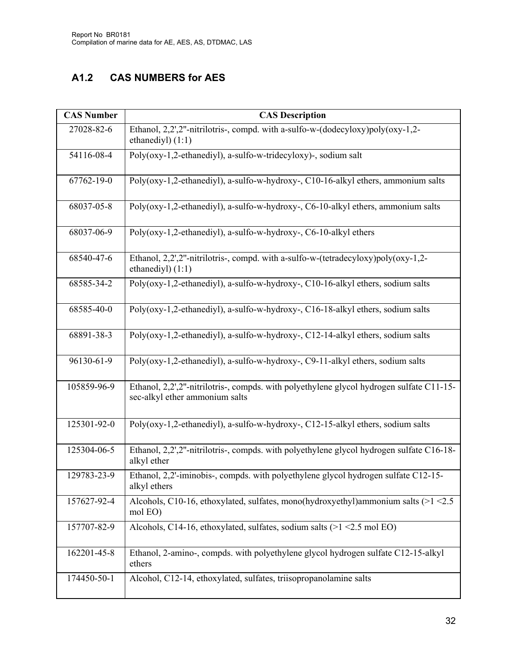## **A1.2 CAS NUMBERS for AES**

| <b>CAS Number</b> | <b>CAS Description</b>                                                                                                     |
|-------------------|----------------------------------------------------------------------------------------------------------------------------|
| 27028-82-6        | Ethanol, 2,2',2"-nitrilotris-, compd. with a-sulfo-w-(dodecyloxy)poly(oxy-1,2-<br>ethanediyl $(1:1)$                       |
| 54116-08-4        | Poly(oxy-1,2-ethanediyl), a-sulfo-w-tridecyloxy)-, sodium salt                                                             |
| 67762-19-0        | Poly(oxy-1,2-ethanediyl), a-sulfo-w-hydroxy-, C10-16-alkyl ethers, ammonium salts                                          |
| 68037-05-8        | Poly(oxy-1,2-ethanediyl), a-sulfo-w-hydroxy-, C6-10-alkyl ethers, ammonium salts                                           |
| 68037-06-9        | Poly(oxy-1,2-ethanediyl), a-sulfo-w-hydroxy-, C6-10-alkyl ethers                                                           |
| 68540-47-6        | Ethanol, 2,2',2"-nitrilotris-, compd. with a-sulfo-w-(tetradecyloxy)poly(oxy-1,2-<br>ethanediyl $(1:1)$                    |
| 68585-34-2        | Poly(oxy-1,2-ethanediyl), a-sulfo-w-hydroxy-, C10-16-alkyl ethers, sodium salts                                            |
| 68585-40-0        | Poly(oxy-1,2-ethanediyl), a-sulfo-w-hydroxy-, C16-18-alkyl ethers, sodium salts                                            |
| 68891-38-3        | Poly(oxy-1,2-ethanediyl), a-sulfo-w-hydroxy-, C12-14-alkyl ethers, sodium salts                                            |
| 96130-61-9        | Poly(oxy-1,2-ethanediyl), a-sulfo-w-hydroxy-, C9-11-alkyl ethers, sodium salts                                             |
| 105859-96-9       | Ethanol, 2,2',2"-nitrilotris-, compds. with polyethylene glycol hydrogen sulfate C11-15-<br>sec-alkyl ether ammonium salts |
| 125301-92-0       | Poly(oxy-1,2-ethanediyl), a-sulfo-w-hydroxy-, C12-15-alkyl ethers, sodium salts                                            |
| 125304-06-5       | Ethanol, 2,2',2"-nitrilotris-, compds. with polyethylene glycol hydrogen sulfate C16-18-<br>alkyl ether                    |
| 129783-23-9       | Ethanol, 2,2'-iminobis-, compds. with polyethylene glycol hydrogen sulfate C12-15-<br>alkyl ethers                         |
| 157627-92-4       | Alcohols, C10-16, ethoxylated, sulfates, mono(hydroxyethyl)ammonium salts $(>1$ <2.5<br>mol EO)                            |
| 157707-82-9       | Alcohols, C14-16, ethoxylated, sulfates, sodium salts (>1 <2.5 mol EO)                                                     |
| 162201-45-8       | Ethanol, 2-amino-, compds. with polyethylene glycol hydrogen sulfate C12-15-alkyl<br>ethers                                |
| 174450-50-1       | Alcohol, C12-14, ethoxylated, sulfates, triisopropanolamine salts                                                          |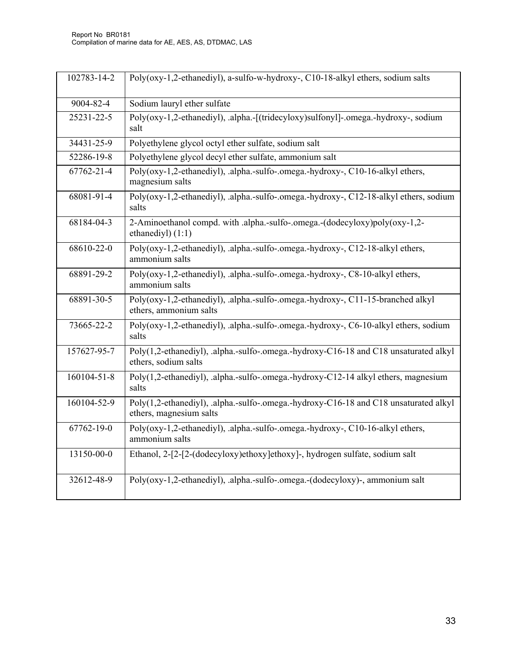| 102783-14-2 | Poly(oxy-1,2-ethanediyl), a-sulfo-w-hydroxy-, C10-18-alkyl ethers, sodium salts                                 |
|-------------|-----------------------------------------------------------------------------------------------------------------|
| 9004-82-4   | Sodium lauryl ether sulfate                                                                                     |
| 25231-22-5  | Poly(oxy-1,2-ethanediyl), .alpha.-[(tridecyloxy)sulfonyl]-.omega.-hydroxy-, sodium<br>salt                      |
| 34431-25-9  | Polyethylene glycol octyl ether sulfate, sodium salt                                                            |
| 52286-19-8  | Polyethylene glycol decyl ether sulfate, ammonium salt                                                          |
| 67762-21-4  | Poly(oxy-1,2-ethanediyl), .alpha.-sulfo-.omega.-hydroxy-, C10-16-alkyl ethers,<br>magnesium salts               |
| 68081-91-4  | Poly(oxy-1,2-ethanediyl), .alpha.-sulfo-.omega.-hydroxy-, C12-18-alkyl ethers, sodium<br>salts                  |
| 68184-04-3  | 2-Aminoethanol compd. with .alpha.-sulfo-.omega.-(dodecyloxy)poly(oxy-1,2-<br>ethanediyl) (1:1)                 |
| 68610-22-0  | Poly(oxy-1,2-ethanediyl), .alpha.-sulfo-.omega.-hydroxy-, C12-18-alkyl ethers,<br>ammonium salts                |
| 68891-29-2  | Poly(oxy-1,2-ethanediyl), .alpha.-sulfo-.omega.-hydroxy-, C8-10-alkyl ethers,<br>ammonium salts                 |
| 68891-30-5  | Poly(oxy-1,2-ethanediyl), .alpha.-sulfo-.omega.-hydroxy-, C11-15-branched alkyl<br>ethers, ammonium salts       |
| 73665-22-2  | Poly(oxy-1,2-ethanediyl), .alpha.-sulfo-.omega.-hydroxy-, C6-10-alkyl ethers, sodium<br>salts                   |
| 157627-95-7 | Poly(1,2-ethanediyl), .alpha.-sulfo-.omega.-hydroxy-C16-18 and C18 unsaturated alkyl<br>ethers, sodium salts    |
| 160104-51-8 | Poly(1,2-ethanediyl), .alpha.-sulfo-.omega.-hydroxy-C12-14 alkyl ethers, magnesium<br>salts                     |
| 160104-52-9 | Poly(1,2-ethanediyl), .alpha.-sulfo-.omega.-hydroxy-C16-18 and C18 unsaturated alkyl<br>ethers, magnesium salts |
| 67762-19-0  | Poly(oxy-1,2-ethanediyl), .alpha.-sulfo-.omega.-hydroxy-, C10-16-alkyl ethers,<br>ammonium salts                |
| 13150-00-0  | Ethanol, 2-[2-[2-(dodecyloxy)ethoxy]ethoxy]-, hydrogen sulfate, sodium salt                                     |
| 32612-48-9  | Poly(oxy-1,2-ethanediyl), .alpha.-sulfo-.omega.-(dodecyloxy)-, ammonium salt                                    |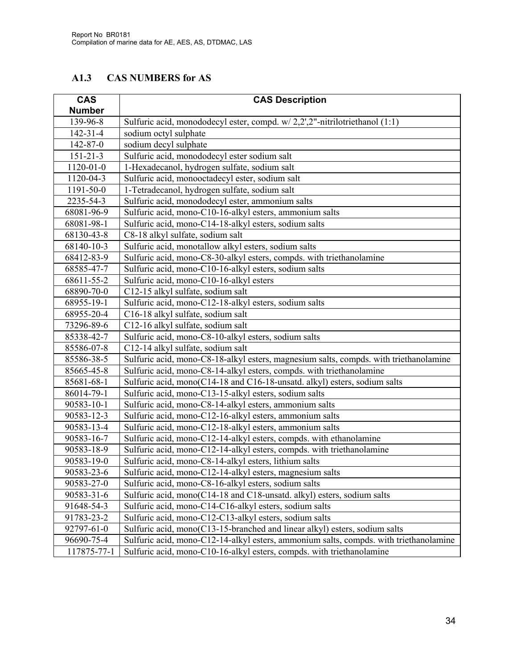#### **A1.3 CAS NUMBERS for AS**

| <b>CAS</b>      | <b>CAS Description</b>                                                                |
|-----------------|---------------------------------------------------------------------------------------|
| <b>Number</b>   |                                                                                       |
| 139-96-8        | Sulfuric acid, monododecyl ester, compd. w/2,2',2"-nitrilotriethanol (1:1)            |
| $142 - 31 - 4$  | sodium octyl sulphate                                                                 |
| 142-87-0        | sodium decyl sulphate                                                                 |
| $151 - 21 - 3$  | Sulfuric acid, monododecyl ester sodium salt                                          |
| $1120 - 01 - 0$ | 1-Hexadecanol, hydrogen sulfate, sodium salt                                          |
| 1120-04-3       | Sulfuric acid, monooctadecyl ester, sodium salt                                       |
| 1191-50-0       | 1-Tetradecanol, hydrogen sulfate, sodium salt                                         |
| 2235-54-3       | Sulfuric acid, monododecyl ester, ammonium salts                                      |
| 68081-96-9      | Sulfuric acid, mono-C10-16-alkyl esters, ammonium salts                               |
| 68081-98-1      | Sulfuric acid, mono-C14-18-alkyl esters, sodium salts                                 |
| 68130-43-8      | C8-18 alkyl sulfate, sodium salt                                                      |
| 68140-10-3      | Sulfuric acid, monotallow alkyl esters, sodium salts                                  |
| 68412-83-9      | Sulfuric acid, mono-C8-30-alkyl esters, compds. with triethanolamine                  |
| 68585-47-7      | Sulfuric acid, mono-C10-16-alkyl esters, sodium salts                                 |
| 68611-55-2      | Sulfuric acid, mono-C10-16-alkyl esters                                               |
| 68890-70-0      | C12-15 alkyl sulfate, sodium salt                                                     |
| 68955-19-1      | Sulfuric acid, mono-C12-18-alkyl esters, sodium salts                                 |
| 68955-20-4      | C16-18 alkyl sulfate, sodium salt                                                     |
| 73296-89-6      | C12-16 alkyl sulfate, sodium salt                                                     |
| 85338-42-7      | Sulfuric acid, mono-C8-10-alkyl esters, sodium salts                                  |
| 85586-07-8      | C12-14 alkyl sulfate, sodium salt                                                     |
| 85586-38-5      | Sulfuric acid, mono-C8-18-alkyl esters, magnesium salts, compds. with triethanolamine |
| 85665-45-8      | Sulfuric acid, mono-C8-14-alkyl esters, compds. with triethanolamine                  |
| 85681-68-1      | Sulfuric acid, mono(C14-18 and C16-18-unsatd. alkyl) esters, sodium salts             |
| 86014-79-1      | Sulfuric acid, mono-C13-15-alkyl esters, sodium salts                                 |
| 90583-10-1      | Sulfuric acid, mono-C8-14-alkyl esters, ammonium salts                                |
| 90583-12-3      | Sulfuric acid, mono-C12-16-alkyl esters, ammonium salts                               |
| 90583-13-4      | Sulfuric acid, mono-C12-18-alkyl esters, ammonium salts                               |
| 90583-16-7      | Sulfuric acid, mono-C12-14-alkyl esters, compds. with ethanolamine                    |
| 90583-18-9      | Sulfuric acid, mono-C12-14-alkyl esters, compds. with triethanolamine                 |
| 90583-19-0      | Sulfuric acid, mono-C8-14-alkyl esters, lithium salts                                 |
| 90583-23-6      | Sulfuric acid, mono-C12-14-alkyl esters, magnesium salts                              |
| 90583-27-0      | Sulfuric acid, mono-C8-16-alkyl esters, sodium salts                                  |
| 90583-31-6      | Sulfuric acid, mono(C14-18 and C18-unsatd. alkyl) esters, sodium salts                |
| 91648-54-3      | Sulfuric acid, mono-C14-C16-alkyl esters, sodium salts                                |
| 91783-23-2      | Sulfuric acid, mono-C12-C13-alkyl esters, sodium salts                                |
| 92797-61-0      | Sulfuric acid, mono(C13-15-branched and linear alkyl) esters, sodium salts            |
| 96690-75-4      | Sulfuric acid, mono-C12-14-alkyl esters, ammonium salts, compds. with triethanolamine |
| 117875-77-1     | Sulfuric acid, mono-C10-16-alkyl esters, compds. with triethanolamine                 |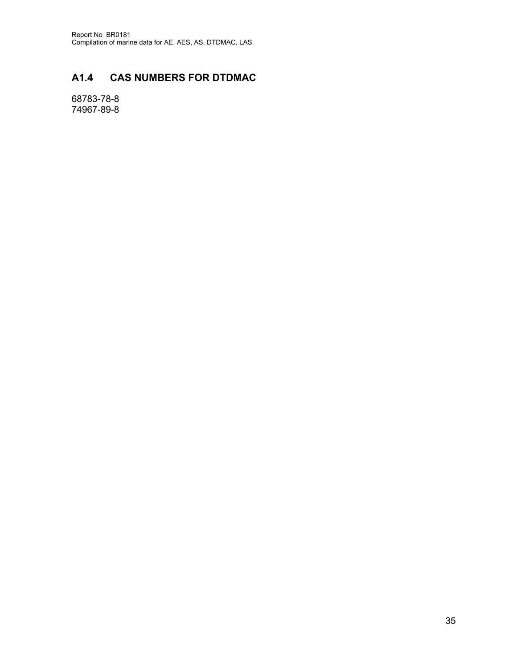## **A1.4 CAS NUMBERS FOR DTDMAC**

68783-78-8 74967-89-8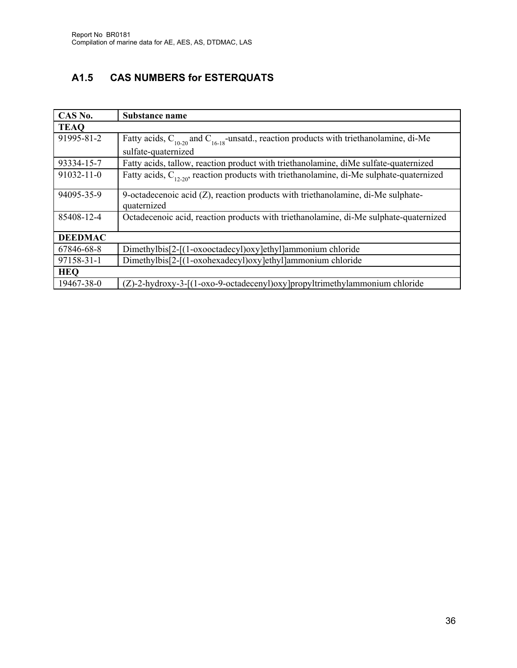## **A1.5 CAS NUMBERS for ESTERQUATS**

| CAS No.        | Substance name                                                                                     |
|----------------|----------------------------------------------------------------------------------------------------|
| <b>TEAQ</b>    |                                                                                                    |
| 91995-81-2     | Fatty acids, $C_{10-20}$ and $C_{16-18}$ -unsatd., reaction products with triethanolamine, di-Me   |
|                | sulfate-quaternized                                                                                |
| 93334-15-7     | Fatty acids, tallow, reaction product with triethanolamine, diMe sulfate-quaternized               |
| 91032-11-0     | Fatty acids, $C_{12,20}$ , reaction products with triethanolamine, di-Me sulphate-quaternized      |
| 94095-35-9     | 9-octadecenoic acid $(Z)$ , reaction products with triethanolamine, di-Me sulphate-<br>quaternized |
| 85408-12-4     | Octadecenoic acid, reaction products with triethanolamine, di-Me sulphate-quaternized              |
| <b>DEEDMAC</b> |                                                                                                    |
| 67846-68-8     | Dimethylbis[2-[(1-oxooctadecyl)oxy]ethyl]ammonium chloride                                         |
| 97158-31-1     | Dimethylbis[2-[(1-oxohexadecyl)oxy]ethyl]ammonium chloride                                         |
| <b>HEQ</b>     |                                                                                                    |
| 19467-38-0     | (Z)-2-hydroxy-3-[(1-oxo-9-octadecenyl)oxy]propyltrimethylammonium chloride                         |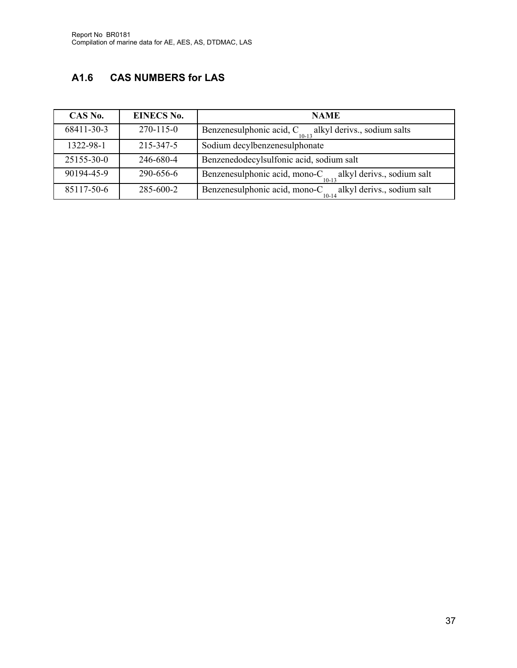# **A1.6 CAS NUMBERS for LAS**

| CAS No.    | <b>EINECS No.</b> | <b>NAME</b>                                                                         |
|------------|-------------------|-------------------------------------------------------------------------------------|
| 68411-30-3 | $270 - 115 - 0$   | Benzenesulphonic acid, C <sub>10,12</sub><br>alkyl derivs., sodium salts<br>$10-13$ |
| 1322-98-1  | 215-347-5         | Sodium decylbenzenesulphonate                                                       |
| 25155-30-0 | 246-680-4         | Benzenedodecylsulfonic acid, sodium salt                                            |
| 90194-45-9 | 290-656-6         | Benzenesulphonic acid, mono-C<br>alkyl derivs., sodium salt<br>$10 - 13$            |
| 85117-50-6 | 285-600-2         | Benzenesulphonic acid, mono-C<br>alkyl derivs., sodium salt<br>$10 - 14$            |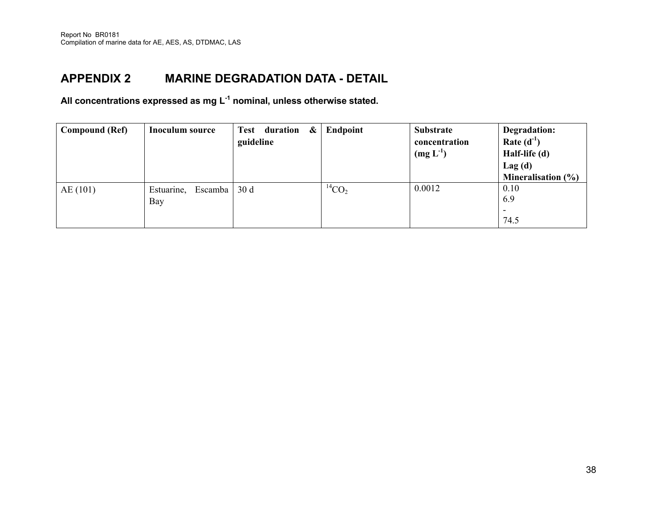# **APPENDIX 2 MARINE DEGRADATION DATA - DETAIL**

**All concentrations expressed as mg L-1 nominal, unless otherwise stated.** 

| <b>Compound (Ref)</b> | <b>Inoculum source</b>    | $\boldsymbol{\&}$<br>Test duration<br>guideline | Endpoint      | <b>Substrate</b><br>concentration<br>$(mg L-1)$ | Degradation:<br>Rate $(d^{-1})$<br>Half-life (d)<br>Lag(d)<br>Mineralisation $(\% )$ |
|-----------------------|---------------------------|-------------------------------------------------|---------------|-------------------------------------------------|--------------------------------------------------------------------------------------|
| AE(101)               | Estuarine, Escamba<br>Bay | 30d                                             | ${}^{14}CO_2$ | 0.0012                                          | 0.10<br>6.9<br>74.5                                                                  |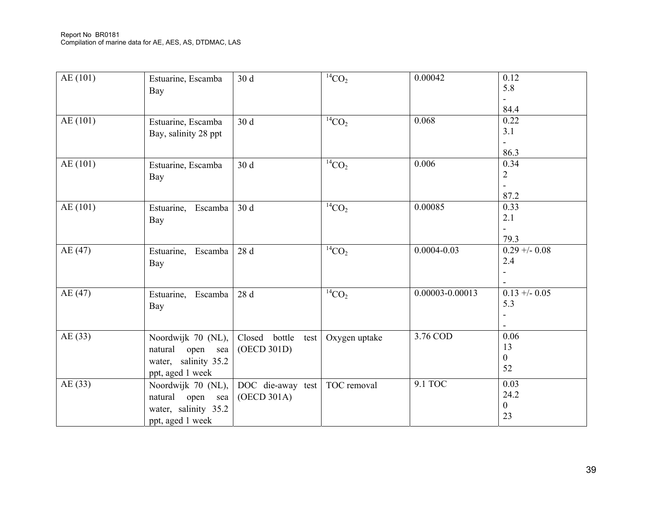| AE(101)  | Estuarine, Escamba<br>Bay                                                             | 30 d                                 | ${}^{14}CO_2$ | 0.00042         | 0.12<br>5.8<br>-<br>84.4             |
|----------|---------------------------------------------------------------------------------------|--------------------------------------|---------------|-----------------|--------------------------------------|
| AE(101)  | Estuarine, Escamba<br>Bay, salinity 28 ppt                                            | 30d                                  | ${}^{14}CO_2$ | 0.068           | 0.22<br>3.1<br>86.3                  |
| AE (101) | Estuarine, Escamba<br>Bay                                                             | 30 d                                 | ${}^{14}CO_2$ | 0.006           | 0.34<br>$\overline{2}$<br>87.2       |
| AE(101)  | Estuarine, Escamba<br>Bay                                                             | 30 d                                 | ${}^{14}CO_2$ | 0.00085         | 0.33<br>2.1<br>79.3                  |
| AE(47)   | Estuarine,<br>Escamba<br>Bay                                                          | 28 d                                 | ${}^{14}CO_2$ | $0.0004 - 0.03$ | $0.29 + - 0.08$<br>2.4               |
| AE(47)   | Estuarine, Escamba<br>Bay                                                             | 28 d                                 | ${}^{14}CO_2$ | 0.00003-0.00013 | $0.13 + -0.05$<br>5.3                |
| AE(33)   | Noordwijk 70 (NL),<br>natural<br>open sea<br>water, salinity 35.2<br>ppt, aged 1 week | Closed bottle<br>test<br>(OECD 301D) | Oxygen uptake | 3.76 COD        | 0.06<br>13<br>$\Omega$<br>52         |
| AE(33)   | Noordwijk 70 (NL),<br>natural open sea<br>water, salinity 35.2<br>ppt, aged 1 week    | DOC die-away test<br>(OECD 301A)     | TOC removal   | 9.1 TOC         | 0.03<br>24.2<br>$\overline{0}$<br>23 |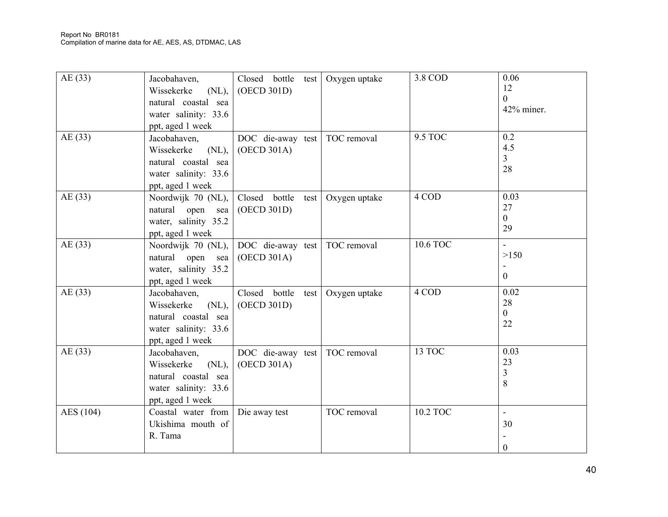| AE(33)    | Jacobahaven,<br>Wissekerke<br>$(NL)$ ,<br>natural coastal sea<br>water salinity: 33.6<br>ppt, aged 1 week | Closed bottle test<br>(OECD 301D)    | Oxygen uptake | 3.8 COD  | 0.06<br>12<br>$\theta$<br>42% miner.       |
|-----------|-----------------------------------------------------------------------------------------------------------|--------------------------------------|---------------|----------|--------------------------------------------|
| AE(33)    | Jacobahaven,<br>Wissekerke<br>$(NL)$ ,<br>natural coastal sea<br>water salinity: 33.6<br>ppt, aged 1 week | DOC die-away test<br>(OECD 301A)     | TOC removal   | 9.5 TOC  | 0.2<br>4.5<br>$\overline{3}$<br>28         |
| AE(33)    | Noordwijk 70 (NL),<br>natural<br>open<br>sea<br>water, salinity 35.2<br>ppt, aged 1 week                  | Closed bottle<br>test<br>(OECD 301D) | Oxygen uptake | 4 COD    | 0.03<br>27<br>$\overline{0}$<br>29         |
| AE(33)    | Noordwijk 70 (NL),<br>natural<br>open<br>sea<br>water, salinity 35.2<br>ppt, aged 1 week                  | DOC die-away test<br>(OECD 301A)     | TOC removal   | 10.6 TOC | $\mathbf{r}$<br>>150<br>$\overline{0}$     |
| AE(33)    | Jacobahaven,<br>$(NL)$ ,<br>Wissekerke<br>natural coastal sea<br>water salinity: 33.6<br>ppt, aged 1 week | Closed bottle<br>test<br>(OECD 301D) | Oxygen uptake | 4 COD    | 0.02<br>28<br>$\overline{0}$<br>22         |
| AE(33)    | Jacobahaven,<br>Wissekerke<br>$(NL)$ ,<br>natural coastal sea<br>water salinity: 33.6<br>ppt, aged 1 week | DOC die-away test<br>(OECD 301A)     | TOC removal   | 13 TOC   | 0.03<br>23<br>$\overline{3}$<br>8          |
| AES (104) | Coastal water from<br>Ukishima mouth of<br>R. Tama                                                        | Die away test                        | TOC removal   | 10.2 TOC | $\overline{\phantom{0}}$<br>30<br>$\Omega$ |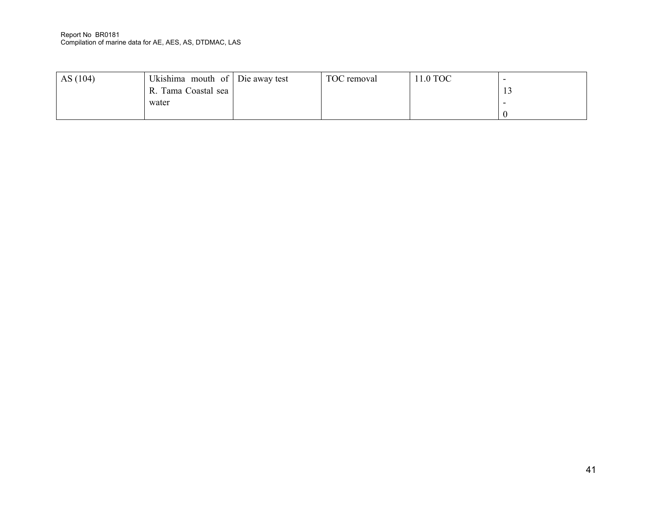#### Report No BR0181 Compilation of marine data for AE, AES, AS, DTDMAC, LAS

| AS(104) | Ukishima mouth of Die away test<br>R. Tama Coastal sea | TOC removal | 11.0 TOC | . L. J |
|---------|--------------------------------------------------------|-------------|----------|--------|
|         | water                                                  |             |          |        |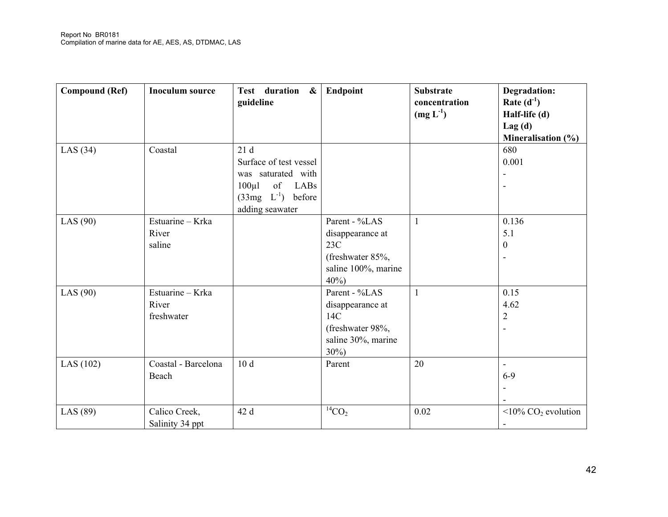| <b>Compound (Ref)</b> | <b>Inoculum source</b>                  | Test duration &<br>guideline                                                                                               | Endpoint                                                                                      | <b>Substrate</b><br>concentration<br>$(mg L-1)$ | <b>Degradation:</b><br>Rate $(d^{-1})$<br>Half-life (d)<br>Lag(d)<br>Mineralisation (%) |
|-----------------------|-----------------------------------------|----------------------------------------------------------------------------------------------------------------------------|-----------------------------------------------------------------------------------------------|-------------------------------------------------|-----------------------------------------------------------------------------------------|
| LAS $(34)$            | Coastal                                 | 21d<br>Surface of test vessel<br>was saturated with<br>$100 \mu l$<br>of LABs<br>$(33mg \t L-1)$ before<br>adding seawater |                                                                                               |                                                 | 680<br>0.001                                                                            |
| LAS $(90)$            | Estuarine - Krka<br>River<br>saline     |                                                                                                                            | Parent - %LAS<br>disappearance at<br>23C<br>(freshwater 85%,<br>saline 100%, marine<br>40%    | $\mathbf{1}$                                    | 0.136<br>5.1<br>$\mathbf{0}$                                                            |
| LAS $(90)$            | Estuarine - Krka<br>River<br>freshwater |                                                                                                                            | Parent - %LAS<br>disappearance at<br>14C<br>(freshwater 98%,<br>saline 30%, marine<br>$30\%)$ | $\mathbf{1}$                                    | 0.15<br>4.62<br>$\overline{2}$                                                          |
| LAS (102)             | Coastal - Barcelona<br>Beach            | 10d                                                                                                                        | Parent                                                                                        | 20                                              | $6 - 9$                                                                                 |
| LAS $(89)$            | Calico Creek,<br>Salinity 34 ppt        | 42 d                                                                                                                       | ${}^{14}CO_2$                                                                                 | 0.02                                            | $\langle 10\%$ CO <sub>2</sub> evolution                                                |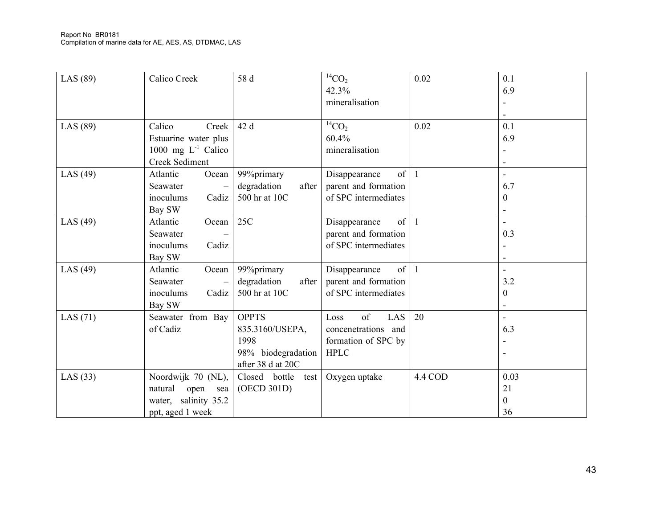| LAS $(89)$ | Calico Creek                                                                             | 58 d                                                                               | ${}^{14}CO_2$<br>42.3%<br>mineralisation                                       | 0.02    | 0.1<br>6.9                                          |
|------------|------------------------------------------------------------------------------------------|------------------------------------------------------------------------------------|--------------------------------------------------------------------------------|---------|-----------------------------------------------------|
| LAS (89)   | Calico<br>Creek<br>Estuarine water plus<br>1000 mg $L^{-1}$ Calico<br>Creek Sediment     | 42 d                                                                               | ${}^{14}CO_2$<br>60.4%<br>mineralisation                                       | 0.02    | 0.1<br>6.9                                          |
| LAS $(49)$ | Atlantic<br>Ocean<br>Seawater<br>inoculums<br>Cadiz<br>Bay SW                            | 99%primary<br>degradation<br>after<br>500 hr at 10C                                | of<br>Disappearance<br>parent and formation<br>of SPC intermediates            |         | $\overline{\phantom{a}}$<br>6.7<br>$\boldsymbol{0}$ |
| LAS $(49)$ | Atlantic<br>Ocean<br>Seawater<br>inoculums<br>Cadiz<br>Bay SW                            | 25C                                                                                | of<br>Disappearance<br>parent and formation<br>of SPC intermediates            |         | 0.3                                                 |
| LAS $(49)$ | Atlantic<br>Ocean<br>Seawater<br>Cadiz<br>inoculums<br>Bay SW                            | 99%primary<br>degradation<br>after<br>500 hr at 10C                                | of<br>Disappearance<br>parent and formation<br>of SPC intermediates            |         | 3.2<br>$\boldsymbol{0}$                             |
| LAS $(71)$ | Seawater from Bay<br>of Cadiz                                                            | <b>OPPTS</b><br>835.3160/USEPA,<br>1998<br>98% biodegradation<br>after 38 d at 20C | of<br>LAS<br>Loss<br>concenetrations and<br>formation of SPC by<br><b>HPLC</b> | 20      | $\blacksquare$<br>6.3                               |
| LAS $(33)$ | Noordwijk 70 (NL),<br>natural<br>open<br>sea<br>water, salinity 35.2<br>ppt, aged 1 week | Closed bottle<br>test<br>(OECD 301D)                                               | Oxygen uptake                                                                  | 4.4 COD | 0.03<br>21<br>$\overline{0}$<br>36                  |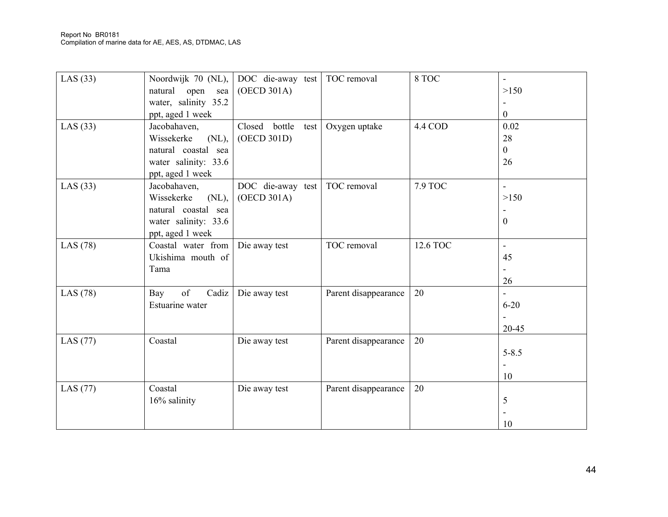| LAS $(33)$ | Noordwijk 70 (NL),<br>natural<br>open<br>sea | DOC die-away test<br>(OECD 301A) | TOC removal          | 8 TOC          | >150             |
|------------|----------------------------------------------|----------------------------------|----------------------|----------------|------------------|
|            | water, salinity 35.2                         |                                  |                      |                |                  |
|            | ppt, aged 1 week                             |                                  |                      |                | $\boldsymbol{0}$ |
| LAS $(33)$ | Jacobahaven,                                 | Closed bottle<br>test            | Oxygen uptake        | 4.4 COD        | 0.02             |
|            | Wissekerke<br>$(NL)$ ,                       | (OECD 301D)                      |                      |                | 28               |
|            | natural coastal sea                          |                                  |                      |                | $\overline{0}$   |
|            | water salinity: 33.6                         |                                  |                      |                | 26               |
|            | ppt, aged 1 week                             |                                  |                      |                |                  |
| LAS $(33)$ | Jacobahaven,                                 | DOC die-away test                | TOC removal          | <b>7.9 TOC</b> | ÷,               |
|            | Wissekerke<br>$(NL)$ ,                       | (OECD 301A)                      |                      |                | >150             |
|            | natural coastal sea                          |                                  |                      |                |                  |
|            | water salinity: 33.6                         |                                  |                      |                | $\boldsymbol{0}$ |
|            | ppt, aged 1 week                             |                                  |                      |                |                  |
| LAS $(78)$ | Coastal water from                           | Die away test                    | TOC removal          | 12.6 TOC       | $\blacksquare$   |
|            | Ukishima mouth of                            |                                  |                      |                | 45               |
|            | Tama                                         |                                  |                      |                |                  |
|            |                                              |                                  |                      |                | 26               |
| LAS $(78)$ | of<br>Cadiz<br>Bay                           | Die away test                    | Parent disappearance | 20             |                  |
|            | Estuarine water                              |                                  |                      |                | $6 - 20$         |
|            |                                              |                                  |                      |                |                  |
|            |                                              |                                  |                      |                | 20-45            |
| LAS $(77)$ | Coastal                                      | Die away test                    | Parent disappearance | 20             |                  |
|            |                                              |                                  |                      |                | $5 - 8.5$        |
|            |                                              |                                  |                      |                |                  |
|            |                                              |                                  |                      |                | 10               |
|            | Coastal                                      |                                  |                      | 20             |                  |
| LAS $(77)$ |                                              | Die away test                    | Parent disappearance |                |                  |
|            | 16% salinity                                 |                                  |                      |                | 5                |
|            |                                              |                                  |                      |                |                  |
|            |                                              |                                  |                      |                | 10               |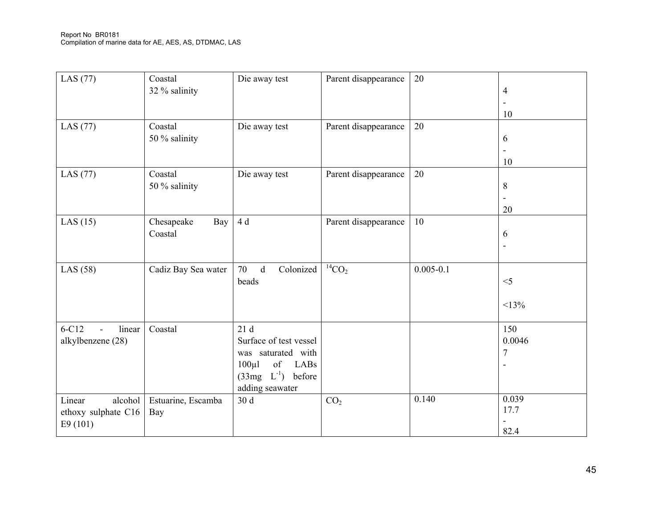| LAS (77)                                            | Coastal<br>32 % salinity     | Die away test                                                                                                                 | Parent disappearance | 20            | $\overline{4}$<br>$\blacksquare$<br>10            |
|-----------------------------------------------------|------------------------------|-------------------------------------------------------------------------------------------------------------------------------|----------------------|---------------|---------------------------------------------------|
| LAS (77)                                            | Coastal<br>50 % salinity     | Die away test                                                                                                                 | Parent disappearance | 20            | 6<br>$\ddot{\phantom{1}}$<br>10                   |
| LAS $(77)$                                          | Coastal<br>50 % salinity     | Die away test                                                                                                                 | Parent disappearance | 20            | 8<br>20                                           |
| LAS $(15)$                                          | Chesapeake<br>Bay<br>Coastal | 4 d                                                                                                                           | Parent disappearance | 10            | 6<br>$\overline{\phantom{a}}$                     |
| LAS $(58)$                                          | Cadiz Bay Sea water          | Colonized<br>70<br>$\mathbf d$<br>beads                                                                                       | ${}^{14}CO_2$        | $0.005 - 0.1$ | $<$ 5<br><13%                                     |
| $6-C12$<br>linear<br>alkylbenzene (28)              | Coastal                      | 21d<br>Surface of test vessel<br>was saturated with<br>of<br>$100 \mu l$<br>LABs<br>$(33mg \t L-1)$ before<br>adding seawater |                      |               | 150<br>0.0046<br>$\overline{7}$<br>$\overline{a}$ |
| Linear<br>alcohol<br>ethoxy sulphate C16<br>E9(101) | Estuarine, Escamba<br>Bay    | 30 d                                                                                                                          | CO <sub>2</sub>      | 0.140         | 0.039<br>17.7<br>82.4                             |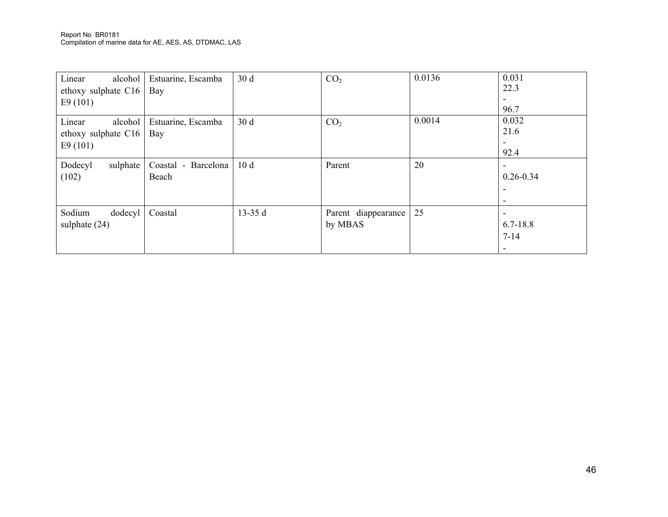| Linear<br>alcohol<br>ethoxy sulphate C16 | Estuarine, Escamba<br>Bay | 30 d            | CO <sub>2</sub>     | 0.0136 | 0.031<br>22.3 |
|------------------------------------------|---------------------------|-----------------|---------------------|--------|---------------|
| E9(101)                                  |                           |                 |                     |        |               |
|                                          |                           |                 |                     |        | 96.7          |
| Linear<br>alcohol                        | Estuarine, Escamba        | 30d             | CO <sub>2</sub>     | 0.0014 | 0.032         |
| ethoxy sulphate C16                      | Bay                       |                 |                     |        | 21.6          |
| E9(101)                                  |                           |                 |                     |        |               |
|                                          |                           |                 |                     |        | 92.4          |
| Dodecyl<br>sulphate                      | Coastal - Barcelona       | 10 <sub>d</sub> | Parent              | 20     |               |
| (102)                                    | Beach                     |                 |                     |        | $0.26 - 0.34$ |
|                                          |                           |                 |                     |        |               |
|                                          |                           |                 |                     |        |               |
| Sodium<br>dodecyl                        | Coastal                   | 13-35 $d$       | Parent diappearance | 25     |               |
| sulphate $(24)$                          |                           |                 | by MBAS             |        | $6.7 - 18.8$  |
|                                          |                           |                 |                     |        | $7 - 14$      |
|                                          |                           |                 |                     |        |               |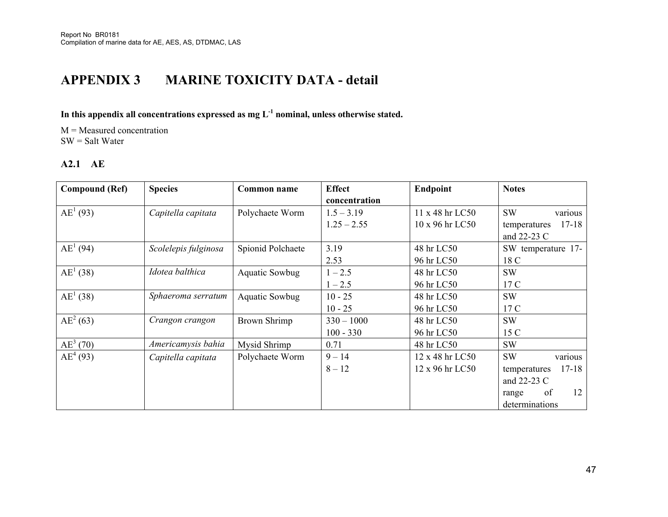# **APPENDIX 3 MARINE TOXICITY DATA - detail**

# **In this appendix all concentrations expressed as mg L-1 nominal, unless otherwise stated.**

M = Measured concentration SW = Salt Water

### **A2.1 AE**

| <b>Compound (Ref)</b> | <b>Species</b>       | Common name           | <b>Effect</b> | Endpoint        | <b>Notes</b>              |
|-----------------------|----------------------|-----------------------|---------------|-----------------|---------------------------|
|                       |                      |                       | concentration |                 |                           |
| $AE^1(93)$            | Capitella capitata   | Polychaete Worm       | $1.5 - 3.19$  | 11 x 48 hr LC50 | <b>SW</b><br>various      |
|                       |                      |                       | $1.25 - 2.55$ | 10 x 96 hr LC50 | $17 - 18$<br>temperatures |
|                       |                      |                       |               |                 | and 22-23 C               |
| $AE^1(94)$            | Scolelepis fulginosa | Spionid Polchaete     | 3.19          | 48 hr LC50      | SW temperature 17-        |
|                       |                      |                       | 2.53          | 96 hr LC50      | 18 C                      |
| $AE^1(38)$            | Idotea balthica      | <b>Aquatic Sowbug</b> | $1 - 2.5$     | 48 hr LC50      | <b>SW</b>                 |
|                       |                      |                       | $1 - 2.5$     | 96 hr LC50      | 17 C                      |
| $AE^1(38)$            | Sphaeroma serratum   | <b>Aquatic Sowbug</b> | $10 - 25$     | 48 hr LC50      | <b>SW</b>                 |
|                       |                      |                       | $10 - 25$     | 96 hr LC50      | 17 C                      |
| $AE^2(63)$            | Crangon crangon      | <b>Brown Shrimp</b>   | $330 - 1000$  | 48 hr LC50      | <b>SW</b>                 |
|                       |                      |                       | $100 - 330$   | 96 hr LC50      | 15 C                      |
| $AE^3(70)$            | Americamysis bahia   | Mysid Shrimp          | 0.71          | 48 hr LC50      | <b>SW</b>                 |
| $AE^4(93)$            | Capitella capitata   | Polychaete Worm       | $9 - 14$      | 12 x 48 hr LC50 | <b>SW</b><br>various      |
|                       |                      |                       | $8 - 12$      | 12 x 96 hr LC50 | $17 - 18$<br>temperatures |
|                       |                      |                       |               |                 | and 22-23 C               |
|                       |                      |                       |               |                 | of<br>12<br>range         |
|                       |                      |                       |               |                 | determinations            |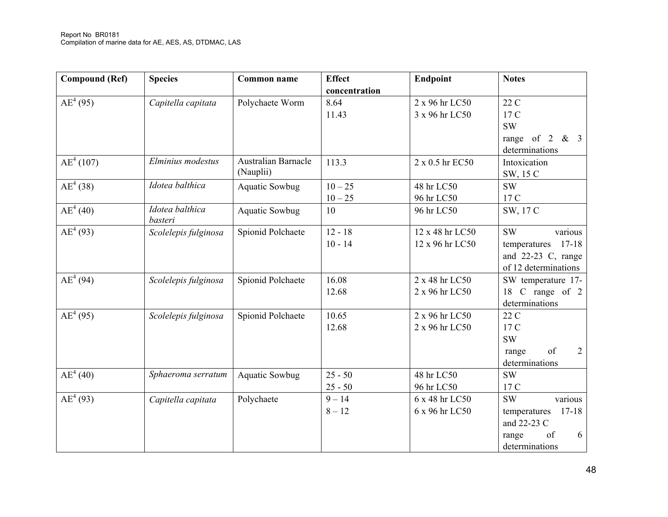| <b>Compound (Ref)</b> | <b>Species</b>       | Common name                | <b>Effect</b> | Endpoint        | <b>Notes</b>              |
|-----------------------|----------------------|----------------------------|---------------|-----------------|---------------------------|
|                       |                      |                            | concentration |                 |                           |
| $AE^4(95)$            | Capitella capitata   | Polychaete Worm            | 8.64          | 2 x 96 hr LC50  | 22 C                      |
|                       |                      |                            | 11.43         | 3 x 96 hr LC50  | 17 C                      |
|                       |                      |                            |               |                 | <b>SW</b>                 |
|                       |                      |                            |               |                 | range of $2 \& 3$         |
|                       |                      |                            |               |                 | determinations            |
| $AE^4(107)$           | Elminius modestus    | <b>Australian Barnacle</b> | 113.3         | 2 x 0.5 hr EC50 | Intoxication              |
|                       |                      | (Nauplii)                  |               |                 | SW, 15 C                  |
| $AE^4(38)$            | Idotea balthica      | <b>Aquatic Sowbug</b>      | $10 - 25$     | 48 hr LC50      | <b>SW</b>                 |
|                       |                      |                            | $10 - 25$     | 96 hr LC50      | 17 C                      |
| $AE^4(40)$            | Idotea balthica      | <b>Aquatic Sowbug</b>      | 10            | 96 hr LC50      | SW, 17 C                  |
|                       | basteri              |                            |               |                 |                           |
| $AE^4(93)$            | Scolelepis fulginosa | Spionid Polchaete          | $12 - 18$     | 12 x 48 hr LC50 | <b>SW</b><br>various      |
|                       |                      |                            | $10 - 14$     | 12 x 96 hr LC50 | $17 - 18$<br>temperatures |
|                       |                      |                            |               |                 | and 22-23 C, range        |
|                       |                      |                            |               |                 | of 12 determinations      |
| $AE^4(94)$            | Scolelepis fulginosa | Spionid Polchaete          | 16.08         | 2 x 48 hr LC50  | SW temperature 17-        |
|                       |                      |                            | 12.68         | 2 x 96 hr LC50  | 18 C range of 2           |
|                       |                      |                            |               |                 | determinations            |
| $AE^4(95)$            | Scolelepis fulginosa | Spionid Polchaete          | 10.65         | 2 x 96 hr LC50  | 22 C                      |
|                       |                      |                            | 12.68         | 2 x 96 hr LC50  | 17 C                      |
|                       |                      |                            |               |                 | <b>SW</b>                 |
|                       |                      |                            |               |                 | of<br>2<br>range          |
|                       |                      |                            |               |                 | determinations            |
| $AE^4(40)$            | Sphaeroma serratum   | <b>Aquatic Sowbug</b>      | $25 - 50$     | 48 hr LC50      | <b>SW</b>                 |
|                       |                      |                            | $25 - 50$     | 96 hr LC50      | 17 C                      |
| $AE^4(93)$            | Capitella capitata   | Polychaete                 | $9 - 14$      | 6 x 48 hr LC50  | <b>SW</b><br>various      |
|                       |                      |                            | $8 - 12$      | 6 x 96 hr LC50  | $17 - 18$<br>temperatures |
|                       |                      |                            |               |                 | and 22-23 C               |
|                       |                      |                            |               |                 | of<br>6<br>range          |
|                       |                      |                            |               |                 | determinations            |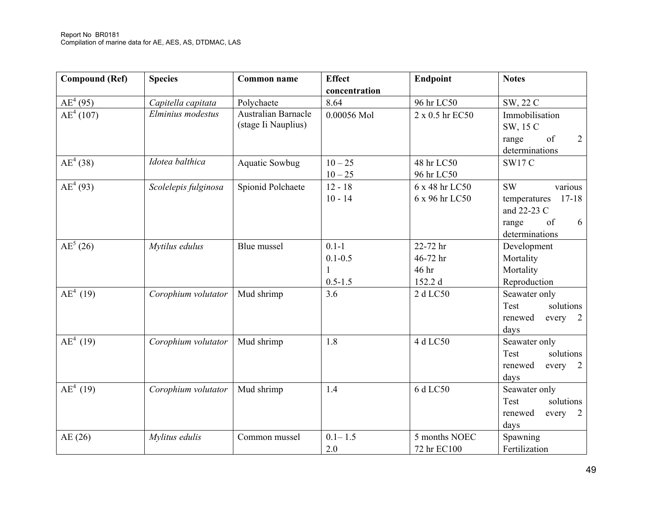| <b>Compound (Ref)</b> | <b>Species</b>       | <b>Common name</b>                                | <b>Effect</b>                                           | Endpoint                                 | <b>Notes</b>                                                                                           |
|-----------------------|----------------------|---------------------------------------------------|---------------------------------------------------------|------------------------------------------|--------------------------------------------------------------------------------------------------------|
|                       |                      |                                                   | concentration                                           |                                          |                                                                                                        |
| $AE^4(95)$            | Capitella capitata   | Polychaete                                        | 8.64                                                    | 96 hr LC50                               | SW, 22 C                                                                                               |
| $AE^4(107)$           | Elminius modestus    | <b>Australian Barnacle</b><br>(stage Ii Nauplius) | 0.00056 Mol                                             | 2 x 0.5 hr EC50                          | Immobilisation<br>SW, 15 C<br>$\overline{2}$<br>of<br>range<br>determinations                          |
| $AE^4(38)$            | Idotea balthica      | <b>Aquatic Sowbug</b>                             | $10 - 25$<br>$10 - 25$                                  | 48 hr LC50<br>96 hr LC50                 | <b>SW17 C</b>                                                                                          |
| $AE^4(93)$            | Scolelepis fulginosa | Spionid Polchaete                                 | $12 - 18$<br>$10 - 14$                                  | 6 x 48 hr LC50<br>6 x 96 hr LC50         | <b>SW</b><br>various<br>$17 - 18$<br>temperatures<br>and 22-23 C<br>of<br>range<br>6<br>determinations |
| $AE^5(26)$            | Mytilus edulus       | Blue mussel                                       | $0.1 - 1$<br>$0.1 - 0.5$<br>$\mathbf{1}$<br>$0.5 - 1.5$ | 22-72 hr<br>46-72 hr<br>46 hr<br>152.2 d | Development<br>Mortality<br>Mortality<br>Reproduction                                                  |
| $AE^4$ (19)           | Corophium volutator  | Mud shrimp                                        | 3.6                                                     | 2 d LC50                                 | Seawater only<br>solutions<br>Test<br>renewed<br>every<br>2<br>days                                    |
| $AE^4$ (19)           | Corophium volutator  | Mud shrimp                                        | 1.8                                                     | 4 d LC50                                 | Seawater only<br>solutions<br>Test<br>renewed<br>every<br>2<br>days                                    |
| $AE^4$ (19)           | Corophium volutator  | Mud shrimp                                        | 1.4                                                     | 6 d LC50                                 | Seawater only<br>solutions<br>Test<br>renewed<br>every<br>2<br>days                                    |
| AE(26)                | Mylitus edulis       | Common mussel                                     | $0.1 - 1.5$<br>2.0                                      | 5 months NOEC<br>72 hr EC100             | Spawning<br>Fertilization                                                                              |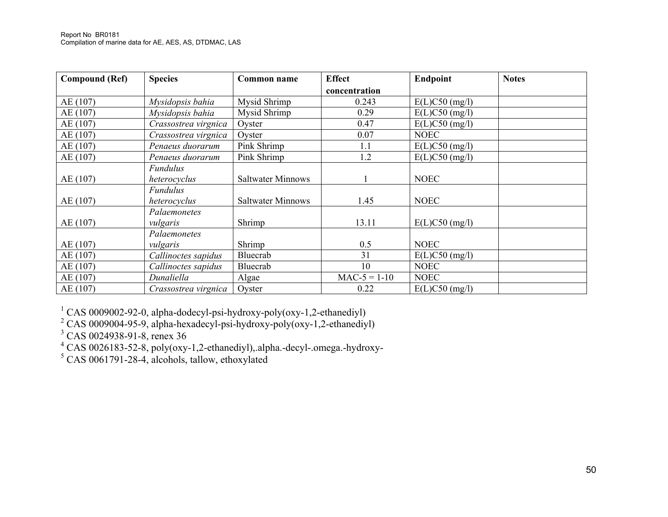| <b>Compound (Ref)</b> | <b>Species</b>       | Common name              | <b>Effect</b>  | Endpoint         | <b>Notes</b> |
|-----------------------|----------------------|--------------------------|----------------|------------------|--------------|
|                       |                      |                          | concentration  |                  |              |
| AE (107)              | Mysidopsis bahia     | Mysid Shrimp             | 0.243          | $E(L)C50$ (mg/l) |              |
| AE (107)              | Mysidopsis bahia     | Mysid Shrimp             | 0.29           | $E(L)C50$ (mg/l) |              |
| AE (107)              | Crassostrea virgnica | Oyster                   | 0.47           | $E(L)C50$ (mg/l) |              |
| AE (107)              | Crassostrea virgnica | Oyster                   | 0.07           | <b>NOEC</b>      |              |
| AE (107)              | Penaeus duorarum     | Pink Shrimp              | 1.1            | $E(L)C50$ (mg/l) |              |
| AE (107)              | Penaeus duorarum     | Pink Shrimp              | 1.2            | $E(L)C50$ (mg/l) |              |
|                       | <b>Fundulus</b>      |                          |                |                  |              |
| AE(107)               | heterocyclus         | <b>Saltwater Minnows</b> |                | <b>NOEC</b>      |              |
|                       | <b>Fundulus</b>      |                          |                |                  |              |
| AE(107)               | heterocyclus         | <b>Saltwater Minnows</b> | 1.45           | <b>NOEC</b>      |              |
|                       | Palaemonetes         |                          |                |                  |              |
| AE(107)               | vulgaris             | Shrimp                   | 13.11          | $E(L)C50$ (mg/l) |              |
|                       | Palaemonetes         |                          |                |                  |              |
| AE (107)              | vulgaris             | Shrimp                   | 0.5            | <b>NOEC</b>      |              |
| AE (107)              | Callinoctes sapidus  | Bluecrab                 | 31             | $E(L)C50$ (mg/l) |              |
| AE (107)              | Callinoctes sapidus  | Bluecrab                 | 10             | <b>NOEC</b>      |              |
| AE (107)              | Dunaliella           | Algae                    | $MAC-5 = 1-10$ | <b>NOEC</b>      |              |
| AE(107)               | Crassostrea virgnica | Oyster                   | 0.22           | $E(L)C50$ (mg/l) |              |

<sup>1</sup> CAS 0009002-92-0, alpha-dodecyl-psi-hydroxy-poly(oxy-1,2-ethanediyl) <sup>2</sup> CAS 0009004-95-9, alpha-hexadecyl-psi-hydroxy-poly(oxy-1,2-ethanediyl)

 $^{3}$  CAS 0024938-91-8, renex 36<br>  $^{4}$  CAS 0026183-52-8, poly(oxy-1,2-ethanediyl),.alpha.-decyl-.omega.-hydroxy-<br>  $^{5}$  CAS 0061791-28-4, alcohols, tallow, ethoxylated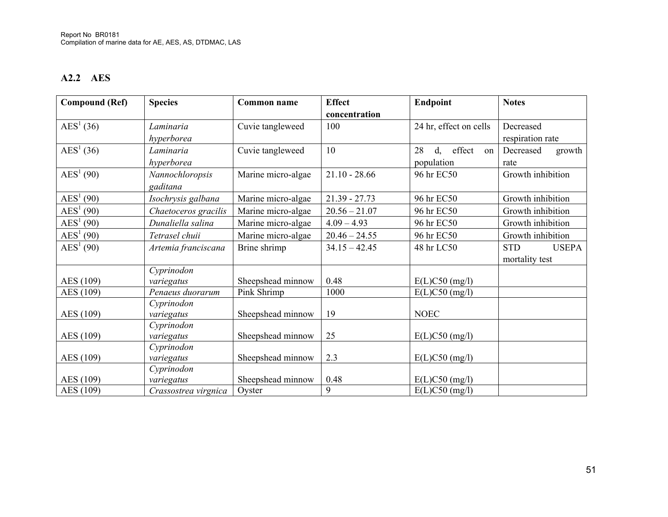### **A2.2 AES**

| <b>Compound (Ref)</b> | <b>Species</b>       | <b>Common name</b> | <b>Effect</b>   | Endpoint                           | <b>Notes</b>               |
|-----------------------|----------------------|--------------------|-----------------|------------------------------------|----------------------------|
|                       |                      |                    | concentration   |                                    |                            |
| $\text{AES}^1(36)$    | Laminaria            | Cuvie tangleweed   | 100             | 24 hr, effect on cells             | Decreased                  |
|                       | hyperborea           |                    |                 |                                    | respiration rate           |
| $\text{AES}^1(36)$    | Laminaria            | Cuvie tangleweed   | 10              | effect<br>28<br>$d_{\gamma}$<br>on | Decreased<br>growth        |
|                       | hyperborea           |                    |                 | population                         | rate                       |
| $\text{AES}^1(90)$    | Nannochloropsis      | Marine micro-algae | $21.10 - 28.66$ | 96 hr EC50                         | Growth inhibition          |
|                       | gaditana             |                    |                 |                                    |                            |
| $\text{AES}^1(90)$    | Isochrysis galbana   | Marine micro-algae | $21.39 - 27.73$ | 96 hr EC50                         | Growth inhibition          |
| $\text{AES}^1(90)$    | Chaetoceros gracilis | Marine micro-algae | $20.56 - 21.07$ | 96 hr EC50                         | Growth inhibition          |
| $\text{AES}^1(90)$    | Dunaliella salina    | Marine micro-algae | $4.09 - 4.93$   | 96 hr EC50                         | Growth inhibition          |
| $\text{AES}^1(90)$    | Tetrasel chuii       | Marine micro-algae | $20.46 - 24.55$ | 96 hr EC50                         | Growth inhibition          |
| $\text{AES}^1(90)$    | Artemia franciscana  | Brine shrimp       | $34.15 - 42.45$ | 48 hr LC50                         | <b>STD</b><br><b>USEPA</b> |
|                       |                      |                    |                 |                                    | mortality test             |
|                       | Cyprinodon           |                    |                 |                                    |                            |
| AES (109)             | variegatus           | Sheepshead minnow  | 0.48            | $E(L)C50$ (mg/l)                   |                            |
| AES (109)             | Penaeus duorarum     | Pink Shrimp        | 1000            | $E(L)C50$ (mg/l)                   |                            |
|                       | Cyprinodon           |                    |                 |                                    |                            |
| AES (109)             | variegatus           | Sheepshead minnow  | 19              | <b>NOEC</b>                        |                            |
|                       | Cyprinodon           |                    |                 |                                    |                            |
| AES (109)             | variegatus           | Sheepshead minnow  | 25              | $E(L)C50$ (mg/l)                   |                            |
|                       | Cyprinodon           |                    |                 |                                    |                            |
| AES (109)             | variegatus           | Sheepshead minnow  | 2.3             | $E(L)C50$ (mg/l)                   |                            |
|                       | Cyprinodon           |                    |                 |                                    |                            |
| AES (109)             | variegatus           | Sheepshead minnow  | 0.48            | $E(L)C50$ (mg/l)                   |                            |
| AES (109)             | Crassostrea virgnica | Oyster             | 9               | $E(L)C50$ (mg/l)                   |                            |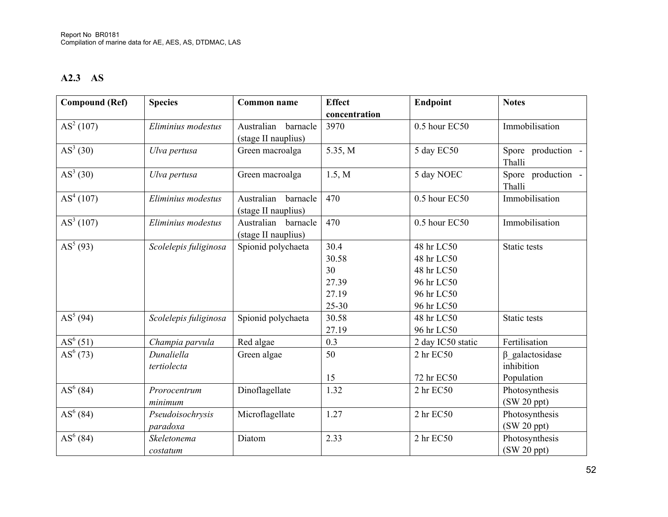### **A2.3 AS**

| <b>Compound (Ref)</b> | <b>Species</b>               | <b>Common name</b>                            | <b>Effect</b> | Endpoint                | <b>Notes</b>                                       |
|-----------------------|------------------------------|-----------------------------------------------|---------------|-------------------------|----------------------------------------------------|
|                       |                              |                                               | concentration |                         |                                                    |
| AS <sup>2</sup> (107) | Eliminius modestus           | Australian<br>barnacle<br>(stage II nauplius) | 3970          | 0.5 hour EC50           | Immobilisation                                     |
| $AS^3(30)$            | Ulva pertusa                 | Green macroalga                               | 5.35, M       | 5 day EC50              | Spore production -<br>Thalli                       |
| $AS^3(30)$            | Ulva pertusa                 | Green macroalga                               | 1.5, M        | 5 day NOEC              | Spore<br>production -<br>Thalli                    |
| AS <sup>4</sup> (107) | Eliminius modestus           | Australian<br>barnacle<br>(stage II nauplius) | 470           | 0.5 hour EC50           | Immobilisation                                     |
| AS <sup>3</sup> (107) | Eliminius modestus           | Australian<br>barnacle<br>(stage II nauplius) | 470           | 0.5 hour EC50           | Immobilisation                                     |
| $AS^5(93)$            | Scolelepis fuliginosa        | Spionid polychaeta                            | 30.4          | 48 hr LC50              | Static tests                                       |
|                       |                              |                                               | 30.58         | 48 hr LC50              |                                                    |
|                       |                              |                                               | 30            | 48 hr LC50              |                                                    |
|                       |                              |                                               | 27.39         | 96 hr LC50              |                                                    |
|                       |                              |                                               | 27.19         | 96 hr LC50              |                                                    |
|                       |                              |                                               | $25 - 30$     | 96 hr LC50              |                                                    |
| $AS^5(94)$            | Scolelepis fuliginosa        | Spionid polychaeta                            | 30.58         | 48 hr LC50              | <b>Static tests</b>                                |
|                       |                              |                                               | 27.19         | 96 hr LC50              |                                                    |
| $AS^{6}(51)$          | Champia parvula              | Red algae                                     | 0.3           | 2 day IC50 static       | Fertilisation                                      |
| $AS^{6}(73)$          | Dunaliella<br>tertiolecta    | Green algae                                   | 50<br>15      | 2 hr EC50<br>72 hr EC50 | $\beta$ _galactosidase<br>inhibition<br>Population |
| $AS^{6}(84)$          | Prorocentrum<br>minimum      | Dinoflagellate                                | 1.32          | 2 hr EC50               | Photosynthesis<br>$(SW 20$ ppt $)$                 |
| $AS^{6}(84)$          | Pseudoisochrysis<br>paradoxa | Microflagellate                               | 1.27          | 2 hr EC50               | Photosynthesis<br>$(SW 20$ ppt $)$                 |
| $AS^{6}(84)$          | Skeletonema<br>costatum      | Diatom                                        | 2.33          | 2 hr EC50               | Photosynthesis<br>$(SW 20$ ppt $)$                 |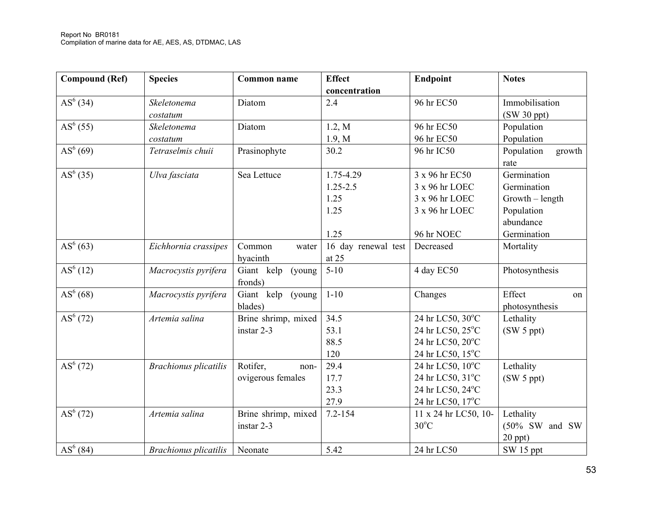| <b>Compound (Ref)</b> | <b>Species</b>               | <b>Common name</b>                    | <b>Effect</b><br>concentration                    | Endpoint                                                                           | <b>Notes</b>                                                                              |
|-----------------------|------------------------------|---------------------------------------|---------------------------------------------------|------------------------------------------------------------------------------------|-------------------------------------------------------------------------------------------|
| $AS^{6}(34)$          | Skeletonema<br>costatum      | Diatom                                | 2.4                                               | 96 hr EC50                                                                         | Immobilisation<br>(SW 30 ppt)                                                             |
| $AS^{6}(55)$          | Skeletonema<br>costatum      | Diatom                                | 1.2, M<br>1.9, M                                  | 96 hr EC50<br>96 hr EC50                                                           | Population<br>Population                                                                  |
| $AS^{6}(69)$          | Tetraselmis chuii            | Prasinophyte                          | 30.2                                              | 96 hr IC50                                                                         | Population<br>growth<br>rate                                                              |
| $AS^{6}(35)$          | Ulva fasciata                | Sea Lettuce                           | 1.75-4.29<br>$1.25 - 2.5$<br>1.25<br>1.25<br>1.25 | 3 x 96 hr EC50<br>3 x 96 hr LOEC<br>3 x 96 hr LOEC<br>3 x 96 hr LOEC<br>96 hr NOEC | Germination<br>Germination<br>$Growth - length$<br>Population<br>abundance<br>Germination |
| $AS^{6}(63)$          | Eichhornia crassipes         | Common<br>water<br>hyacinth           | 16 day renewal test<br>at 25                      | Decreased                                                                          | Mortality                                                                                 |
| AS <sup>6</sup> (12)  | Macrocystis pyrifera         | Giant kelp<br>(young)<br>fronds)      | $5 - 10$                                          | 4 day EC50                                                                         | Photosynthesis                                                                            |
| AS <sup>6</sup> (68)  | Macrocystis pyrifera         | Giant kelp (young<br>blades)          | $1 - 10$                                          | Changes                                                                            | Effect<br>on<br>photosynthesis                                                            |
| $AS^{6}(72)$          | Artemia salina               | Brine shrimp, mixed<br>instar 2-3     | 34.5<br>53.1<br>88.5<br>120                       | 24 hr LC50, 30°C<br>24 hr LC50, 25°C<br>24 hr LC50, 20°C<br>24 hr LC50, 15°C       | Lethality<br>(SW 5 ppt)                                                                   |
| $AS^{6}(72)$          | <b>Brachionus</b> plicatilis | Rotifer,<br>non-<br>ovigerous females | 29.4<br>17.7<br>23.3<br>27.9                      | 24 hr LC50, 10°C<br>24 hr LC50, 31°C<br>24 hr LC50, 24°C<br>24 hr LC50, 17°C       | Lethality<br>(SW 5 ppt)                                                                   |
| $AS^{6}(72)$          | Artemia salina               | Brine shrimp, mixed<br>instar 2-3     | $7.2 - 154$                                       | 11 x 24 hr LC50, 10-<br>$30^{\circ}$ C                                             | Lethality<br>$(50\%$ SW and SW<br>$20$ ppt $)$                                            |
| $AS^{6}(84)$          | <b>Brachionus plicatilis</b> | Neonate                               | 5.42                                              | 24 hr LC50                                                                         | SW 15 ppt                                                                                 |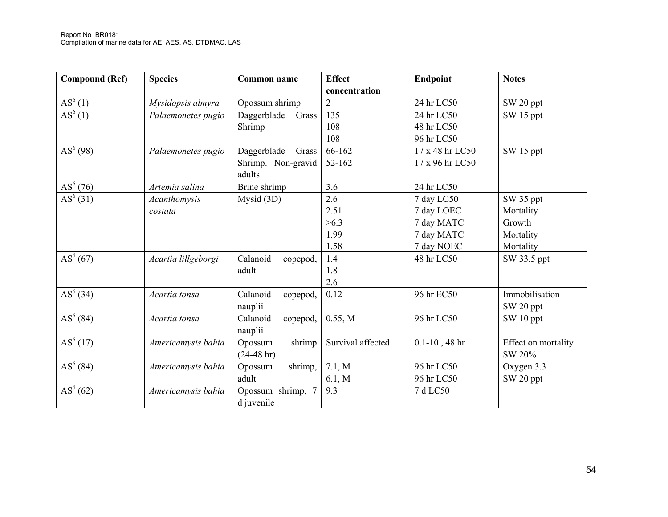| <b>Compound (Ref)</b> | <b>Species</b>      | Common name          | <b>Effect</b>     | Endpoint           | <b>Notes</b>        |
|-----------------------|---------------------|----------------------|-------------------|--------------------|---------------------|
|                       |                     |                      | concentration     |                    |                     |
| $AS^{6}(1)$           | Mysidopsis almyra   | Opossum shrimp       | $\overline{2}$    | 24 hr LC50         | SW 20 ppt           |
| AS <sup>6</sup> (1)   | Palaemonetes pugio  | Daggerblade<br>Grass | 135               | 24 hr LC50         | SW 15 ppt           |
|                       |                     | Shrimp               | 108               | 48 hr LC50         |                     |
|                       |                     |                      | 108               | 96 hr LC50         |                     |
| $AS^{6}(98)$          | Palaemonetes pugio  | Daggerblade<br>Grass | 66-162            | 17 x 48 hr LC50    | SW 15 ppt           |
|                       |                     | Shrimp. Non-gravid   | $52 - 162$        | 17 x 96 hr LC50    |                     |
|                       |                     | adults               |                   |                    |                     |
| $AS^{6}(76)$          | Artemia salina      | Brine shrimp         | 3.6               | 24 hr LC50         |                     |
| $AS^{6}(31)$          | Acanthomysis        | Mysid (3D)           | 2.6               | 7 day LC50         | SW 35 ppt           |
|                       | costata             |                      | 2.51              | 7 day LOEC         | Mortality           |
|                       |                     |                      | >6.3              | 7 day MATC         | Growth              |
|                       |                     |                      | 1.99              | 7 day MATC         | Mortality           |
|                       |                     |                      | 1.58              | 7 day NOEC         | Mortality           |
| $AS^{6}(67)$          | Acartia lillgeborgi | Calanoid<br>copepod, | 1.4               | 48 hr LC50         | SW 33.5 ppt         |
|                       |                     | adult                | 1.8               |                    |                     |
|                       |                     |                      | 2.6               |                    |                     |
| $AS^{6}(34)$          | Acartia tonsa       | Calanoid<br>copepod, | 0.12              | 96 hr EC50         | Immobilisation      |
|                       |                     | nauplii              |                   |                    | SW 20 ppt           |
| $AS^{6}(84)$          | Acartia tonsa       | Calanoid<br>copepod, | 0.55, M           | 96 hr LC50         | SW 10 ppt           |
|                       |                     | nauplii              |                   |                    |                     |
| $AS^{6}(17)$          | Americamysis bahia  | shrimp<br>Opossum    | Survival affected | $0.1 - 10$ , 48 hr | Effect on mortality |
|                       |                     | $(24-48 hr)$         |                   |                    | SW 20%              |
| $AS^{6}(84)$          | Americamysis bahia  | shrimp,<br>Opossum   | 7.1, M            | 96 hr LC50         | Oxygen 3.3          |
|                       |                     | adult                | 6.1, M            | 96 hr LC50         | SW 20 ppt           |
| $AS^{6}(62)$          | Americamysis bahia  | Opossum shrimp, 7    | 9.3               | 7 d LC50           |                     |
|                       |                     | d juvenile           |                   |                    |                     |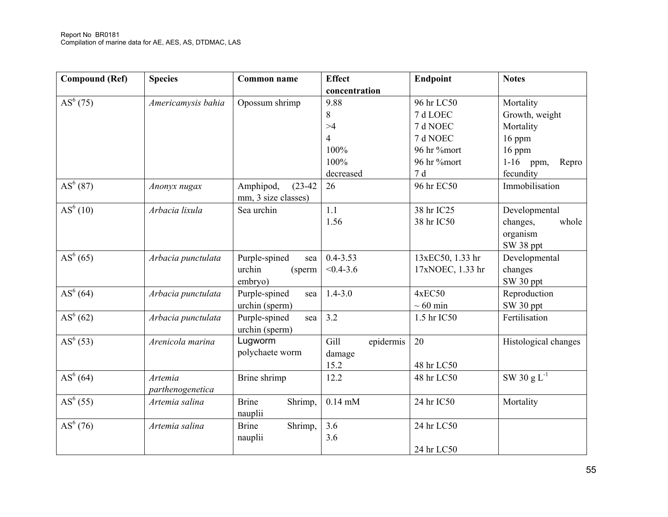| <b>Compound (Ref)</b> | <b>Species</b>     | Common name             | <b>Effect</b>     | <b>Endpoint</b>  | <b>Notes</b>         |
|-----------------------|--------------------|-------------------------|-------------------|------------------|----------------------|
|                       |                    |                         | concentration     |                  |                      |
| $AS^{6}(75)$          | Americamysis bahia | Opossum shrimp          | 9.88              | 96 hr LC50       | Mortality            |
|                       |                    |                         | 8                 | 7 d LOEC         | Growth, weight       |
|                       |                    |                         | >4                | 7 d NOEC         | Mortality            |
|                       |                    |                         | $\overline{4}$    | 7 d NOEC         | 16 ppm               |
|                       |                    |                         | 100%              | 96 hr %mort      | 16 ppm               |
|                       |                    |                         | 100%              | 96 hr %mort      | $1-16$ ppm,<br>Repro |
|                       |                    |                         | decreased         | 7d               | fecundity            |
| $AS^{6}(87)$          | Anonyx nugax       | Amphipod,<br>$(23-42)$  | 26                | 96 hr EC50       | Immobilisation       |
|                       |                    | mm, 3 size classes)     |                   |                  |                      |
| AS <sup>6</sup> (10)  | Arbacia lixula     | Sea urchin              | 1.1               | 38 hr IC25       | Developmental        |
|                       |                    |                         | 1.56              | 38 hr IC50       | changes,<br>whole    |
|                       |                    |                         |                   |                  | organism             |
|                       |                    |                         |                   |                  | SW 38 ppt            |
| $AS^{6}(65)$          | Arbacia punctulata | Purple-spined<br>sea    | $0.4 - 3.53$      | 13xEC50, 1.33 hr | Developmental        |
|                       |                    | urchin<br>(sperm        | $< 0.4 - 3.6$     | 17xNOEC, 1.33 hr | changes              |
|                       |                    | embryo)                 |                   |                  | SW 30 ppt            |
| AS <sup>6</sup> (64)  | Arbacia punctulata | Purple-spined<br>sea    | $1.4 - 3.0$       | 4xEC50           | Reproduction         |
|                       |                    | urchin (sperm)          |                   | $\sim 60$ min    | SW 30 ppt            |
| AS <sup>6</sup> (62)  | Arbacia punctulata | Purple-spined<br>sea    | 3.2               | 1.5 hr IC50      | Fertilisation        |
|                       |                    | urchin (sperm)          |                   |                  |                      |
| $AS^{6}(53)$          | Arenicola marina   | Lugworm                 | Gill<br>epidermis | 20               | Histological changes |
|                       |                    | polychaete worm         | damage            |                  |                      |
|                       |                    |                         | 15.2              | 48 hr LC50       |                      |
| $AS^{6}(64)$          | Artemia            | Brine shrimp            | 12.2              | 48 hr LC50       | SW 30 $g L^{-1}$     |
|                       | parthenogenetica   |                         |                   |                  |                      |
| $AS^{6}(55)$          | Artemia salina     | <b>Brine</b><br>Shrimp, | $0.14$ mM         | 24 hr IC50       | Mortality            |
|                       |                    | nauplii                 |                   |                  |                      |
| $AS^{6}(76)$          | Artemia salina     | <b>Brine</b><br>Shrimp, | 3.6               | 24 hr LC50       |                      |
|                       |                    | nauplii                 | 3.6               |                  |                      |
|                       |                    |                         |                   | 24 hr LC50       |                      |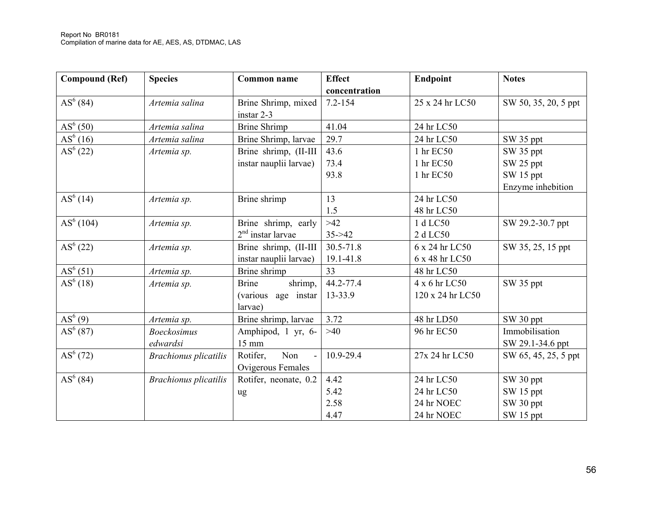| <b>Compound (Ref)</b> | <b>Species</b>               | <b>Common name</b>            | <b>Effect</b> | Endpoint         | <b>Notes</b>         |
|-----------------------|------------------------------|-------------------------------|---------------|------------------|----------------------|
|                       |                              |                               | concentration |                  |                      |
| $AS^{6}(84)$          | Artemia salina               | Brine Shrimp, mixed           | $7.2 - 154$   | 25 x 24 hr LC50  | SW 50, 35, 20, 5 ppt |
|                       |                              | instar 2-3                    |               |                  |                      |
| $AS^{6}(50)$          | Artemia salina               | <b>Brine Shrimp</b>           | 41.04         | 24 hr LC50       |                      |
| $AS^{6}(16)$          | Artemia salina               | Brine Shrimp, larvae          | 29.7          | 24 hr LC50       | SW 35 ppt            |
| $AS^{6}(22)$          | Artemia sp.                  | Brine shrimp, (II-III         | 43.6          | 1 hr EC50        | SW 35 ppt            |
|                       |                              | instar nauplii larvae)        | 73.4          | 1 hr EC50        | SW 25 ppt            |
|                       |                              |                               | 93.8          | 1 hr EC50        | SW 15 ppt            |
|                       |                              |                               |               |                  | Enzyme inhebition    |
| $AS^{6}(14)$          | Artemia sp.                  | Brine shrimp                  | 13            | 24 hr LC50       |                      |
|                       |                              |                               | 1.5           | 48 hr LC50       |                      |
| $AS^6(104)$           | Artemia sp.                  | Brine shrimp, early           | $>42$         | 1 d LC50         | SW 29.2-30.7 ppt     |
|                       |                              | $2nd$ instar larvae           | $35 - 42$     | 2 d LC50         |                      |
| $AS^{6}(22)$          | Artemia sp.                  | Brine shrimp, (II-III         | 30.5-71.8     | 6 x 24 hr LC50   | SW 35, 25, 15 ppt    |
|                       |                              | instar nauplii larvae)        | 19.1-41.8     | 6 x 48 hr LC50   |                      |
| $AS^{6}(51)$          | Artemia sp.                  | Brine shrimp                  | 33            | 48 hr LC50       |                      |
| $AS^{6}(18)$          | Artemia sp.                  | shrimp,<br><b>Brine</b>       | 44.2-77.4     | 4 x 6 hr LC50    | SW 35 ppt            |
|                       |                              | age instar<br><i>(various</i> | 13-33.9       | 120 x 24 hr LC50 |                      |
|                       |                              | larvae)                       |               |                  |                      |
| $AS^{6}(9)$           | Artemia sp.                  | Brine shrimp, larvae          | 3.72          | 48 hr LD50       | SW 30 ppt            |
| $AS^{6}(87)$          | <b>Boeckosimus</b>           | Amphipod, 1 yr, 6-            | >40           | 96 hr EC50       | Immobilisation       |
|                       | edwardsi                     | $15 \text{ mm}$               |               |                  | SW 29.1-34.6 ppt     |
| $AS^{6}(72)$          | <b>Brachionus</b> plicatilis | Rotifer,<br>Non<br>$\sim$     | 10.9-29.4     | 27x 24 hr LC50   | SW 65, 45, 25, 5 ppt |
|                       |                              | Ovigerous Females             |               |                  |                      |
| $AS^{6}(84)$          | <b>Brachionus plicatilis</b> | Rotifer, neonate, 0.2         | 4.42          | 24 hr LC50       | SW 30 ppt            |
|                       |                              | ug                            | 5.42          | 24 hr LC50       | SW 15 ppt            |
|                       |                              |                               | 2.58          | 24 hr NOEC       | SW 30 ppt            |
|                       |                              |                               | 4.47          | 24 hr NOEC       | SW 15 ppt            |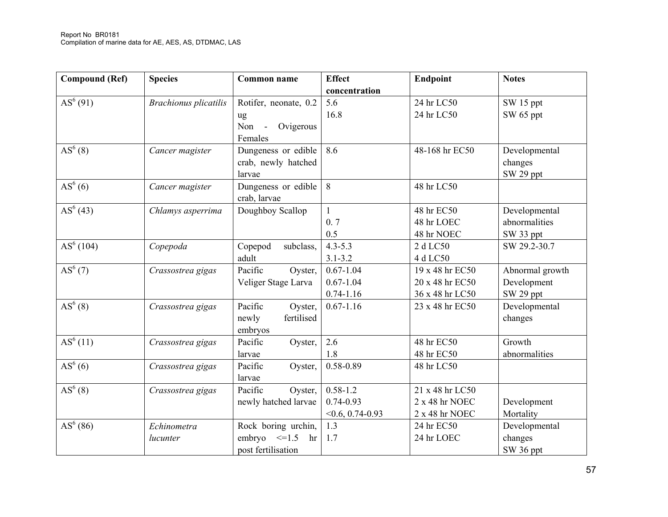| Compound (Ref)        | <b>Species</b>               | <b>Common name</b>                                                | <b>Effect</b><br>concentration                      | Endpoint                                              | <b>Notes</b>                                |
|-----------------------|------------------------------|-------------------------------------------------------------------|-----------------------------------------------------|-------------------------------------------------------|---------------------------------------------|
| $AS^{6}(91)$          | <b>Brachionus plicatilis</b> | Rotifer, neonate, 0.2<br>ug<br>Ovigerous<br>Non -<br>Females      | 5.6<br>16.8                                         | 24 hr LC50<br>24 hr LC50                              | SW 15 ppt<br>SW 65 ppt                      |
| $AS^{6}(8)$           | Cancer magister              | Dungeness or edible<br>crab, newly hatched<br>larvae              | 8.6                                                 | 48-168 hr EC50                                        | Developmental<br>changes<br>SW 29 ppt       |
| AS <sup>6</sup> (6)   | Cancer magister              | Dungeness or edible<br>crab, larvae                               | 8                                                   | 48 hr LC50                                            |                                             |
| $AS^{6}(43)$          | Chlamys asperrima            | Doughboy Scallop                                                  | 1<br>0.7<br>0.5                                     | 48 hr EC50<br>48 hr LOEC<br>48 hr NOEC                | Developmental<br>abnormalities<br>SW 33 ppt |
| AS <sup>6</sup> (104) | Copepoda                     | Copepod<br>subclass,<br>adult                                     | $4.3 - 5.3$<br>$3.1 - 3.2$                          | 2 d LC50<br>4 d LC50                                  | SW 29.2-30.7                                |
| $AS^{6}(7)$           | Crassostrea gigas            | Pacific<br>Oyster,<br>Veliger Stage Larva                         | $0.67 - 1.04$<br>$0.67 - 1.04$<br>$0.74 - 1.16$     | 19 x 48 hr EC50<br>20 x 48 hr EC50<br>36 x 48 hr LC50 | Abnormal growth<br>Development<br>SW 29 ppt |
| AS <sup>6</sup> (8)   | Crassostrea gigas            | Pacific<br>Oyster,<br>fertilised<br>newly<br>embryos              | $0.67 - 1.16$                                       | 23 x 48 hr EC50                                       | Developmental<br>changes                    |
| $AS^{6}(11)$          | Crassostrea gigas            | Pacific<br>Oyster,<br>larvae                                      | 2.6<br>1.8                                          | 48 hr EC50<br>48 hr EC50                              | Growth<br>abnormalities                     |
| AS <sup>6</sup> (6)   | Crassostrea gigas            | Pacific<br>Oyster,<br>larvae                                      | 0.58-0.89                                           | 48 hr LC50                                            |                                             |
| $AS^{6}(8)$           | Crassostrea gigas            | Pacific<br>Oyster,<br>newly hatched larvae                        | $0.58 - 1.2$<br>$0.74 - 0.93$<br>$<$ 0.6, 0.74-0.93 | 21 x 48 hr LC50<br>2 x 48 hr NOEC<br>2 x 48 hr NOEC   | Development<br>Mortality                    |
| $AS^{6}(86)$          | Echinometra<br>lucunter      | Rock boring urchin,<br>embryo $\leq 1.5$ hr<br>post fertilisation | 1.3<br>1.7                                          | 24 hr EC50<br>24 hr LOEC                              | Developmental<br>changes<br>SW 36 ppt       |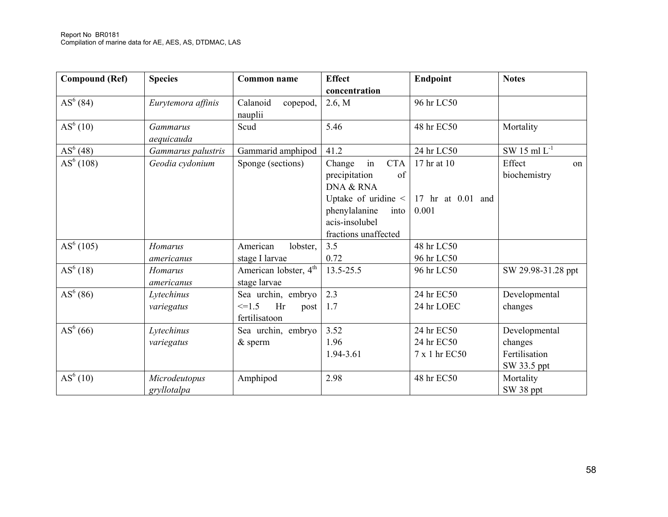| <b>Compound (Ref)</b> | <b>Species</b>                | <b>Common name</b>                                               | <b>Effect</b>                                                                                                                                            | Endpoint                                  | <b>Notes</b>                                             |
|-----------------------|-------------------------------|------------------------------------------------------------------|----------------------------------------------------------------------------------------------------------------------------------------------------------|-------------------------------------------|----------------------------------------------------------|
|                       |                               |                                                                  | concentration                                                                                                                                            |                                           |                                                          |
| $AS^{6}(84)$          | Eurytemora affinis            | Calanoid<br>copepod,<br>nauplii                                  | 2.6, M                                                                                                                                                   | 96 hr LC50                                |                                                          |
| $AS^{6}(10)$          | <b>Gammarus</b><br>aequicauda | Scud                                                             | 5.46                                                                                                                                                     | 48 hr EC50                                | Mortality                                                |
| $AS^{6}(48)$          | Gammarus palustris            | Gammarid amphipod                                                | 41.2                                                                                                                                                     | 24 hr LC50                                | SW 15 ml $L^{-1}$                                        |
| AS <sup>6</sup> (108) | Geodia cydonium               | Sponge (sections)                                                | in<br><b>CTA</b><br>Change<br>precipitation<br>of<br>DNA & RNA<br>Uptake of uridine <<br>phenylalanine<br>into<br>acis-insolubel<br>fractions unaffected | 17 hr at 10<br>17 hr at 0.01 and<br>0.001 | Effect<br>on<br>biochemistry                             |
| AS <sup>6</sup> (105) | Homarus<br>americanus         | American<br>lobster,<br>stage I larvae                           | 3.5<br>0.72                                                                                                                                              | 48 hr LC50<br>96 hr LC50                  |                                                          |
| $AS^{6}(18)$          | <b>Homarus</b><br>americanus  | American lobster, 4 <sup>th</sup><br>stage larvae                | 13.5-25.5                                                                                                                                                | 96 hr LC50                                | SW 29.98-31.28 ppt                                       |
| $AS^{6}(86)$          | Lytechinus<br>variegatus      | Sea urchin, embryo<br>$\leq$ -1.5<br>Hr<br>post<br>fertilisatoon | 2.3<br>1.7                                                                                                                                               | 24 hr EC50<br>24 hr LOEC                  | Developmental<br>changes                                 |
| $AS^{6}(66)$          | Lytechinus<br>variegatus      | Sea urchin, embryo<br>$&$ sperm                                  | 3.52<br>1.96<br>1.94-3.61                                                                                                                                | 24 hr EC50<br>24 hr EC50<br>7 x 1 hr EC50 | Developmental<br>changes<br>Fertilisation<br>SW 33.5 ppt |
| $AS^{6}(10)$          | Microdeutopus<br>gryllotalpa  | Amphipod                                                         | 2.98                                                                                                                                                     | 48 hr EC50                                | Mortality<br>SW 38 ppt                                   |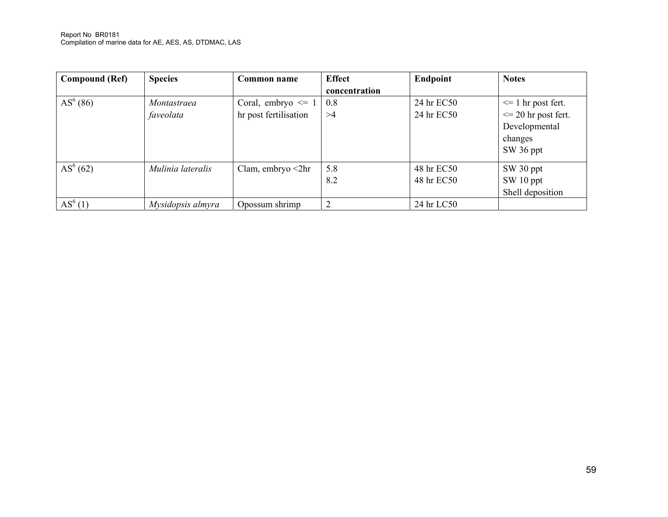Report No BR0181 Compilation of marine data for AE, AES, AS, DTDMAC, LAS

| <b>Compound (Ref)</b> | <b>Species</b>    | Common name              | <b>Effect</b>  | Endpoint   | <b>Notes</b>            |
|-----------------------|-------------------|--------------------------|----------------|------------|-------------------------|
|                       |                   |                          | concentration  |            |                         |
| $AS^{6}(86)$          | Montastraea       | Coral, embryo $\leq 1$   | 0.8            | 24 hr EC50 | $\leq 1$ hr post fert.  |
|                       | faveolata         | hr post fertilisation    | >4             | 24 hr EC50 | $\leq$ 20 hr post fert. |
|                       |                   |                          |                |            | Developmental           |
|                       |                   |                          |                |            | changes                 |
|                       |                   |                          |                |            | SW 36 ppt               |
| $AS^{6}(62)$          | Mulinia lateralis | Clam, embryo $\leq 2$ hr | 5.8            | 48 hr EC50 | SW 30 ppt               |
|                       |                   |                          | 8.2            | 48 hr EC50 | SW 10 ppt               |
|                       |                   |                          |                |            | Shell deposition        |
| $AS^{6}(1)$           | Mysidopsis almyra | Opossum shrimp           | $\overline{2}$ | 24 hr LC50 |                         |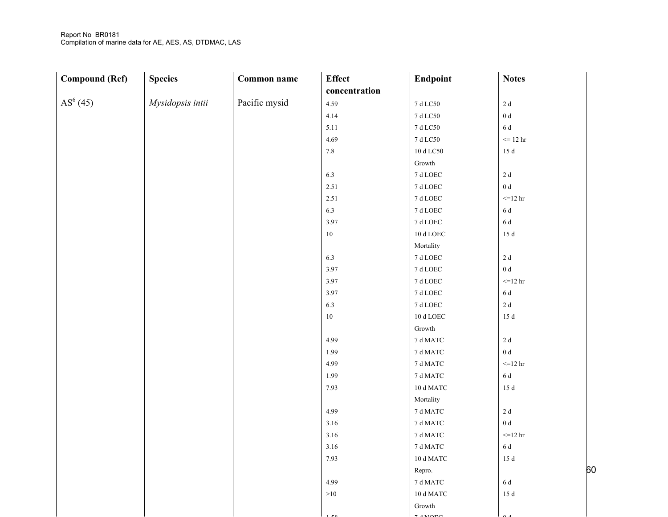#### Report No BR0181 Compilation of marine data for AE, AES, AS, DTDMAC, LAS

| <b>Compound (Ref)</b> | <b>Species</b>   | <b>Common name</b> | <b>Effect</b> | Endpoint                               | <b>Notes</b>    |    |
|-----------------------|------------------|--------------------|---------------|----------------------------------------|-----------------|----|
|                       |                  |                    | concentration |                                        |                 |    |
| $AS^{6}(45)$          | Mysidopsis intii | Pacific mysid      | 4.59          | $7~\mathrm{d}~\mathrm{L} \mathrm{C}50$ | $2\;\rm{d}$     |    |
|                       |                  |                    | 4.14          | $7~\mathrm{d}~\mathrm{L} \mathrm{C}50$ | $0\ {\rm d}$    |    |
|                       |                  |                    | 5.11          | $7~\mathrm{d}~\mathrm{L} \mathrm{C}50$ | 6 d             |    |
|                       |                  |                    | 4.69          | $7~\mathrm{d}~\mathrm{L} \mathrm{C}50$ | $\leq$ 12 hr    |    |
|                       |                  |                    | $7.8\,$       | $10$ d $\rm LC50$                      | $15\;\rm{d}$    |    |
|                       |                  |                    |               | ${\rm Growth}$                         |                 |    |
|                       |                  |                    | 6.3           | $7~\mathrm{d}~\mathrm{LOEC}$           | $2\ \mathrm{d}$ |    |
|                       |                  |                    | $2.51\,$      | $7~\mathrm{d}~\mathrm{LOEC}$           | $0\ {\rm d}$    |    |
|                       |                  |                    | $2.51\,$      | $7~\mathrm{d}~\mathrm{LOEC}$           | $=12$ hr        |    |
|                       |                  |                    | 6.3           | $7~\mathrm{d}~\mathrm{LOEC}$           | 6 d             |    |
|                       |                  |                    | 3.97          | $7~\mathrm{d}~\mathrm{LOEC}$           | $6\;\rm{d}$     |    |
|                       |                  |                    | $10\,$        | $10$ d LOEC $\,$                       | $15\;\rm{d}$    |    |
|                       |                  |                    |               | Mortality                              |                 |    |
|                       |                  |                    | 6.3           | $7~\mathrm{d}~\mathrm{LOEC}$           | $2\ \mathrm{d}$ |    |
|                       |                  |                    | 3.97          | $7~\mathrm{d}~\mathrm{LOEC}$           | $0\;\rm d$      |    |
|                       |                  |                    | 3.97          | $7~\mathrm{d}~\mathrm{LOEC}$           | $=12$ hr        |    |
|                       |                  |                    | 3.97          | $7~\mathrm{d}~\mathrm{LOEC}$           | $6\;\rm{d}$     |    |
|                       |                  |                    | 6.3           | $7~\mathrm{d}~\mathrm{LOEC}$           | $2\ \mathrm{d}$ |    |
|                       |                  |                    | $10\,$        | $10$ d LOEC $\,$                       | $15\;\rm{d}$    |    |
|                       |                  |                    |               | ${\rm Growth}$                         |                 |    |
|                       |                  |                    | 4.99          | $7\,\mathrm{d}\, \mathrm{MATC}$        | $2\ \mathrm{d}$ |    |
|                       |                  |                    | 1.99          | $7\,\mathrm{d}\, \mathrm{MATC}$        | $0\;\rm{d}$     |    |
|                       |                  |                    | 4.99          | 7 d MATC                               | $=12$ hr        |    |
|                       |                  |                    | 1.99          | $7\,\mathrm{d}\, \mathrm{MATC}$        | $6\;\rm{d}$     |    |
|                       |                  |                    | 7.93          | $10$ d MATC $\,$                       | $15\;\rm{d}$    |    |
|                       |                  |                    |               | Mortality                              |                 |    |
|                       |                  |                    | 4.99          | $7\,\mathrm{d}\, \mathrm{MATC}$        | $2\ \mathrm{d}$ |    |
|                       |                  |                    | 3.16          | $7\,\mathrm{d}\, \mathrm{MATC}$        | $0\ {\rm d}$    |    |
|                       |                  |                    | 3.16          | $7\,\mathrm{d}\, \mathrm{MATC}$        | $<=12$ hr       |    |
|                       |                  |                    | 3.16          | $7\,\mathrm{d}\, \mathrm{MATC}$        | 6 d             |    |
|                       |                  |                    | 7.93          | $10$ d MATC $\,$                       | 15d             |    |
|                       |                  |                    |               | Repro.                                 |                 | 60 |
|                       |                  |                    | 4.99          | $7\,\mathrm{d}\, \mathrm{MATC}$        | 6 d             |    |
|                       |                  |                    | $>10$         | $10$ d MATC $\,$                       | $15\;\rm{d}$    |    |
|                       |                  |                    |               | Growth                                 |                 |    |
|                       |                  |                    |               |                                        |                 |    |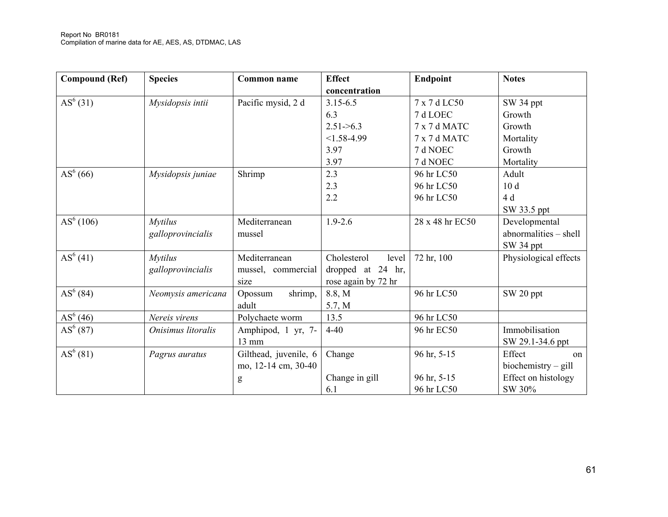| <b>Compound (Ref)</b> | <b>Species</b>     | <b>Common name</b>    | <b>Effect</b>        | Endpoint        | <b>Notes</b>          |
|-----------------------|--------------------|-----------------------|----------------------|-----------------|-----------------------|
|                       |                    |                       | concentration        |                 |                       |
| $AS^{6}(31)$          | Mysidopsis intii   | Pacific mysid, 2 d    | $3.15 - 6.5$         | 7 x 7 d LC50    | SW 34 ppt             |
|                       |                    |                       | 6.3                  | 7 d LOEC        | Growth                |
|                       |                    |                       | $2.51 - 6.3$         | 7 x 7 d MATC    | Growth                |
|                       |                    |                       | $<1.58-4.99$         | 7 x 7 d MATC    | Mortality             |
|                       |                    |                       | 3.97                 | 7 d NOEC        | Growth                |
|                       |                    |                       | 3.97                 | 7 d NOEC        | Mortality             |
| $AS^{6}(66)$          | Mysidopsis juniae  | Shrimp                | 2.3                  | 96 hr LC50      | Adult                 |
|                       |                    |                       | 2.3                  | 96 hr LC50      | 10d                   |
|                       |                    |                       | 2.2                  | 96 hr LC50      | 4 d                   |
|                       |                    |                       |                      |                 | SW 33.5 ppt           |
| AS <sup>6</sup> (106) | <b>Mytilus</b>     | Mediterranean         | $1.9 - 2.6$          | 28 x 48 hr EC50 | Developmental         |
|                       | galloprovincialis  | mussel                |                      |                 | abnormalities - shell |
|                       |                    |                       |                      |                 | SW 34 ppt             |
| $AS^{6}(41)$          | <b>Mytilus</b>     | Mediterranean         | Cholesterol<br>level | 72 hr, 100      | Physiological effects |
|                       | galloprovincialis  | mussel, commercial    | dropped at 24 hr,    |                 |                       |
|                       |                    | size                  | rose again by 72 hr  |                 |                       |
| $AS^{6}(84)$          | Neomysis americana | shrimp,<br>Opossum    | 8.8, M               | 96 hr LC50      | SW 20 ppt             |
|                       |                    | adult                 | 5.7, M               |                 |                       |
| $AS^{6}(46)$          | Nereis virens      | Polychaete worm       | 13.5                 | 96 hr LC50      |                       |
| $AS^{6}(87)$          | Onisimus litoralis | Amphipod, 1 yr, 7-    | $4 - 40$             | 96 hr EC50      | Immobilisation        |
|                       |                    | 13 mm                 |                      |                 | SW 29.1-34.6 ppt      |
| $AS^{6}(81)$          | Pagrus auratus     | Gilthead, juvenile, 6 | Change               | 96 hr, 5-15     | Effect<br>on          |
|                       |                    | mo, 12-14 cm, 30-40   |                      |                 | $biochemistry - gill$ |
|                       |                    | g                     | Change in gill       | 96 hr, 5-15     | Effect on histology   |
|                       |                    |                       | 6.1                  | 96 hr LC50      | SW 30%                |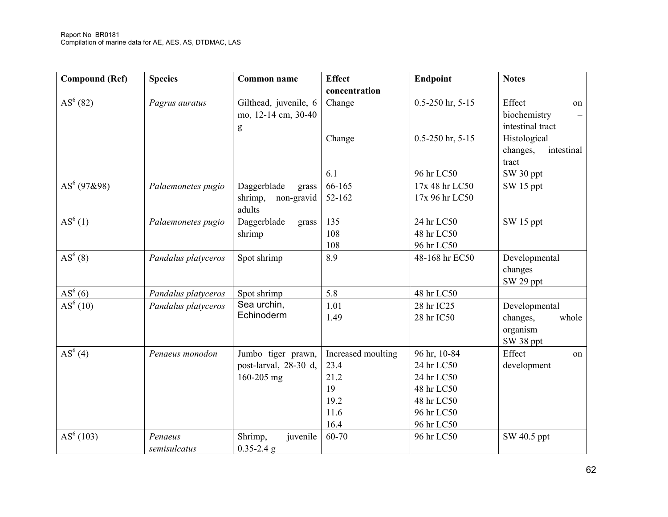| <b>Compound (Ref)</b> | <b>Species</b>      | Common name           | <b>Effect</b>      | <b>Endpoint</b>          | <b>Notes</b>           |
|-----------------------|---------------------|-----------------------|--------------------|--------------------------|------------------------|
|                       |                     |                       | concentration      |                          |                        |
| $AS^{6}(82)$          | Pagrus auratus      | Gilthead, juvenile, 6 | Change             | $0.5 - 250$ hr, $5 - 15$ | Effect<br>on           |
|                       |                     | mo, 12-14 cm, 30-40   |                    |                          | biochemistry           |
|                       |                     | g                     |                    |                          | intestinal tract       |
|                       |                     |                       | Change             | $0.5 - 250$ hr, $5 - 15$ | Histological           |
|                       |                     |                       |                    |                          | changes,<br>intestinal |
|                       |                     |                       |                    |                          | tract                  |
|                       |                     |                       | 6.1                | 96 hr LC50               | SW 30 ppt              |
| $AS^{6}$ (97&98)      | Palaemonetes pugio  | Daggerblade<br>grass  | 66-165             | 17x 48 hr LC50           | SW 15 ppt              |
|                       |                     | shrimp,<br>non-gravid | 52-162             | 17x 96 hr LC50           |                        |
|                       |                     | adults                |                    |                          |                        |
| $AS^{6}(1)$           | Palaemonetes pugio  | Daggerblade<br>grass  | 135                | 24 hr LC50               | SW 15 ppt              |
|                       |                     | shrimp                | 108                | 48 hr LC50               |                        |
|                       |                     |                       | 108                | 96 hr LC50               |                        |
| $AS^{6}(8)$           | Pandalus platyceros | Spot shrimp           | 8.9                | 48-168 hr EC50           | Developmental          |
|                       |                     |                       |                    |                          | changes                |
|                       |                     |                       |                    |                          | SW 29 ppt              |
| $AS^6(6)$             | Pandalus platyceros | Spot shrimp           | 5.8                | 48 hr LC50               |                        |
| AS <sup>6</sup> (10)  | Pandalus platyceros | Sea urchin,           | 1.01               | 28 hr IC25               | Developmental          |
|                       |                     | Echinoderm            | 1.49               | 28 hr IC50               | whole<br>changes,      |
|                       |                     |                       |                    |                          | organism               |
|                       |                     |                       |                    |                          | SW 38 ppt              |
| $AS^{6}(4)$           | Penaeus monodon     | Jumbo tiger prawn,    | Increased moulting | 96 hr, 10-84             | Effect<br>on           |
|                       |                     | post-larval, 28-30 d, | 23.4               | 24 hr LC50               | development            |
|                       |                     | 160-205 mg            | 21.2               | 24 hr LC50               |                        |
|                       |                     |                       | 19                 | 48 hr LC50               |                        |
|                       |                     |                       | 19.2               | 48 hr LC50               |                        |
|                       |                     |                       | 11.6               | 96 hr LC50               |                        |
|                       |                     |                       | 16.4               | 96 hr LC50               |                        |
| AS <sup>6</sup> (103) | Penaeus             | Shrimp,<br>juvenile   | 60-70              | 96 hr LC50               | SW 40.5 ppt            |
|                       | semisulcatus        | $0.35 - 2.4$ g        |                    |                          |                        |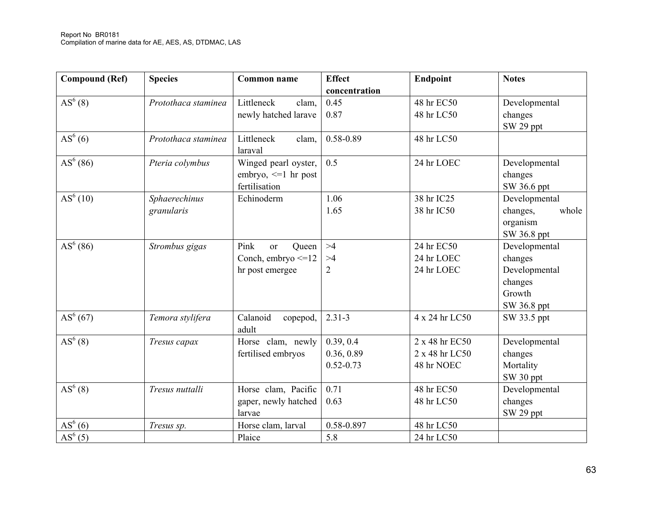| <b>Compound (Ref)</b> | <b>Species</b>              | <b>Common name</b>                                                           | <b>Effect</b><br>concentration           | Endpoint                                       | <b>Notes</b>                                                                  |
|-----------------------|-----------------------------|------------------------------------------------------------------------------|------------------------------------------|------------------------------------------------|-------------------------------------------------------------------------------|
| $AS^{6}(8)$           | Protothaca staminea         | Littleneck<br>clam,<br>newly hatched larave                                  | 0.45<br>0.87                             | 48 hr EC50<br>48 hr LC50                       | Developmental<br>changes<br>SW 29 ppt                                         |
| $AS^{6}(6)$           | Protothaca staminea         | Littleneck<br>clam,<br>laraval                                               | 0.58-0.89                                | 48 hr LC50                                     |                                                                               |
| $AS^{6}(86)$          | Pteria colymbus             | Winged pearl oyster,<br>embryo, $\leq 1$ hr post<br>fertilisation            | 0.5                                      | 24 hr LOEC                                     | Developmental<br>changes<br>SW 36.6 ppt                                       |
| AS <sup>6</sup> (10)  | Sphaerechinus<br>granularis | Echinoderm                                                                   | 1.06<br>1.65                             | 38 hr IC25<br>38 hr IC50                       | Developmental<br>whole<br>changes,<br>organism<br>SW 36.8 ppt                 |
| $AS^{6}(86)$          | Strombus gigas              | Pink<br>Queen<br><sub>or</sub><br>Conch, embryo $\leq 12$<br>hr post emergee | >4<br>>4<br>$\overline{2}$               | 24 hr EC50<br>24 hr LOEC<br>24 hr LOEC         | Developmental<br>changes<br>Developmental<br>changes<br>Growth<br>SW 36.8 ppt |
| $AS^{6}(67)$          | Temora stylifera            | Calanoid<br>copepod,<br>adult                                                | $2.31 - 3$                               | 4 x 24 hr LC50                                 | SW 33.5 ppt                                                                   |
| $AS^{6}(8)$           | Tresus capax                | Horse clam, newly<br>fertilised embryos                                      | 0.39, 0.4<br>0.36, 0.89<br>$0.52 - 0.73$ | 2 x 48 hr EC50<br>2 x 48 hr LC50<br>48 hr NOEC | Developmental<br>changes<br>Mortality<br>SW 30 ppt                            |
| $AS^{6}(8)$           | Tresus nuttalli             | Horse clam, Pacific<br>gaper, newly hatched<br>larvae                        | 0.71<br>0.63                             | 48 hr EC50<br>48 hr LC50                       | Developmental<br>changes<br>SW <sub>29</sub> ppt                              |
| $AS^{6}(6)$           | Tresus sp.                  | Horse clam, larval                                                           | 0.58-0.897                               | 48 hr LC50                                     |                                                                               |
| $\overline{AS}^6(5)$  |                             | Plaice                                                                       | 5.8                                      | 24 hr LC50                                     |                                                                               |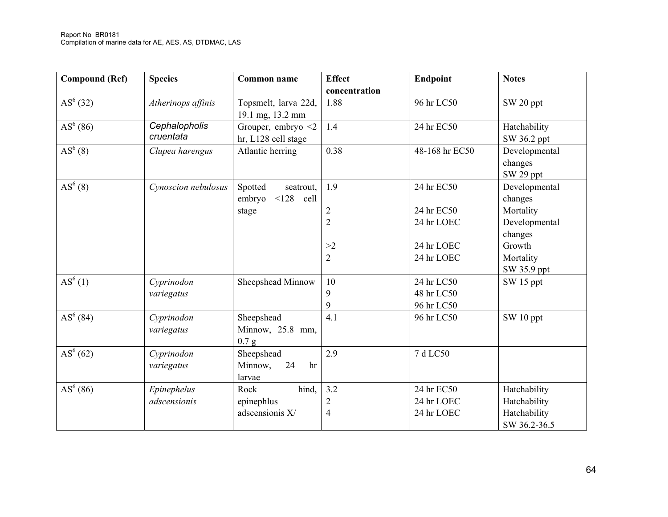| <b>Compound (Ref)</b> | <b>Species</b>             | <b>Common name</b>                              | <b>Effect</b><br>concentration | Endpoint       | <b>Notes</b>                          |
|-----------------------|----------------------------|-------------------------------------------------|--------------------------------|----------------|---------------------------------------|
| $AS^{6}(32)$          | Atherinops affinis         | Topsmelt, larva 22d,<br>19.1 mg, 13.2 mm        | 1.88                           | 96 hr LC50     | SW 20 ppt                             |
| $AS^{6}(86)$          | Cephalopholis<br>cruentata | Grouper, embryo $\leq$ 2<br>hr, L128 cell stage | 1.4                            | 24 hr EC50     | Hatchability<br>SW 36.2 ppt           |
| AS <sup>6</sup> (8)   | Clupea harengus            | Atlantic herring                                | 0.38                           | 48-168 hr EC50 | Developmental<br>changes<br>SW 29 ppt |
| AS <sup>6</sup> (8)   | Cynoscion nebulosus        | Spotted<br>seatrout,<br>embryo<br>$<$ 128 cell  | 1.9                            | 24 hr EC50     | Developmental<br>changes              |
|                       |                            | stage                                           | $\overline{2}$                 | 24 hr EC50     | Mortality                             |
|                       |                            |                                                 | $\overline{2}$                 | 24 hr LOEC     | Developmental<br>changes              |
|                       |                            |                                                 | >2                             | 24 hr LOEC     | Growth                                |
|                       |                            |                                                 | $\overline{2}$                 | 24 hr LOEC     | Mortality<br>SW 35.9 ppt              |
| $AS^{6}(1)$           | Cyprinodon                 | Sheepshead Minnow                               | 10                             | 24 hr LC50     | SW 15 ppt                             |
|                       | variegatus                 |                                                 | 9                              | 48 hr LC50     |                                       |
|                       |                            |                                                 | 9                              | 96 hr LC50     |                                       |
| $AS^{6}(84)$          | Cyprinodon<br>variegatus   | Sheepshead<br>Minnow, 25.8 mm,<br>0.7 g         | 4.1                            | 96 hr LC50     | SW 10 ppt                             |
| AS <sup>6</sup> (62)  | Cyprinodon<br>variegatus   | Sheepshead<br>Minnow,<br>24<br>hr<br>larvae     | 2.9                            | 7 d LC50       |                                       |
| $AS^{6}(86)$          | Epinephelus                | hind,<br>Rock                                   | 3.2                            | 24 hr EC50     | Hatchability                          |
|                       | adscensionis               | epinephlus                                      | $\overline{2}$                 | 24 hr LOEC     | Hatchability                          |
|                       |                            | adscensionis X/                                 | $\overline{4}$                 | 24 hr LOEC     | Hatchability<br>SW 36.2-36.5          |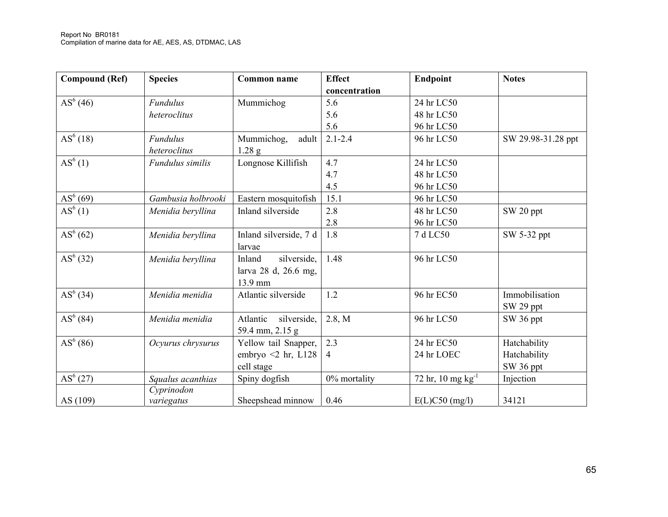| <b>Compound (Ref)</b> | <b>Species</b>     | <b>Common name</b>       | <b>Effect</b> | Endpoint               | <b>Notes</b>       |
|-----------------------|--------------------|--------------------------|---------------|------------------------|--------------------|
|                       |                    |                          | concentration |                        |                    |
| $AS^{6}(46)$          | <b>Fundulus</b>    | Mummichog                | 5.6           | 24 hr LC50             |                    |
|                       | heteroclitus       |                          | 5.6           | 48 hr LC50             |                    |
|                       |                    |                          | 5.6           | 96 hr LC50             |                    |
| $AS^{6}(18)$          | <b>Fundulus</b>    | Mummichog,<br>adult      | $2.1 - 2.4$   | 96 hr LC50             | SW 29.98-31.28 ppt |
|                       | heteroclitus       | $1.28$ g                 |               |                        |                    |
| $AS^{6}(1)$           | Fundulus similis   | Longnose Killifish       | 4.7           | 24 hr LC50             |                    |
|                       |                    |                          | 4.7           | 48 hr LC50             |                    |
|                       |                    |                          | 4.5           | 96 hr LC50             |                    |
| $AS^{6}(69)$          | Gambusia holbrooki | Eastern mosquitofish     | 15.1          | 96 hr LC50             |                    |
| AS <sup>6</sup> (1)   | Menidia beryllina  | Inland silverside        | 2.8           | 48 hr LC50             | SW 20 ppt          |
|                       |                    |                          | 2.8           | 96 hr LC50             |                    |
| $AS^{6}(62)$          | Menidia beryllina  | Inland silverside, 7 d   | 1.8           | 7 d LC50               | SW 5-32 ppt        |
|                       |                    | larvae                   |               |                        |                    |
| $AS^{6}(32)$          | Menidia beryllina  | silverside,<br>Inland    | 1.48          | 96 hr LC50             |                    |
|                       |                    | larva 28 d, 26.6 mg,     |               |                        |                    |
|                       |                    | 13.9 mm                  |               |                        |                    |
| $AS^{6}(34)$          | Menidia menidia    | Atlantic silverside      | 1.2           | 96 hr EC50             | Immobilisation     |
|                       |                    |                          |               |                        | SW 29 ppt          |
| $AS^{6}(84)$          | Menidia menidia    | silverside,<br>Atlantic  | 2.8, M        | 96 hr LC50             | SW 36 ppt          |
|                       |                    | 59.4 mm, 2.15 g          |               |                        |                    |
| $AS^{6}(86)$          | Ocyurus chrysurus  | Yellow tail Snapper,     | 2.3           | 24 hr EC50             | Hatchability       |
|                       |                    | embryo $\leq 2$ hr, L128 | 4             | 24 hr LOEC             | Hatchability       |
|                       |                    | cell stage               |               |                        | SW 36 ppt          |
| $AS^{6}(27)$          | Squalus acanthias  | Spiny dogfish            | 0% mortality  | 72 hr, 10 mg $kg^{-1}$ | Injection          |
|                       | Cyprinodon         |                          |               |                        |                    |
| AS (109)              | variegatus         | Sheepshead minnow        | 0.46          | $E(L)C50$ (mg/l)       | 34121              |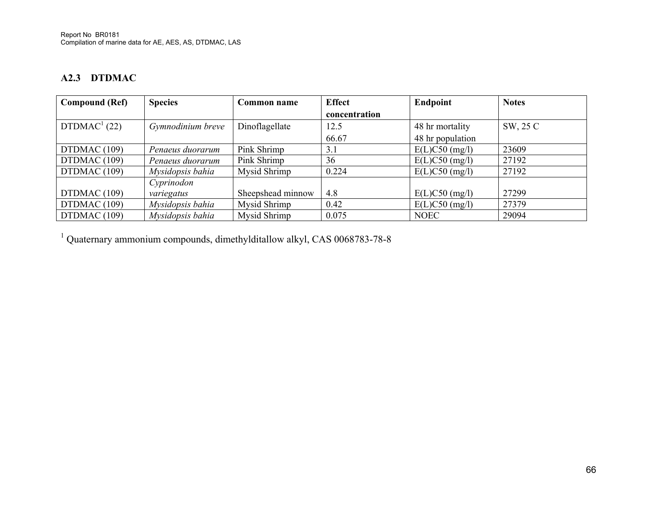## **A2.3 DTDMAC**

| <b>Compound (Ref)</b> | <b>Species</b>    | Common name       | <b>Effect</b> | Endpoint         | <b>Notes</b> |
|-----------------------|-------------------|-------------------|---------------|------------------|--------------|
|                       |                   |                   | concentration |                  |              |
| $DTDMAC1$ (22)        | Gymnodinium breve | Dinoflagellate    | 12.5          | 48 hr mortality  | SW, 25 C     |
|                       |                   |                   | 66.67         | 48 hr population |              |
| DTDMAC (109)          | Penaeus duorarum  | Pink Shrimp       | 3.1           | $E(L)C50$ (mg/l) | 23609        |
| DTDMAC (109)          | Penaeus duorarum  | Pink Shrimp       | 36            | $E(L)C50$ (mg/l) | 27192        |
| DTDMAC (109)          | Mysidopsis bahia  | Mysid Shrimp      | 0.224         | $E(L)C50$ (mg/l) | 27192        |
|                       | Cyprinodon        |                   |               |                  |              |
| DTDMAC (109)          | variegatus        | Sheepshead minnow | 4.8           | $E(L)C50$ (mg/l) | 27299        |
| DTDMAC (109)          | Mysidopsis bahia  | Mysid Shrimp      | 0.42          | $E(L)C50$ (mg/l) | 27379        |
| DTDMAC (109)          | Mysidopsis bahia  | Mysid Shrimp      | 0.075         | <b>NOEC</b>      | 29094        |

1 Quaternary ammonium compounds, dimethylditallow alkyl, CAS 0068783-78-8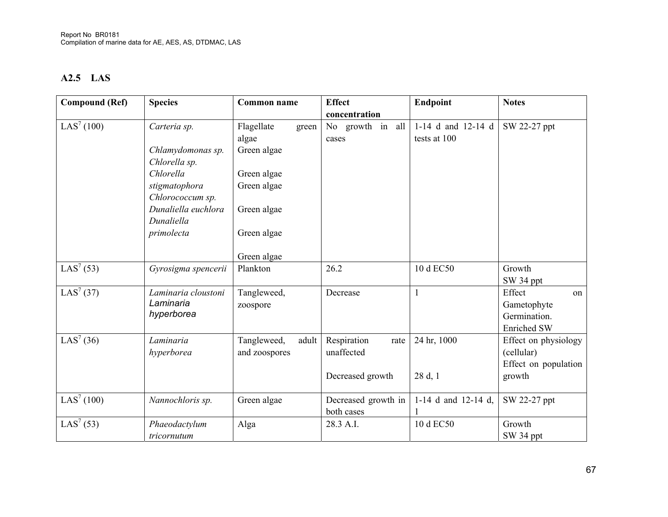## **A2.5 LAS**

| <b>Compound (Ref)</b>  | <b>Species</b>      | <b>Common name</b>   | <b>Effect</b>       | Endpoint            | <b>Notes</b>         |
|------------------------|---------------------|----------------------|---------------------|---------------------|----------------------|
|                        |                     |                      | concentration       |                     |                      |
| LAS <sup>7</sup> (100) | Carteria sp.        | Flagellate<br>green  | No growth in all    | 1-14 d and 12-14 d  | SW 22-27 ppt         |
|                        |                     | algae                | cases               | tests at 100        |                      |
|                        | Chlamydomonas sp.   | Green algae          |                     |                     |                      |
|                        | Chlorella sp.       |                      |                     |                     |                      |
|                        | Chlorella           | Green algae          |                     |                     |                      |
|                        | stigmatophora       | Green algae          |                     |                     |                      |
|                        | Chlorococcum sp.    |                      |                     |                     |                      |
|                        | Dunaliella euchlora | Green algae          |                     |                     |                      |
|                        | Dunaliella          |                      |                     |                     |                      |
|                        | primolecta          | Green algae          |                     |                     |                      |
|                        |                     |                      |                     |                     |                      |
|                        |                     | Green algae          |                     |                     |                      |
| LAS <sup>7</sup> (53)  | Gyrosigma spencerii | Plankton             | 26.2                | 10 d EC50           | Growth               |
|                        |                     |                      |                     |                     | SW 34 ppt            |
| LAS <sup>7</sup> (37)  | Laminaria cloustoni | Tangleweed,          | Decrease            | 1                   | Effect<br>on         |
|                        | Laminaria           | zoospore             |                     |                     | Gametophyte          |
|                        | hyperborea          |                      |                     |                     | Germination.         |
|                        |                     |                      |                     |                     | <b>Enriched SW</b>   |
| LAS <sup>7</sup> (36)  | Laminaria           | Tangleweed,<br>adult | Respiration<br>rate | 24 hr, 1000         | Effect on physiology |
|                        | hyperborea          | and zoospores        | unaffected          |                     | (cellular)           |
|                        |                     |                      |                     |                     | Effect on population |
|                        |                     |                      | Decreased growth    | 28 d, 1             | growth               |
|                        |                     |                      |                     |                     |                      |
| LAS <sup>7</sup> (100) | Nannochloris sp.    | Green algae          | Decreased growth in | 1-14 d and 12-14 d, | SW 22-27 ppt         |
|                        |                     |                      | both cases          |                     |                      |
| LAS <sup>7</sup> (53)  | Phaeodactylum       | Alga                 | 28.3 A.I.           | 10 d EC50           | Growth               |
|                        | tricornutum         |                      |                     |                     | SW <sub>34</sub> ppt |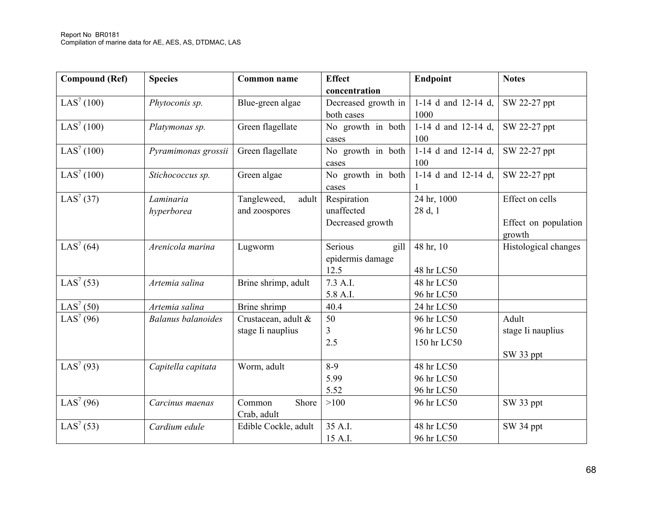| <b>Compound (Ref)</b>  | <b>Species</b>            | Common name          | <b>Effect</b>       | Endpoint            | <b>Notes</b>         |
|------------------------|---------------------------|----------------------|---------------------|---------------------|----------------------|
|                        |                           |                      | concentration       |                     |                      |
| LAS <sup>7</sup> (100) | Phytoconis sp.            | Blue-green algae     | Decreased growth in | 1-14 d and 12-14 d, | SW 22-27 ppt         |
|                        |                           |                      | both cases          | 1000                |                      |
| LAS <sup>7</sup> (100) | Platymonas sp.            | Green flagellate     | No growth in both   | 1-14 d and 12-14 d, | SW 22-27 ppt         |
|                        |                           |                      | cases               | 100                 |                      |
| LAS <sup>7</sup> (100) | Pyramimonas grossii       | Green flagellate     | No growth in both   | 1-14 d and 12-14 d, | SW 22-27 ppt         |
|                        |                           |                      | cases               | 100                 |                      |
| LAS <sup>7</sup> (100) | Stichococcus sp.          | Green algae          | No growth in both   | 1-14 d and 12-14 d, | SW 22-27 ppt         |
|                        |                           |                      | cases               |                     |                      |
| LAS <sup>7</sup> (37)  | Laminaria                 | Tangleweed,<br>adult | Respiration         | 24 hr, 1000         | Effect on cells      |
|                        | hyperborea                | and zoospores        | unaffected          | 28 d, 1             |                      |
|                        |                           |                      | Decreased growth    |                     | Effect on population |
|                        |                           |                      |                     |                     | growth               |
| LAS <sup>7</sup> (64)  | Arenicola marina          | Lugworm              | Serious<br>gill     | 48 hr, 10           | Histological changes |
|                        |                           |                      | epidermis damage    |                     |                      |
|                        |                           |                      | 12.5                | 48 hr LC50          |                      |
| LAS <sup>7</sup> (53)  | Artemia salina            | Brine shrimp, adult  | 7.3 A.I.            | 48 hr LC50          |                      |
|                        |                           |                      | 5.8 A.I.            | 96 hr LC50          |                      |
| LAS <sup>7</sup> (50)  | Artemia salina            | Brine shrimp         | 40.4                | 24 hr LC50          |                      |
| LAS <sup>7</sup> (96)  | <b>Balanus balanoides</b> | Crustacean, adult &  | 50                  | 96 hr LC50          | Adult                |
|                        |                           | stage Ii nauplius    | 3                   | 96 hr LC50          | stage Ii nauplius    |
|                        |                           |                      | 2.5                 | 150 hr LC50         |                      |
|                        |                           |                      |                     |                     | SW 33 ppt            |
| LAS <sup>7</sup> (93)  | Capitella capitata        | Worm, adult          | $8-9$               | 48 hr LC50          |                      |
|                        |                           |                      | 5.99                | 96 hr LC50          |                      |
|                        |                           |                      | 5.52                | 96 hr LC50          |                      |
| LAS <sup>7</sup> (96)  | Carcinus maenas           | Common<br>Shore      | >100                | 96 hr LC50          | SW 33 ppt            |
|                        |                           | Crab, adult          |                     |                     |                      |
| LAS <sup>7</sup> (53)  | Cardium edule             | Edible Cockle, adult | 35 A.I.             | 48 hr LC50          | SW 34 ppt            |
|                        |                           |                      | 15 A.I.             | 96 hr LC50          |                      |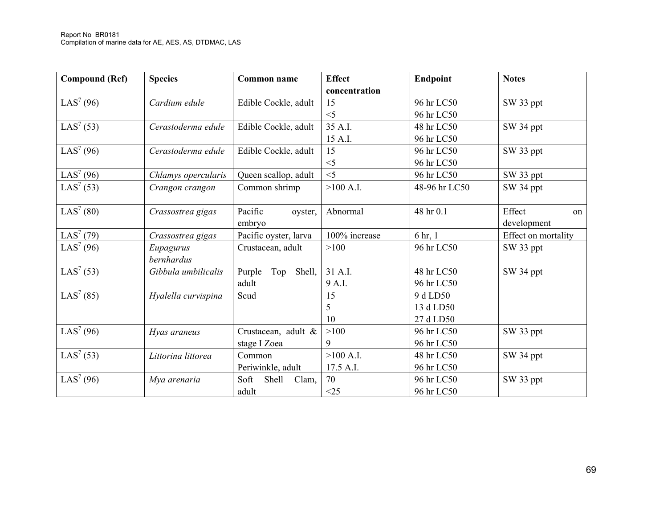| <b>Compound (Ref)</b> | <b>Species</b>      | <b>Common name</b>      | <b>Effect</b> | Endpoint      | <b>Notes</b>        |
|-----------------------|---------------------|-------------------------|---------------|---------------|---------------------|
|                       |                     |                         | concentration |               |                     |
| LAS <sup>7</sup> (96) | Cardium edule       | Edible Cockle, adult    | 15            | 96 hr LC50    | SW 33 ppt           |
|                       |                     |                         | $<$ 5         | 96 hr LC50    |                     |
| LAS <sup>7</sup> (53) | Cerastoderma edule  | Edible Cockle, adult    | 35 A.I.       | 48 hr LC50    | SW 34 ppt           |
|                       |                     |                         | 15 A.I.       | 96 hr LC50    |                     |
| LAS <sup>7</sup> (96) | Cerastoderma edule  | Edible Cockle, adult    | 15            | 96 hr LC50    | SW 33 ppt           |
|                       |                     |                         | $\leq$ 5      | 96 hr LC50    |                     |
| LAS <sup>7</sup> (96) | Chlamys opercularis | Queen scallop, adult    | $<$ 5         | 96 hr LC50    | SW 33 ppt           |
| LAS <sup>7</sup> (53) | Crangon crangon     | Common shrimp           | $>100$ A.I.   | 48-96 hr LC50 | SW 34 ppt           |
|                       |                     |                         |               |               |                     |
| LAS <sup>7</sup> (80) | Crassostrea gigas   | Pacific<br>oyster,      | Abnormal      | 48 hr 0.1     | Effect<br>on        |
|                       |                     | embryo                  |               |               | development         |
| LAS <sup>7</sup> (79) | Crassostrea gigas   | Pacific oyster, larva   | 100% increase | 6 hr, 1       | Effect on mortality |
| LAS <sup>7</sup> (96) | Eupagurus           | Crustacean, adult       | >100          | 96 hr LC50    | SW 33 ppt           |
|                       | bernhardus          |                         |               |               |                     |
| LAS <sup>7</sup> (53) | Gibbula umbilicalis | Top<br>Shell,<br>Purple | 31 A.I.       | 48 hr LC50    | SW 34 ppt           |
|                       |                     | adult                   | 9 A.I.        | 96 hr LC50    |                     |
| LAS <sup>7</sup> (85) | Hyalella curvispina | Scud                    | 15            | 9 d LD50      |                     |
|                       |                     |                         | 5             | 13 d LD50     |                     |
|                       |                     |                         | 10            | 27 d LD50     |                     |
| LAS <sup>7</sup> (96) | Hyas araneus        | Crustacean, adult &     | >100          | 96 hr LC50    | SW 33 ppt           |
|                       |                     | stage I Zoea            | 9             | 96 hr LC50    |                     |
| LAS <sup>7</sup> (53) | Littorina littorea  | Common                  | $>100$ A.I.   | 48 hr LC50    | SW 34 ppt           |
|                       |                     | Periwinkle, adult       | 17.5 A.I.     | 96 hr LC50    |                     |
| LAS <sup>7</sup> (96) | Mya arenaria        | Soft<br>Shell<br>Clam,  | 70            | 96 hr LC50    | SW 33 ppt           |
|                       |                     | adult                   | <25           | 96 hr LC50    |                     |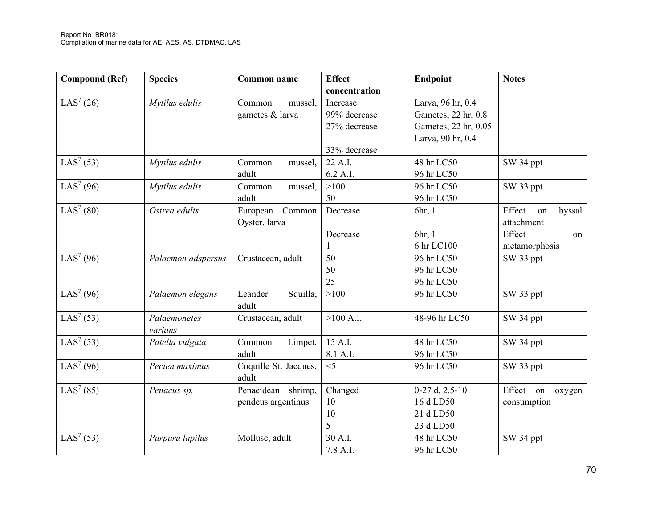| <b>Compound (Ref)</b>  | <b>Species</b>          | <b>Common name</b>                       | <b>Effect</b><br>concentration           | <b>Endpoint</b>                                                                       | <b>Notes</b>                                                          |
|------------------------|-------------------------|------------------------------------------|------------------------------------------|---------------------------------------------------------------------------------------|-----------------------------------------------------------------------|
| LAS <sup>7</sup> (26)  | Mytilus edulis          | Common<br>mussel,<br>gametes & larva     | Increase<br>99% decrease<br>27% decrease | Larva, 96 hr, 0.4<br>Gametes, 22 hr, 0.8<br>Gametes, 22 hr, 0.05<br>Larva, 90 hr, 0.4 |                                                                       |
|                        |                         |                                          | 33% decrease                             |                                                                                       |                                                                       |
| LAS <sup>7</sup> (53)  | Mytilus edulis          | Common<br>mussel,<br>adult               | 22 A.I.<br>6.2 A.I.                      | 48 hr LC50<br>96 hr LC50                                                              | SW 34 ppt                                                             |
| LAS <sup>7</sup> (96)  | Mytilus edulis          | Common<br>mussel,<br>adult               | >100<br>50                               | 96 hr LC50<br>96 hr LC50                                                              | SW 33 ppt                                                             |
| $LAS^{7} (80)$         | Ostrea edulis           | European<br>Common<br>Oyster, larva      | Decrease<br>Decrease                     | 6hr, 1<br>6hr, 1<br>6 hr LC100                                                        | Effect<br>byssal<br>on<br>attachment<br>Effect<br>on<br>metamorphosis |
| $\overline{LAS}^7(96)$ | Palaemon adspersus      | Crustacean, adult                        | 50<br>50<br>25                           | 96 hr LC50<br>96 hr LC50<br>96 hr LC50                                                | SW 33 ppt                                                             |
| LAS <sup>7</sup> (96)  | Palaemon elegans        | Leander<br>Squilla,<br>adult             | >100                                     | 96 hr LC50                                                                            | SW 33 ppt                                                             |
| LAS <sup>7</sup> (53)  | Palaemonetes<br>varians | Crustacean, adult                        | $>100$ A.I.                              | 48-96 hr LC50                                                                         | SW 34 ppt                                                             |
| LAS <sup>7</sup> (53)  | Patella vulgata         | Limpet,<br>Common<br>adult               | 15 A.I.<br>8.1 A.I.                      | 48 hr LC50<br>96 hr LC50                                                              | SW 34 ppt                                                             |
| LAS <sup>7</sup> (96)  | Pecten maximus          | Coquille St. Jacques,<br>adult           | $\leq$ 5                                 | 96 hr LC50                                                                            | SW 33 ppt                                                             |
| $LAS^{7} (85)$         | Penaeus sp.             | Penaeidean shrimp,<br>pendeus argentinus | Changed<br>10<br>10<br>5                 | $0-27$ d, $2.5-10$<br>16 d LD50<br>21 d LD50<br>23 d LD50                             | Effect on oxygen<br>consumption                                       |
| LAS <sup>7</sup> (53)  | Purpura lapilus         | Mollusc, adult                           | 30 A.I.<br>7.8 A.I.                      | 48 hr LC50<br>96 hr LC50                                                              | SW 34 ppt                                                             |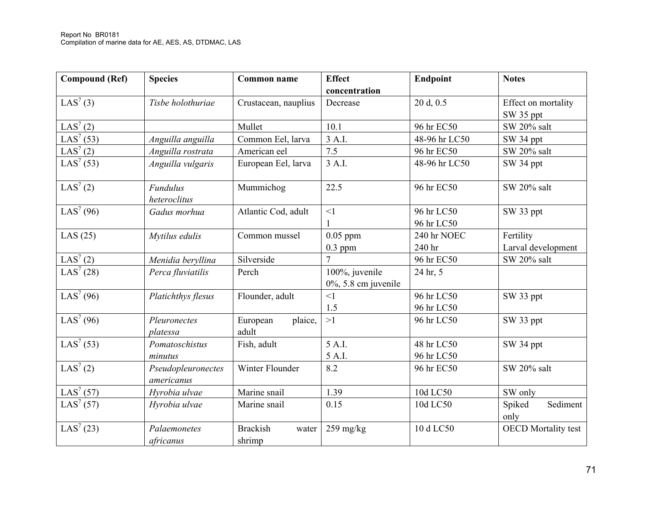| <b>Compound (Ref)</b> | <b>Species</b>                   | Common name                        | <b>Effect</b><br>concentration            | <b>Endpoint</b>          | <b>Notes</b>                     |
|-----------------------|----------------------------------|------------------------------------|-------------------------------------------|--------------------------|----------------------------------|
| LAS <sup>7</sup> (3)  | Tisbe holothuriae                | Crustacean, nauplius               | Decrease                                  | 20 d, 0.5                | Effect on mortality<br>SW 35 ppt |
| LAS <sup>7</sup> (2)  |                                  | Mullet                             | 10.1                                      | 96 hr EC50               | SW 20% salt                      |
| LAS <sup>7</sup> (53) | Anguilla anguilla                | Common Eel, larva                  | 3 A.I.                                    | 48-96 hr LC50            | SW 34 ppt                        |
| LAS <sup>7</sup> (2)  | Anguilla rostrata                | American eel                       | 7.5                                       | 96 hr EC50               | SW 20% salt                      |
| LAS <sup>7</sup> (53) | Anguilla vulgaris                | European Eel, larva                | 3 A.I.                                    | 48-96 hr LC50            | SW 34 ppt                        |
| LAS <sup>7</sup> (2)  | <b>Fundulus</b><br>heteroclitus  | Mummichog                          | 22.5                                      | 96 hr EC50               | SW 20% salt                      |
| LAS <sup>7</sup> (96) | Gadus morhua                     | Atlantic Cod, adult                | <1                                        | 96 hr LC50<br>96 hr LC50 | SW 33 ppt                        |
| LAS $(25)$            | Mytilus edulis                   | Common mussel                      | $0.05$ ppm<br>$0.3$ ppm                   | 240 hr NOEC<br>240 hr    | Fertility<br>Larval development  |
| LAS <sup>7</sup> (2)  | Menidia beryllina                | Silverside                         |                                           | 96 hr EC50               | SW 20% salt                      |
| LAS <sup>7</sup> (28) | Perca fluviatilis                | Perch                              | 100%, juvenile<br>$0\%$ , 5.8 cm juvenile | 24 hr, 5                 |                                  |
| LAS <sup>7</sup> (96) | Platichthys flesus               | Flounder, adult                    | $\leq$ 1<br>1.5                           | 96 hr LC50<br>96 hr LC50 | SW 33 ppt                        |
| LAS <sup>7</sup> (96) | Pleuronectes<br>platessa         | plaice,<br>European<br>adult       | >1                                        | 96 hr LC50               | SW 33 ppt                        |
| LAS <sup>7</sup> (53) | Pomatoschistus                   | Fish, adult                        | 5 A.I.                                    | 48 hr LC50               | SW 34 ppt                        |
|                       | minutus                          |                                    | 5 A.I.                                    | 96 hr LC50               |                                  |
| LAS <sup>7</sup> (2)  | Pseudopleuronectes<br>americanus | Winter Flounder                    | 8.2                                       | 96 hr EC50               | SW 20% salt                      |
| LAS <sup>7</sup> (57) | Hyrobia ulvae                    | Marine snail                       | 1.39                                      | 10d LC50                 | SW only                          |
| LAS <sup>7</sup> (57) | Hyrobia ulvae                    | Marine snail                       | 0.15                                      | 10d LC50                 | Sediment<br>Spiked<br>only       |
| LAS <sup>7</sup> (23) | Palaemonetes<br>africanus        | <b>Brackish</b><br>water<br>shrimp | $259$ mg/kg                               | 10 d LC50                | <b>OECD</b> Mortality test       |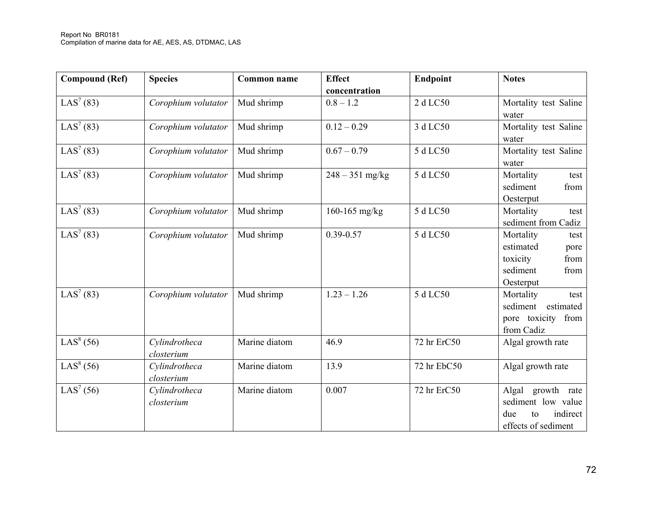| <b>Compound (Ref)</b> | <b>Species</b>              | <b>Common name</b> | <b>Effect</b><br>concentration | Endpoint    | <b>Notes</b>                                                                                |
|-----------------------|-----------------------------|--------------------|--------------------------------|-------------|---------------------------------------------------------------------------------------------|
| LAS <sup>7</sup> (83) | Corophium volutator         | Mud shrimp         | $0.8 - 1.2$                    | 2 d LC50    | Mortality test Saline<br>water                                                              |
| LAS <sup>7</sup> (83) | Corophium volutator         | Mud shrimp         | $0.12 - 0.29$                  | 3 d LC50    | Mortality test Saline<br>water                                                              |
| LAS <sup>7</sup> (83) | Corophium volutator         | Mud shrimp         | $0.67 - 0.79$                  | 5 d LC50    | Mortality test Saline<br>water                                                              |
| LAS <sup>7</sup> (83) | Corophium volutator         | Mud shrimp         | $248 - 351$ mg/kg              | 5 d LC50    | Mortality<br>test<br>sediment<br>from<br>Oesterput                                          |
| LAS <sup>7</sup> (83) | Corophium volutator         | Mud shrimp         | 160-165 mg/kg                  | 5 d LC50    | Mortality<br>test<br>sediment from Cadiz                                                    |
| LAS <sup>7</sup> (83) | Corophium volutator         | Mud shrimp         | $0.39 - 0.57$                  | 5 d LC50    | Mortality<br>test<br>estimated<br>pore<br>toxicity<br>from<br>sediment<br>from<br>Oesterput |
| LAS <sup>7</sup> (83) | Corophium volutator         | Mud shrimp         | $1.23 - 1.26$                  | 5 d LC50    | Mortality<br>test<br>sediment<br>estimated<br>pore toxicity from<br>from Cadiz              |
| LAS <sup>8</sup> (56) | Cylindrotheca<br>closterium | Marine diatom      | 46.9                           | 72 hr ErC50 | Algal growth rate                                                                           |
| LAS <sup>8</sup> (56) | Cylindrotheca<br>closterium | Marine diatom      | 13.9                           | 72 hr EbC50 | Algal growth rate                                                                           |
| LAS <sup>7</sup> (56) | Cylindrotheca<br>closterium | Marine diatom      | 0.007                          | 72 hr ErC50 | Algal<br>growth rate<br>sediment low value<br>indirect<br>due<br>to<br>effects of sediment  |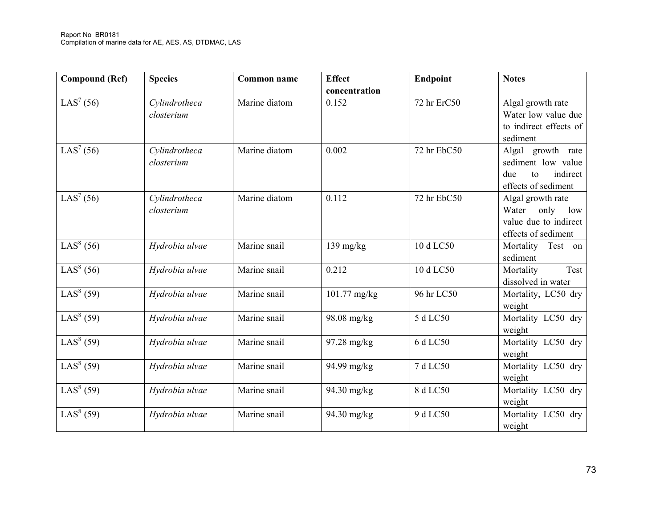| <b>Compound (Ref)</b> | <b>Species</b>              | <b>Common name</b> | <b>Effect</b><br>concentration | Endpoint    | <b>Notes</b>                                                                              |
|-----------------------|-----------------------------|--------------------|--------------------------------|-------------|-------------------------------------------------------------------------------------------|
| LAS <sup>7</sup> (56) | Cylindrotheca<br>closterium | Marine diatom      | 0.152                          | 72 hr ErC50 | Algal growth rate<br>Water low value due<br>to indirect effects of<br>sediment            |
| LAS <sup>7</sup> (56) | Cylindrotheca<br>closterium | Marine diatom      | 0.002                          | 72 hr EbC50 | Algal growth rate<br>sediment low value<br>indirect<br>due<br>to<br>effects of sediment   |
| LAS <sup>7</sup> (56) | Cylindrotheca<br>closterium | Marine diatom      | 0.112                          | 72 hr EbC50 | Algal growth rate<br>only<br>Water<br>low<br>value due to indirect<br>effects of sediment |
| LAS <sup>8</sup> (56) | Hydrobia ulvae              | Marine snail       | $139$ mg/kg                    | 10 d LC50   | Mortality<br>Test on<br>sediment                                                          |
| LAS <sup>8</sup> (56) | Hydrobia ulvae              | Marine snail       | 0.212                          | 10 d LC50   | Mortality<br>Test<br>dissolved in water                                                   |
| LAS <sup>8</sup> (59) | Hydrobia ulvae              | Marine snail       | $101.77 \text{ mg/kg}$         | 96 hr LC50  | Mortality, LC50 dry<br>weight                                                             |
| LAS <sup>8</sup> (59) | Hydrobia ulvae              | Marine snail       | 98.08 mg/kg                    | 5 d LC50    | Mortality LC50 dry<br>weight                                                              |
| LAS <sup>8</sup> (59) | Hydrobia ulvae              | Marine snail       | 97.28 mg/kg                    | 6 d LC50    | Mortality LC50 dry<br>weight                                                              |
| LAS <sup>8</sup> (59) | Hydrobia ulvae              | Marine snail       | 94.99 mg/kg                    | 7 d LC50    | Mortality LC50 dry<br>weight                                                              |
| LAS <sup>8</sup> (59) | Hydrobia ulvae              | Marine snail       | 94.30 mg/kg                    | 8 d LC50    | Mortality LC50 dry<br>weight                                                              |
| LAS <sup>8</sup> (59) | Hydrobia ulvae              | Marine snail       | 94.30 mg/kg                    | 9 d LC50    | Mortality LC50 dry<br>weight                                                              |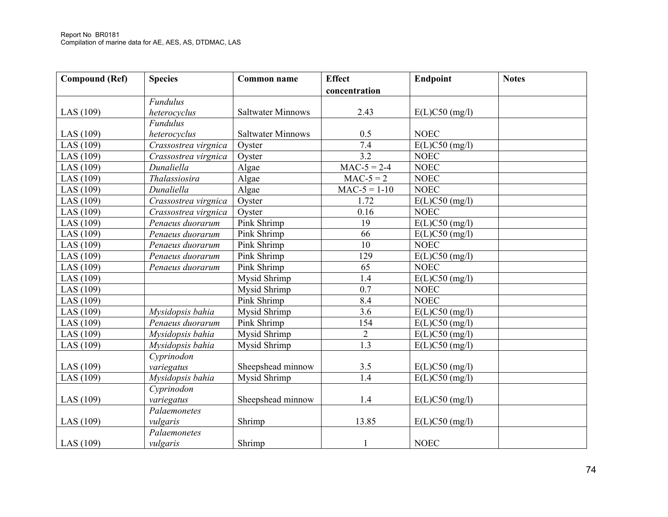| <b>Compound (Ref)</b> | <b>Species</b>       | Common name              | <b>Effect</b>    | <b>Endpoint</b>  | <b>Notes</b> |
|-----------------------|----------------------|--------------------------|------------------|------------------|--------------|
|                       |                      |                          | concentration    |                  |              |
|                       | <b>Fundulus</b>      |                          |                  |                  |              |
| LAS $(109)$           | heterocyclus         | <b>Saltwater Minnows</b> | 2.43             | $E(L)C50$ (mg/l) |              |
|                       | <b>Fundulus</b>      |                          |                  |                  |              |
| LAS $(109)$           | heterocyclus         | <b>Saltwater Minnows</b> | 0.5              | <b>NOEC</b>      |              |
| LAS $(109)$           | Crassostrea virgnica | Oyster                   | 7.4              | $E(L)C50$ (mg/l) |              |
| LAS $(109)$           | Crassostrea virgnica | Oyster                   | 3.2              | <b>NOEC</b>      |              |
| LAS $(109)$           | Dunaliella           | Algae                    | $MAC-5 = 2-4$    | <b>NOEC</b>      |              |
| LAS $(109)$           | Thalassiosira        | Algae                    | $MAC-5 = 2$      | <b>NOEC</b>      |              |
| LAS $(109)$           | Dunaliella           | Algae                    | $MAC-5 = 1-10$   | <b>NOEC</b>      |              |
| LAS $(109)$           | Crassostrea virgnica | Oyster                   | 1.72             | $E(L)C50$ (mg/l) |              |
| LAS $(109)$           | Crassostrea virgnica | Oyster                   | 0.16             | <b>NOEC</b>      |              |
| LAS $(109)$           | Penaeus duorarum     | Pink Shrimp              | 19               | $E(L)C50$ (mg/l) |              |
| LAS $(109)$           | Penaeus duorarum     | Pink Shrimp              | 66               | $E(L)C50$ (mg/l) |              |
| LAS $(109)$           | Penaeus duorarum     | Pink Shrimp              | 10               | <b>NOEC</b>      |              |
| LAS $(109)$           | Penaeus duorarum     | Pink Shrimp              | 129              | $E(L)C50$ (mg/l) |              |
| LAS (109)             | Penaeus duorarum     | Pink Shrimp              | 65               | NOEC             |              |
| LAS $(109)$           |                      | Mysid Shrimp             | 1.4              | $E(L)C50$ (mg/l) |              |
| LAS $(109)$           |                      | Mysid Shrimp             | $\overline{0.7}$ | <b>NOEC</b>      |              |
| LAS $(109)$           |                      | Pink Shrimp              | 8.4              | <b>NOEC</b>      |              |
| LAS $(109)$           | Mysidopsis bahia     | Mysid Shrimp             | $\overline{3.6}$ | $E(L)C50$ (mg/l) |              |
| LAS (109)             | Penaeus duorarum     | Pink Shrimp              | 154              | $E(L)C50$ (mg/l) |              |
| LAS $(109)$           | Mysidopsis bahia     | Mysid Shrimp             | $\sqrt{2}$       | $E(L)C50$ (mg/l) |              |
| LAS $(109)$           | Mysidopsis bahia     | Mysid Shrimp             | 1.3              | $E(L)C50$ (mg/l) |              |
|                       | Cyprinodon           |                          |                  |                  |              |
| LAS $(109)$           | variegatus           | Sheepshead minnow        | 3.5              | $E(L)C50$ (mg/l) |              |
| LAS $(109)$           | Mysidopsis bahia     | Mysid Shrimp             | 1.4              | $E(L)C50$ (mg/l) |              |
|                       | Cyprinodon           |                          |                  |                  |              |
| LAS $(109)$           | variegatus           | Sheepshead minnow        | 1.4              | $E(L)C50$ (mg/l) |              |
|                       | Palaemonetes         |                          |                  |                  |              |
| LAS $(109)$           | vulgaris             | Shrimp                   | 13.85            | $E(L)C50$ (mg/l) |              |
|                       | Palaemonetes         |                          |                  |                  |              |
| LAS $(109)$           | vulgaris             | Shrimp                   | 1                | <b>NOEC</b>      |              |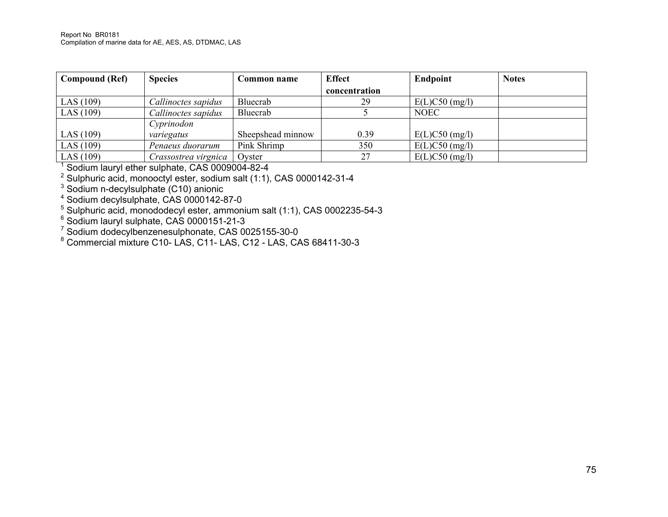| Compound (Ref) | <b>Species</b>       | Common name       | <b>Effect</b> | <b>Endpoint</b>  | <b>Notes</b> |
|----------------|----------------------|-------------------|---------------|------------------|--------------|
|                |                      |                   | concentration |                  |              |
| LAS (109)      | Callinoctes sapidus  | Bluecrab          | 29            | $E(L)C50$ (mg/l) |              |
| LAS (109)      | Callinoctes sapidus  | Bluecrab          |               | <b>NOEC</b>      |              |
|                | Cyprinodon           |                   |               |                  |              |
| LAS (109)      | variegatus           | Sheepshead minnow | 0.39          | $E(L)C50$ (mg/l) |              |
| LAS $(109)$    | Penaeus duorarum     | Pink Shrimp       | 350           | $E(L)C50$ (mg/l) |              |
| LAS $(109)$    | Crassostrea virgnica | Ovster            | 27            | $E(L)C50$ (mg/l) |              |

<sup>1</sup> Sodium lauryl ether sulphate, CAS 0009004-82-4

<sup>2</sup> Sulphuric acid, monooctyl ester, sodium salt (1:1), CAS 0000142-31-4

 $3$  Sodium n-decylsulphate (C10) anionic

4 Sodium decylsulphate, CAS 0000142-87-0

 $5$  Sulphuric acid, monododecyl ester, ammonium salt (1:1), CAS 0002235-54-3

 $6$  Sodium lauryl sulphate, CAS 0000151-21-3

<sup>7</sup> Sodium dodecylbenzenesulphonate, CAS 0025155-30-0

<sup>8</sup> Commercial mixture C10- LAS, C11- LAS, C12 - LAS, CAS 68411-30-3